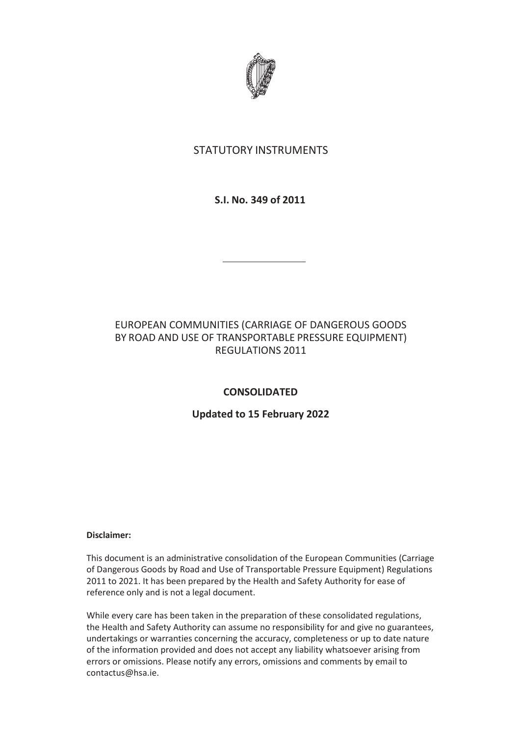

# STATUTORY INSTRUMENTS

# **S.I. No. 349 of 2011**

# EUROPEAN COMMUNITIES (CARRIAGE OF DANGEROUS GOODS BY ROAD AND USE OF TRANSPORTABLE PRESSURE EQUIPMENT) REGULATIONS 2011

# **CONSOLIDATED**

# **Updated to 15 February 2022**

### **Disclaimer:**

This document is an administrative consolidation of the European Communities (Carriage of Dangerous Goods by Road and Use of Transportable Pressure Equipment) Regulations 2011 to 2021. It has been prepared by the Health and Safety Authority for ease of reference only and is not a legal document.

While every care has been taken in the preparation of these consolidated regulations, the Health and Safety Authority can assume no responsibility for and give no guarantees, undertakings or warranties concerning the accuracy, completeness or up to date nature of the information provided and does not accept any liability whatsoever arising from errors or omissions. Please notify any errors, omissions and comments by email to contactus@hsa.ie.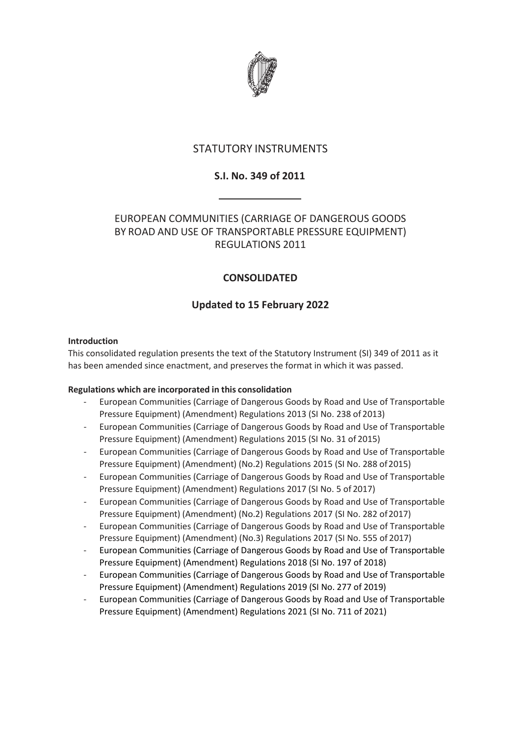

# STATUTORY INSTRUMENTS

# **S.I. No. 349 of 2011**

# EUROPEAN COMMUNITIES (CARRIAGE OF DANGEROUS GOODS BY ROAD AND USE OF TRANSPORTABLE PRESSURE EQUIPMENT) REGULATIONS 2011

# **CONSOLIDATED**

# **Updated to 15 February 2022**

### **Introduction**

This consolidated regulation presents the text of the Statutory Instrument (SI) 349 of 2011 as it has been amended since enactment, and preserves the format in which it was passed.

## **Regulations which are incorporated in this consolidation**

- European Communities (Carriage of Dangerous Goods by Road and Use of Transportable Pressure Equipment) (Amendment) Regulations 2013 (SI No. 238 of 2013)
- European Communities (Carriage of Dangerous Goods by Road and Use of Transportable Pressure Equipment) (Amendment) Regulations 2015 (SI No. 31 of 2015)
- European Communities (Carriage of Dangerous Goods by Road and Use of Transportable Pressure Equipment) (Amendment) (No.2) Regulations 2015 (SI No. 288 of 2015)
- European Communities (Carriage of Dangerous Goods by Road and Use of Transportable Pressure Equipment) (Amendment) Regulations 2017 (SI No. 5 of 2017)
- European Communities (Carriage of Dangerous Goods by Road and Use of Transportable Pressure Equipment) (Amendment) (No.2) Regulations 2017 (SI No. 282 of 2017)
- European Communities (Carriage of Dangerous Goods by Road and Use of Transportable Pressure Equipment) (Amendment) (No.3) Regulations 2017 (SI No. 555 of 2017)
- European Communities (Carriage of Dangerous Goods by Road and Use of Transportable Pressure Equipment) (Amendment) Regulations 2018 (SI No. 197 of 2018)
- European Communities (Carriage of Dangerous Goods by Road and Use of Transportable Pressure Equipment) (Amendment) Regulations 2019 (SI No. 277 of 2019)
- European Communities (Carriage of Dangerous Goods by Road and Use of Transportable Pressure Equipment) (Amendment) Regulations 2021 (SI No. 711 of 2021)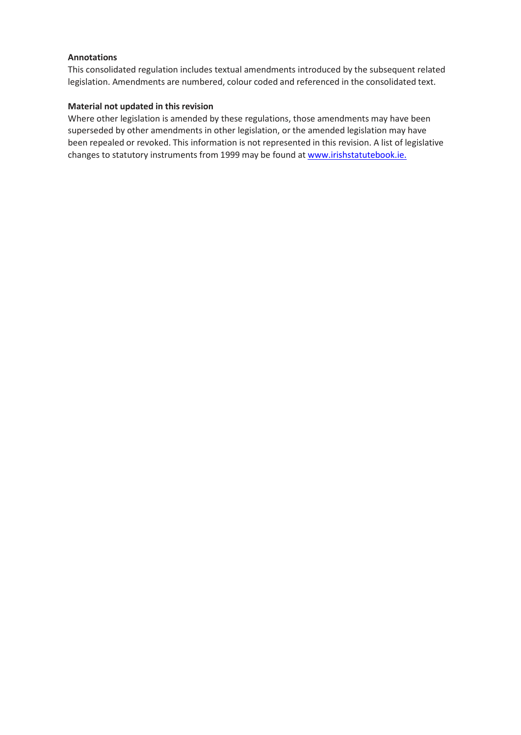### **Annotations**

This consolidated regulation includes textual amendments introduced by the subsequent related legislation. Amendments are numbered, colour coded and referenced in the consolidated text.

### **Material not updated in this revision**

Where other legislation is amended by these regulations, those amendments may have been superseded by other amendments in other legislation, or the amended legislation may have been repealed or revoked. This information is not represented in this revision. A list of legislative changes to statutory instruments from 1999 may be found at [www.irishstatutebook.ie.](http://www.irishstatutebook.ie./)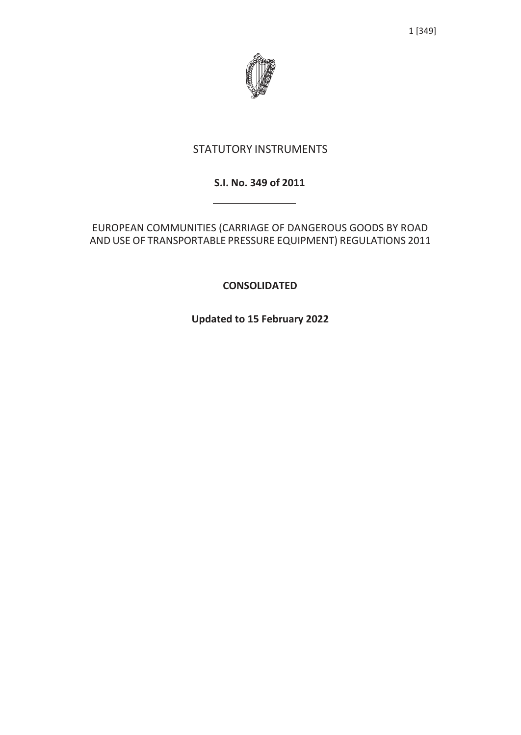# STATUTORY INSTRUMENTS

# **S.I. No. 349 of 2011**

EUROPEAN COMMUNITIES (CARRIAGE OF DANGEROUS GOODS BY ROAD AND USE OF TRANSPORTABLE PRESSURE EQUIPMENT) REGULATIONS 2011

**CONSOLIDATED**

**Updated to 15 February 2022**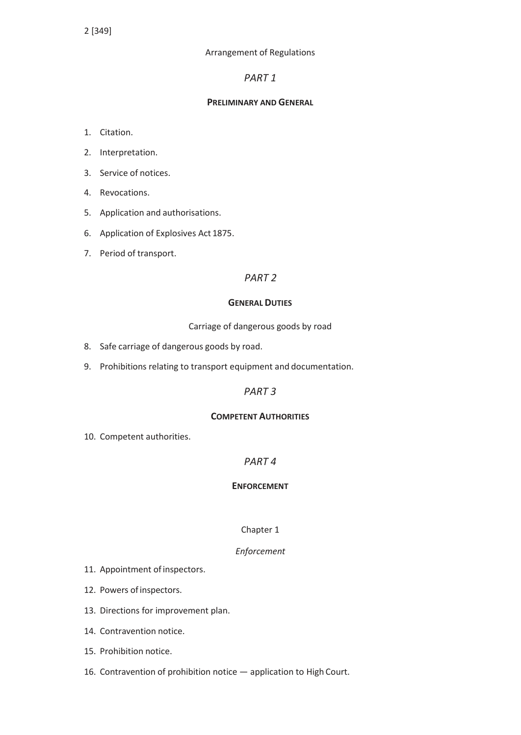### Arrangement of Regulations

## *PART 1*

### **PRELIMINARY AND GENERAL**

- 1. Citation.
- 2. Interpretation.
- 3. Service of notices.
- 4. Revocations.
- 5. Application and authorisations.
- 6. Application of Explosives Act 1875.
- 7. Period of transport.

## *PART 2*

### **GENERAL DUTIES**

Carriage of dangerous goods by road

- 8. Safe carriage of dangerous goods by road.
- 9. Prohibitions relating to transport equipment and documentation.

## *PART 3*

### **COMPETENT AUTHORITIES**

10. Competent authorities.

## *PART 4*

## **ENFORCEMENT**

## Chapter 1

### *Enforcement*

- 11. Appointment of inspectors.
- 12. Powers of inspectors.
- 13. Directions for improvement plan.
- 14. Contravention notice.
- 15. Prohibition notice.
- 16. Contravention of prohibition notice application to High Court.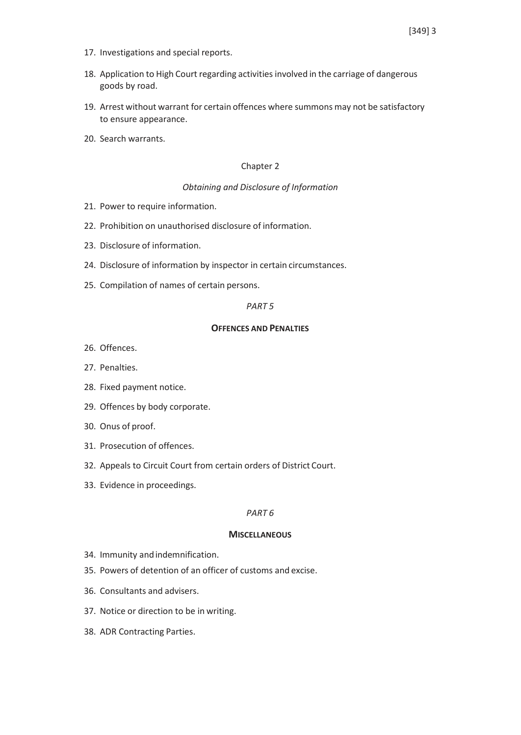- 17. Investigations and special reports.
- 18. Application to High Court regarding activities involved in the carriage of dangerous goods by road.
- 19. Arrest without warrant for certain offences where summons may not be satisfactory to ensure appearance.
- 20. Search warrants.

#### Chapter 2

#### *Obtaining and Disclosure of Information*

- 21. Power to require information.
- 22. Prohibition on unauthorised disclosure of information.
- 23. Disclosure of information.
- 24. Disclosure of information by inspector in certain circumstances.
- 25. Compilation of names of certain persons.

### *PART 5*

#### **OFFENCES AND PENALTIES**

- 26. Offences.
- 27. Penalties.
- 28. Fixed payment notice.
- 29. Offences by body corporate.
- 30. Onus of proof.
- 31. Prosecution of offences.
- 32. Appeals to Circuit Court from certain orders of District Court.
- 33. Evidence in proceedings.

#### *PART 6*

#### **MISCELLANEOUS**

- 34. Immunity andindemnification.
- 35. Powers of detention of an officer of customs and excise.
- 36. Consultants and advisers.
- 37. Notice or direction to be in writing.
- 38. ADR Contracting Parties.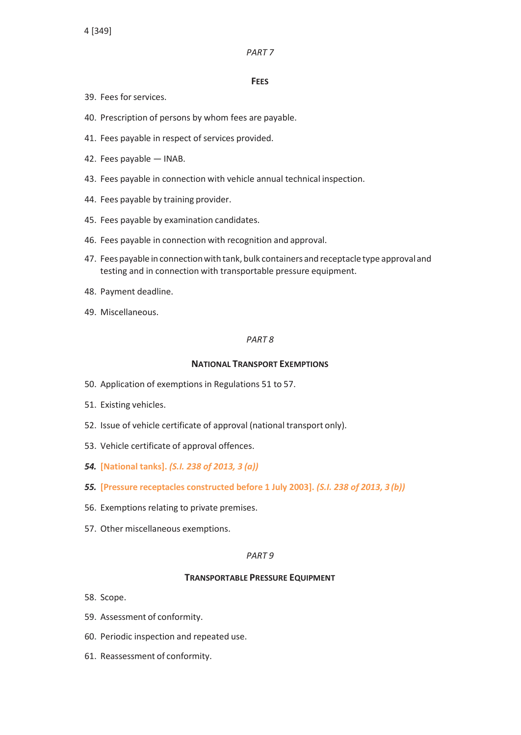### *PART 7*

### **FEES**

- 39. Fees forservices.
- 40. Prescription of persons by whom fees are payable.
- 41. Fees payable in respect of services provided.
- 42. Fees payable INAB.
- 43. Fees payable in connection with vehicle annual technical inspection.
- 44. Fees payable by training provider.
- 45. Fees payable by examination candidates.
- 46. Fees payable in connection with recognition and approval.
- 47. Feespayable in connectionwith tank, bulk containers and receptacle type approvaland testing and in connection with transportable pressure equipment.
- 48. Payment deadline.
- 49. Miscellaneous.

### *PART 8*

### **NATIONAL TRANSPORT EXEMPTIONS**

- 50. Application of exemptions in Regulations 51 to 57.
- 51. Existing vehicles.
- 52. Issue of vehicle certificate of approval (national transport only).
- 53. Vehicle certificate of approval offences.
- *54.* **[National tanks].** *(S.I. 238 of 2013, 3 (a))*
- *55.* **[Pressure receptacles constructed before 1 July 2003].** *(S.I. 238 of 2013, 3 (b))*
- 56. Exemptions relating to private premises.
- 57. Other miscellaneous exemptions.

### *PART 9*

### **TRANSPORTABLE PRESSURE EQUIPMENT**

- 58. Scope.
- 59. Assessment of conformity.
- 60. Periodic inspection and repeated use.
- 61. Reassessment of conformity.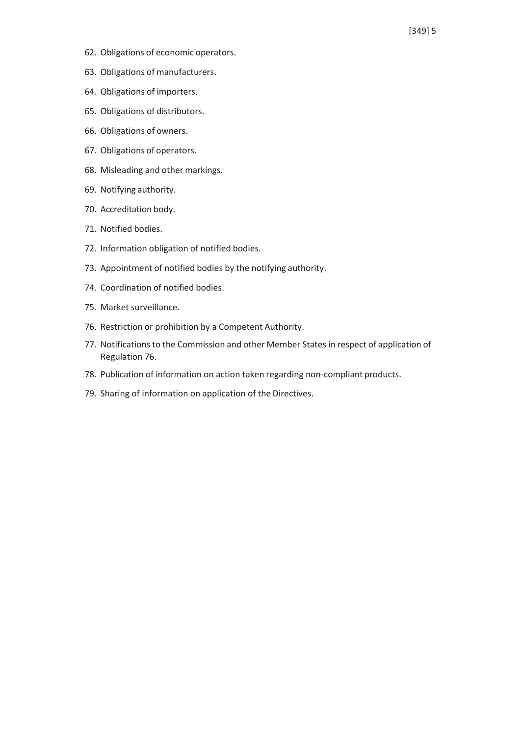- 62. Obligations of economic operators.
- 63. Obligations of manufacturers.
- 64. Obligations of importers.
- 65. Obligations of distributors.
- 66. Obligations of owners.
- 67. Obligations of operators.
- 68. Misleading and other markings.
- 69. Notifying authority.
- 70. Accreditation body.
- 71. Notified bodies.
- 72. Information obligation of notified bodies.
- 73. Appointment of notified bodies by the notifying authority.
- 74. Coordination of notified bodies.
- 75. Market surveillance.
- 76. Restriction or prohibition by a Competent Authority.
- 77. Notifications to the Commission and other Member States in respect of application of Regulation 76.
- 78. Publication of information on action taken regarding non-compliant products.
- 79. Sharing of information on application of the Directives.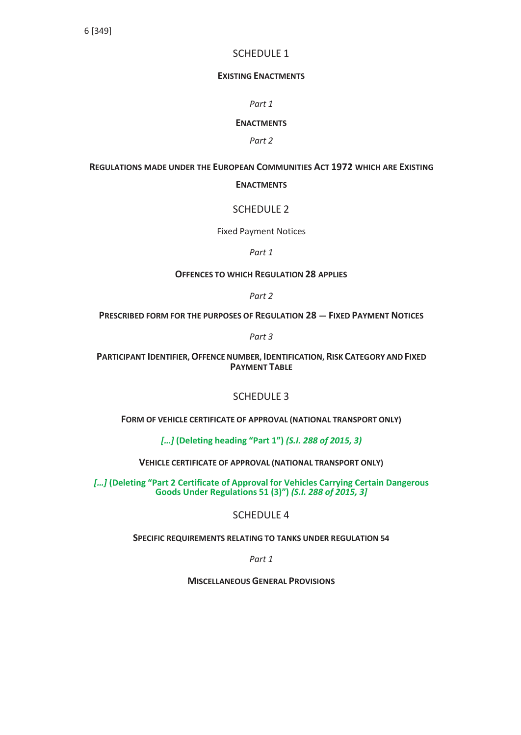## SCHEDULE 1

#### **EXISTING ENACTMENTS**

*Part 1*

#### **ENACTMENTS**

*Part 2*

### **REGULATIONS MADE UNDER THE EUROPEAN COMMUNITIES ACT 1972 WHICH ARE EXISTING**

#### **ENACTMENTS**

## SCHEDULE 2

Fixed Payment Notices

*Part 1*

#### **OFFENCES TO WHICH REGULATION 28 APPLIES**

*Part 2*

**PRESCRIBED FORM FOR THE PURPOSES OF REGULATION 28 — FIXED PAYMENT NOTICES**

*Part 3*

**PARTICIPANT IDENTIFIER,OFFENCE NUMBER, IDENTIFICATION, RISK CATEGORY AND FIXED PAYMENT TABLE**

## SCHEDULE 3

**FORM OF VEHICLE CERTIFICATE OF APPROVAL (NATIONAL TRANSPORT ONLY)**

*[…]* **(Deleting heading "Part 1")** *(S.I. 288 of 2015, 3)*

**VEHICLE CERTIFICATE OF APPROVAL (NATIONAL TRANSPORT ONLY)**

*[…]* **(Deleting "Part 2 Certificate of Approval for Vehicles Carrying Certain Dangerous Goods Under Regulations 51 (3)")** *(S.I. 288 of 2015, 3]*

SCHEDULE 4

**SPECIFIC REQUIREMENTS RELATING TO TANKS UNDER REGULATION 54**

*Part 1*

**MISCELLANEOUS GENERAL PROVISIONS**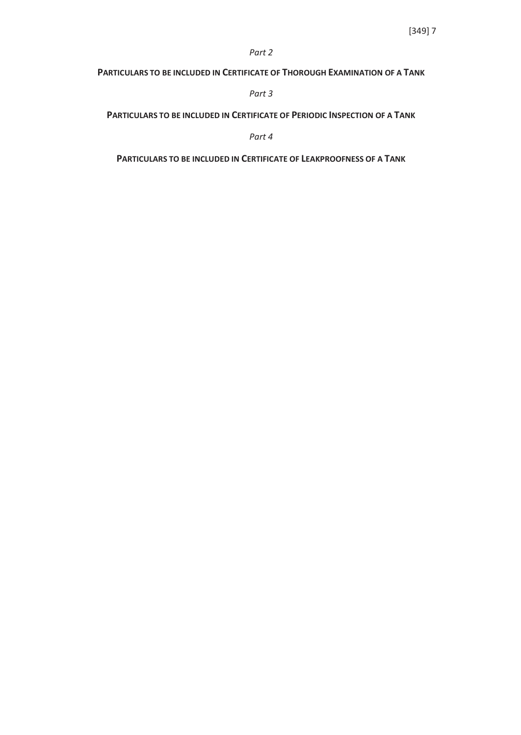#### *Part 2*

### **PARTICULARS TO BE INCLUDED IN CERTIFICATE OF THOROUGH EXAMINATION OF A TANK**

*Part 3*

**PARTICULARS TO BE INCLUDED IN CERTIFICATE OF PERIODIC INSPECTION OF A TANK**

*Part 4*

**PARTICULARS TO BE INCLUDED IN CERTIFICATE OF LEAKPROOFNESS OF A TANK**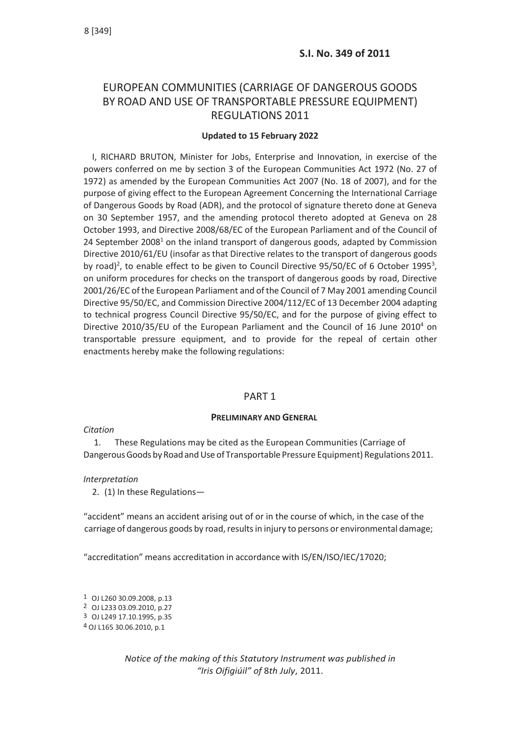# EUROPEAN COMMUNITIES (CARRIAGE OF DANGEROUS GOODS BY ROAD AND USE OF TRANSPORTABLE PRESSURE EQUIPMENT) REGULATIONS 2011

### **Updated to 15 February 2022**

I, RICHARD BRUTON, Minister for Jobs, Enterprise and Innovation, in exercise of the powers conferred on me by section 3 of the European Communities Act 1972 (No. 27 of 1972) as amended by the European Communities Act 2007 (No. 18 of 2007), and for the purpose of giving effect to the European Agreement Concerning the International Carriage of Dangerous Goods by Road (ADR), and the protocol of signature thereto done at Geneva on 30 September 1957, and the amending protocol thereto adopted at Geneva on 28 October 1993, and Directive 2008/68/EC of the European Parliament and of the Council of 24 September 2008 $^1$  on the inland transport of dangerous goods, adapted by Commission Directive 2010/61/EU (insofar as that Directive relates to the transport of dangerous goods by road)<sup>2</sup>, to enable effect to be given to Council Directive 95/50/EC of 6 October 1995<sup>3</sup>, on uniform procedures for checks on the transport of dangerous goods by road, Directive 2001/26/EC of the European Parliament and of the Council of 7 May 2001 amending Council Directive 95/50/EC, and Commission Directive 2004/112/EC of 13 December 2004 adapting to technical progress Council Directive 95/50/EC, and for the purpose of giving effect to Directive 2010/35/EU of the European Parliament and the Council of 16 June 2010 $4$  on transportable pressure equipment, and to provide for the repeal of certain other enactments hereby make the following regulations:

### PART 1

### **PRELIMINARY AND GENERAL**

### *Citation*

1. These Regulations may be cited as the European Communities (Carriage of Dangerous Goods by Road and Use of Transportable Pressure Equipment) Regulations 2011.

### *Interpretation*

2. (1) In these Regulations—

"accident" means an accident arising out of or in the course of which, in the case of the carriage of dangerous goods by road, results in injury to persons or environmental damage;

"accreditation" means accreditation in accordance with IS/EN/ISO/IEC/17020;

 OJ L260 30.09.2008, p.13 OJ L233 03.09.2010, p.27 OJ L249 17.10.1995, p.35 OJ L165 30.06.2010, p.1

> *Notice of the making of this Statutory Instrument was published in "Iris Oifigiúil" of* 8*th July*, 2011.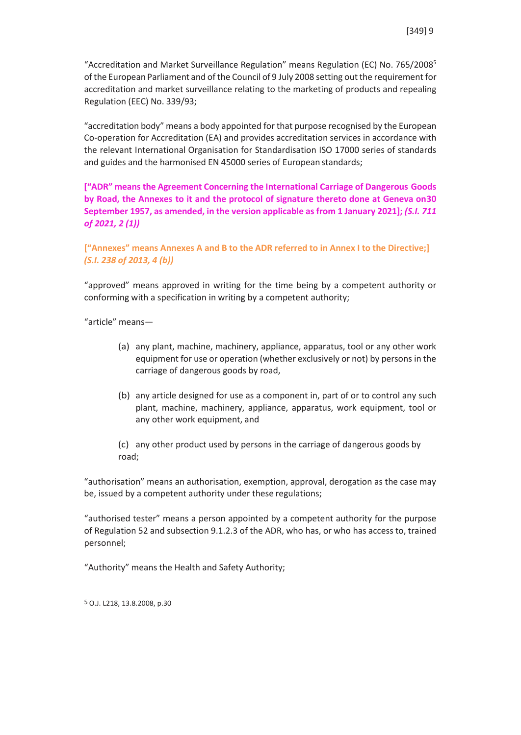"Accreditation and Market Surveillance Regulation" means Regulation (EC) No. 765/2008<sup>5</sup> of the European Parliament and of the Council of 9 July 2008 setting out the requirement for accreditation and market surveillance relating to the marketing of products and repealing Regulation (EEC) No. 339/93;

"accreditation body" means a body appointed for that purpose recognised by the European Co-operation for Accreditation (EA) and provides accreditation services in accordance with the relevant International Organisation for Standardisation ISO 17000 series of standards and guides and the harmonised EN 45000 series of European standards;

**["ADR" means the Agreement Concerning the International Carriage of Dangerous Goods by Road, the Annexes to it and the protocol of signature thereto done at Geneva on 30 September 1957, as amended, in the version applicable as from 1 January 2021];** *(S.I. 711 of 2021, 2 (1))*

## **["Annexes" means Annexes A and B to the ADR referred to in Annex I to the Directive;]** *(S.I. 238 of 2013, 4 (b))*

"approved" means approved in writing for the time being by a competent authority or conforming with a specification in writing by a competent authority;

"article" means—

- (a) any plant, machine, machinery, appliance, apparatus, tool or any other work equipment for use or operation (whether exclusively or not) by persons in the carriage of dangerous goods by road,
- (b) any article designed for use as a component in, part of or to control any such plant, machine, machinery, appliance, apparatus, work equipment, tool or any other work equipment, and

(c) any other product used by persons in the carriage of dangerous goods by road;

"authorisation" means an authorisation, exemption, approval, derogation as the case may be, issued by a competent authority under these regulations;

"authorised tester" means a person appointed by a competent authority for the purpose of Regulation 52 and subsection 9.1.2.3 of the ADR, who has, or who has access to, trained personnel;

"Authority" means the Health and Safety Authority;

5 O.J. L218, 13.8.2008, p.30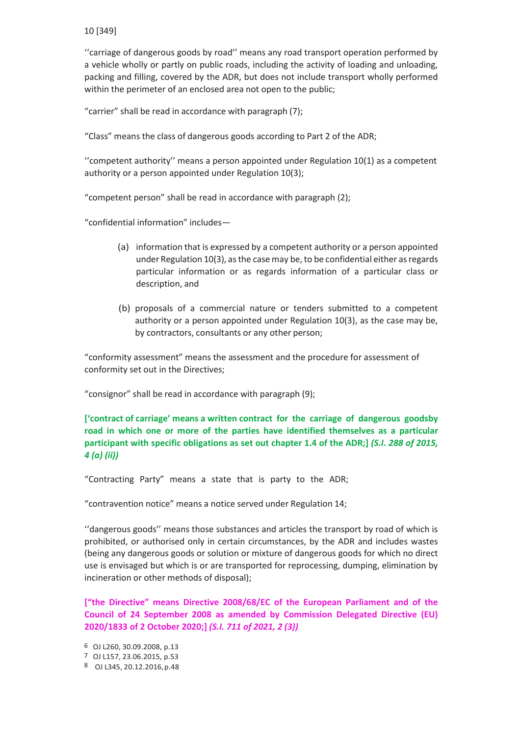''carriage of dangerous goods by road'' means any road transport operation performed by a vehicle wholly or partly on public roads, including the activity of loading and unloading, packing and filling, covered by the ADR, but does not include transport wholly performed within the perimeter of an enclosed area not open to the public;

"carrier" shall be read in accordance with paragraph (7);

"Class" means the class of dangerous goods according to Part 2 of the ADR;

''competent authority'' means a person appointed under Regulation 10(1) as a competent authority or a person appointed under Regulation 10(3);

"competent person" shall be read in accordance with paragraph (2);

"confidential information" includes—

- (a) information that is expressed by a competent authority or a person appointed under Regulation  $10(3)$ , as the case may be, to be confidential either as regards particular information or as regards information of a particular class or description, and
- (b) proposals of a commercial nature or tenders submitted to a competent authority or a person appointed under Regulation 10(3), as the case may be, by contractors, consultants or any other person;

"conformity assessment" means the assessment and the procedure for assessment of conformity set out in the Directives;

"consignor" shall be read in accordance with paragraph (9);

**['contract of carriage' means a written contract for the carriage of dangerous goodsby road in which one or more of the parties have identified themselves as a particular participant with specific obligations as set out chapter 1.4 of the ADR;]** *(S.I. 288 of 2015, 4 (a) (ii))*

"Contracting Party" means a state that is party to the ADR;

"contravention notice" means a notice served under Regulation 14;

''dangerous goods'' means those substances and articles the transport by road of which is prohibited, or authorised only in certain circumstances, by the ADR and includes wastes (being any dangerous goods or solution or mixture of dangerous goods for which no direct use is envisaged but which is or are transported for reprocessing, dumping, elimination by incineration or other methods of disposal);

**["the Directive" means Directive 2008/68/EC of the European Parliament and of the Council of 24 September 2008 as amended by Commission Delegated Directive (EU) 2020/1833 of 2 October 2020;]** *(S.I. 711 of 2021, 2 (3))*

6 OJ L260, 30.09.2008, p.13

<sup>7</sup> OJ L157, 23.06.2015, p.53

<sup>8</sup> OJ L345, 20.12.2016,p.48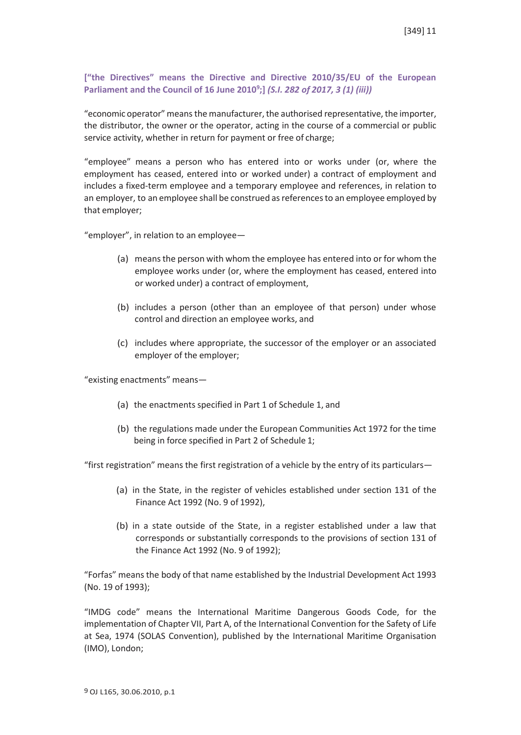## **["the Directives" means the Directive and Directive 2010/35/EU of the European Parliament and the Council of 16 June 20109 ;]** *(S.I. 282 of 2017, 3 (1) (iii))*

"economic operator" means the manufacturer, the authorised representative, the importer, the distributor, the owner or the operator, acting in the course of a commercial or public service activity, whether in return for payment or free of charge;

"employee" means a person who has entered into or works under (or, where the employment has ceased, entered into or worked under) a contract of employment and includes a fixed-term employee and a temporary employee and references, in relation to an employer, to an employee shall be construed asreferencesto an employee employed by that employer;

"employer", in relation to an employee—

- (a) meansthe person with whom the employee has entered into or for whom the employee works under (or, where the employment has ceased, entered into or worked under) a contract of employment,
- (b) includes a person (other than an employee of that person) under whose control and direction an employee works, and
- (c) includes where appropriate, the successor of the employer or an associated employer of the employer;

"existing enactments" means—

- (a) the enactments specified in Part 1 of Schedule 1, and
- (b) the regulations made under the European Communities Act 1972 for the time being in force specified in Part 2 of Schedule 1;

"first registration" means the first registration of a vehicle by the entry of its particulars—

- (a) in the State, in the register of vehicles established under section 131 of the Finance Act 1992 (No. 9 of 1992),
- (b) in a state outside of the State, in a register established under a law that corresponds or substantially corresponds to the provisions of section 131 of the Finance Act 1992 (No. 9 of 1992);

"Forfas" means the body of that name established by the Industrial Development Act 1993 (No. 19 of 1993);

"IMDG code" means the International Maritime Dangerous Goods Code, for the implementation of Chapter VII, Part A, of the International Convention for the Safety of Life at Sea, 1974 (SOLAS Convention), published by the International Maritime Organisation (IMO), London;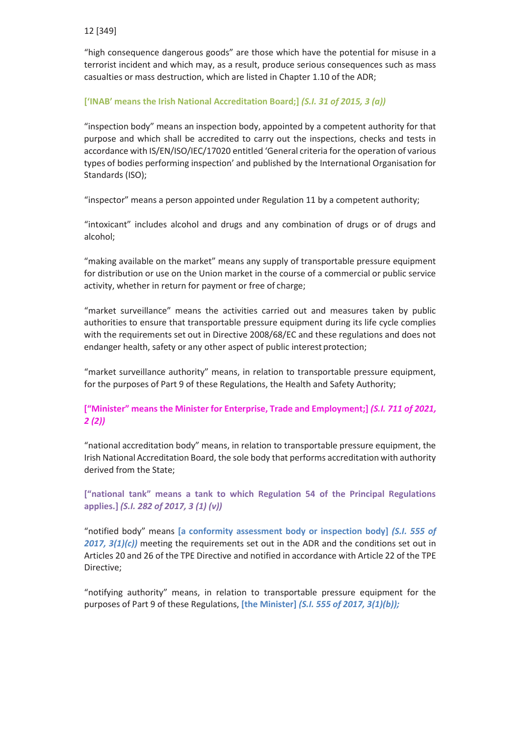"high consequence dangerous goods" are those which have the potential for misuse in a terrorist incident and which may, as a result, produce serious consequences such as mass casualties or mass destruction, which are listed in Chapter 1.10 of the ADR;

## **['INAB' means the Irish National Accreditation Board;]** *(S.I. 31 of 2015, 3 (a))*

"inspection body" means an inspection body, appointed by a competent authority for that purpose and which shall be accredited to carry out the inspections, checks and tests in accordance with IS/EN/ISO/IEC/17020 entitled 'General criteria for the operation of various types of bodies performing inspection' and published by the International Organisation for Standards (ISO);

"inspector" means a person appointed under Regulation 11 by a competent authority;

"intoxicant" includes alcohol and drugs and any combination of drugs or of drugs and alcohol;

"making available on the market" means any supply of transportable pressure equipment for distribution or use on the Union market in the course of a commercial or public service activity, whether in return for payment or free of charge;

"market surveillance" means the activities carried out and measures taken by public authorities to ensure that transportable pressure equipment during its life cycle complies with the requirements set out in Directive 2008/68/EC and these regulations and does not endanger health, safety or any other aspect of public interest protection;

"market surveillance authority" means, in relation to transportable pressure equipment, for the purposes of Part 9 of these Regulations, the Health and Safety Authority;

## **["Minister" means the Minister for Enterprise, Trade and Employment;]** *(S.I. 711 of 2021, 2 (2))*

"national accreditation body" means, in relation to transportable pressure equipment, the Irish National Accreditation Board, the sole body that performs accreditation with authority derived from the State;

**["national tank" means a tank to which Regulation 54 of the Principal Regulations applies.]** *(S.I. 282 of 2017, 3 (1) (v))*

"notified body" means **[a conformity assessment body or inspection body]** *(S.I. 555 of 2017, 3(1)(c))* meeting the requirements set out in the ADR and the conditions set out in Articles 20 and 26 of the TPE Directive and notified in accordance with Article 22 of the TPE Directive;

"notifying authority" means, in relation to transportable pressure equipment for the purposes of Part 9 of these Regulations, **[the Minister]** *(S.I. 555 of 2017, 3(1)(b));*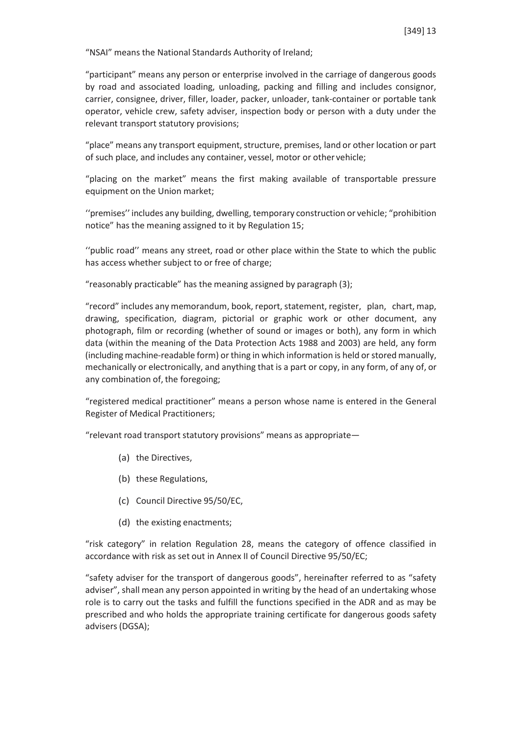"NSAI" means the National Standards Authority of Ireland;

"participant" means any person or enterprise involved in the carriage of dangerous goods by road and associated loading, unloading, packing and filling and includes consignor, carrier, consignee, driver, filler, loader, packer, unloader, tank-container or portable tank operator, vehicle crew, safety adviser, inspection body or person with a duty under the relevant transport statutory provisions;

"place" means any transport equipment, structure, premises, land or other location or part of such place, and includes any container, vessel, motor or other vehicle;

"placing on the market" means the first making available of transportable pressure equipment on the Union market:

''premises'' includes any building, dwelling, temporary construction or vehicle; "prohibition notice" has the meaning assigned to it by Regulation 15;

''public road'' means any street, road or other place within the State to which the public has access whether subject to or free of charge;

"reasonably practicable" has the meaning assigned by paragraph (3);

"record" includes any memorandum, book, report, statement, register, plan, chart, map, drawing, specification, diagram, pictorial or graphic work or other document, any photograph, film or recording (whether of sound or images or both), any form in which data (within the meaning of the Data Protection Acts 1988 and 2003) are held, any form (including machine-readable form) or thing in which information is held or stored manually, mechanically or electronically, and anything that is a part or copy, in any form, of any of, or any combination of, the foregoing;

"registered medical practitioner" means a person whose name is entered in the General Register of Medical Practitioners;

"relevant road transport statutory provisions" means as appropriate—

- (a) the Directives,
- (b) these Regulations,
- (c) Council Directive 95/50/EC,
- (d) the existing enactments;

"risk category" in relation Regulation 28, means the category of offence classified in accordance with risk as set out in Annex II of Council Directive 95/50/EC;

"safety adviser for the transport of dangerous goods", hereinafter referred to as "safety adviser", shall mean any person appointed in writing by the head of an undertaking whose role is to carry out the tasks and fulfill the functions specified in the ADR and as may be prescribed and who holds the appropriate training certificate for dangerous goods safety advisers (DGSA);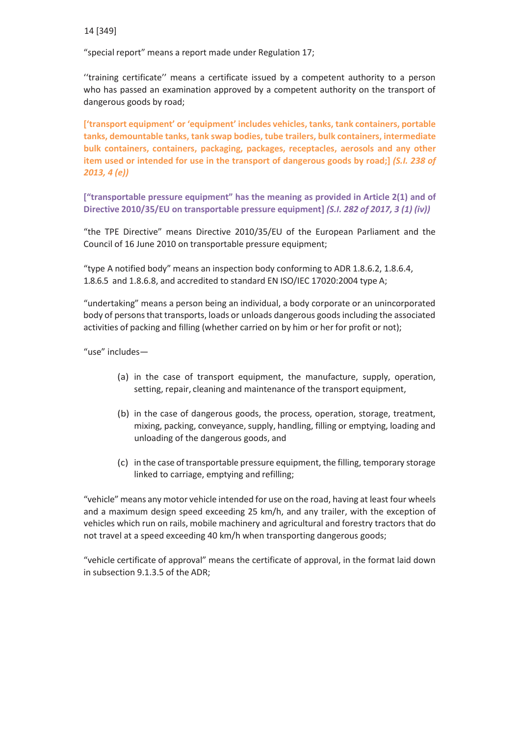"special report" means a report made under Regulation 17;

''training certificate'' means a certificate issued by a competent authority to a person who has passed an examination approved by a competent authority on the transport of dangerous goods by road;

**['transport equipment' or 'equipment' includes vehicles, tanks, tank containers, portable tanks, demountable tanks, tank swap bodies, tube trailers, bulk containers, intermediate bulk containers, containers, packaging, packages, receptacles, aerosols and any other item used or intended for use in the transport of dangerous goods by road;]** *(S.I. 238 of 2013, 4 (e))*

**["transportable pressure equipment" has the meaning as provided in Article 2(1) and of Directive 2010/35/EU on transportable pressure equipment]** *(S.I. 282 of 2017, 3 (1) (iv))*

"the TPE Directive" means Directive 2010/35/EU of the European Parliament and the Council of 16 June 2010 on transportable pressure equipment;

"type A notified body" means an inspection body conforming to ADR 1.8.6.2, 1.8.6.4, 1.8.6.5 and 1.8.6.8, and accredited to standard EN ISO/IEC 17020:2004 type A;

"undertaking" means a person being an individual, a body corporate or an unincorporated body of personsthat transports, loads or unloads dangerous goodsincluding the associated activities of packing and filling (whether carried on by him or her for profit or not);

"use" includes—

- (a) in the case of transport equipment, the manufacture, supply, operation, setting, repair, cleaning and maintenance of the transport equipment,
- (b) in the case of dangerous goods, the process, operation, storage, treatment, mixing, packing, conveyance, supply, handling, filling or emptying, loading and unloading of the dangerous goods, and
- (c) in the case oftransportable pressure equipment, the filling, temporary storage linked to carriage, emptying and refilling;

"vehicle" means any motor vehicle intended for use on the road, having at least four wheels and a maximum design speed exceeding 25 km/h, and any trailer, with the exception of vehicles which run on rails, mobile machinery and agricultural and forestry tractors that do not travel at a speed exceeding 40 km/h when transporting dangerous goods;

"vehicle certificate of approval" means the certificate of approval, in the format laid down in subsection 9.1.3.5 of the ADR;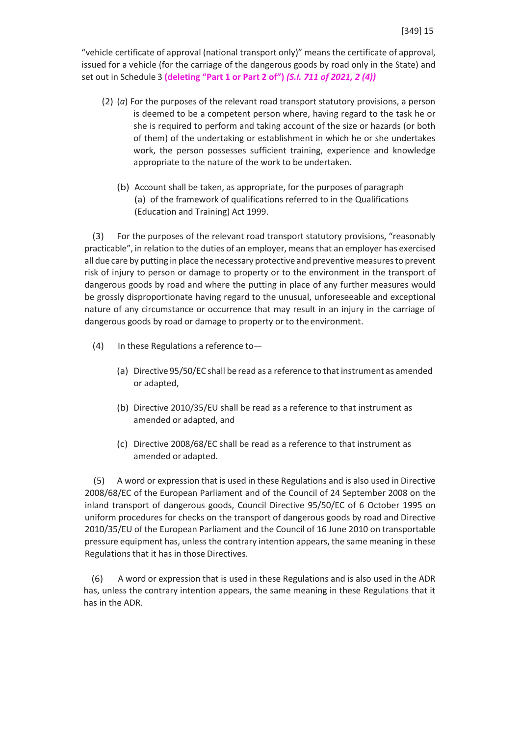"vehicle certificate of approval (national transport only)" means the certificate of approval, issued for a vehicle (for the carriage of the dangerous goods by road only in the State) and set out in Schedule 3 **(deleting "Part 1 or Part 2 of")** *(S.I. 711 of 2021, 2 (4))*

- (2) (*a*) For the purposes of the relevant road transport statutory provisions, a person is deemed to be a competent person where, having regard to the task he or she is required to perform and taking account of the size or hazards (or both of them) of the undertaking or establishment in which he or she undertakes work, the person possesses sufficient training, experience and knowledge appropriate to the nature of the work to be undertaken.
	- (b) Account shall be taken, as appropriate, for the purposes of paragraph (a) of the framework of qualifications referred to in the Qualifications (Education and Training) Act 1999.

(3) For the purposes of the relevant road transport statutory provisions, "reasonably practicable", in relation to the duties of an employer, means that an employer has exercised all due care by putting in place the necessary protective and preventive measures to prevent risk of injury to person or damage to property or to the environment in the transport of dangerous goods by road and where the putting in place of any further measures would be grossly disproportionate having regard to the unusual, unforeseeable and exceptional nature of any circumstance or occurrence that may result in an injury in the carriage of dangerous goods by road or damage to property or to the environment.

- (4) In these Regulations a reference to—
	- (a) Directive 95/50/EC shall be read as a reference to that instrument as amended or adapted,
	- (b) Directive 2010/35/EU shall be read as a reference to that instrument as amended or adapted, and
	- (c) Directive 2008/68/EC shall be read as a reference to that instrument as amended or adapted.

(5) A word or expression that is used in these Regulations and is also used in Directive 2008/68/EC of the European Parliament and of the Council of 24 September 2008 on the inland transport of dangerous goods, Council Directive 95/50/EC of 6 October 1995 on uniform procedures for checks on the transport of dangerous goods by road and Directive 2010/35/EU of the European Parliament and the Council of 16 June 2010 on transportable pressure equipment has, unless the contrary intention appears, the same meaning in these Regulations that it has in those Directives.

(6) A word or expression that is used in these Regulations and is also used in the ADR has, unless the contrary intention appears, the same meaning in these Regulations that it has in the ADR.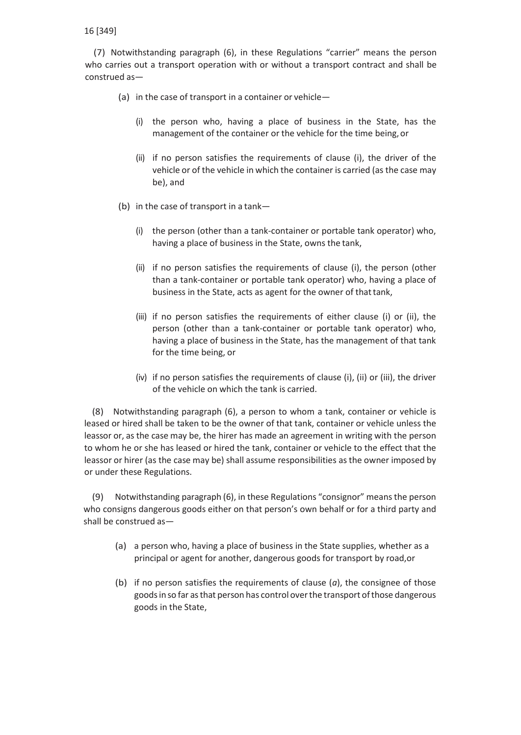(7) Notwithstanding paragraph (6), in these Regulations "carrier" means the person who carries out a transport operation with or without a transport contract and shall be construed as—

- (a) in the case of transport in a container or vehicle—
	- (i) the person who, having a place of business in the State, has the management of the container or the vehicle for the time being, or
	- (ii) if no person satisfies the requirements of clause (i), the driver of the vehicle or of the vehicle in which the container is carried (as the case may be), and
- (b) in the case of transport in a tank—
	- (i) the person (other than a tank-container or portable tank operator) who, having a place of business in the State, owns the tank,
	- (ii) if no person satisfies the requirements of clause (i), the person (other than a tank-container or portable tank operator) who, having a place of business in the State, acts as agent for the owner of that tank,
	- (iii) if no person satisfies the requirements of either clause (i) or (ii), the person (other than a tank-container or portable tank operator) who, having a place of business in the State, has the management of that tank for the time being, or
	- (iv) if no person satisfies the requirements of clause (i), (ii) or (iii), the driver of the vehicle on which the tank is carried.

(8) Notwithstanding paragraph (6), a person to whom a tank, container or vehicle is leased or hired shall be taken to be the owner of that tank, container or vehicle unless the leassor or, as the case may be, the hirer has made an agreement in writing with the person to whom he or she has leased or hired the tank, container or vehicle to the effect that the leassor or hirer (as the case may be) shall assume responsibilities as the owner imposed by or under these Regulations.

(9) Notwithstanding paragraph (6), in these Regulations "consignor" meansthe person who consigns dangerous goods either on that person's own behalf or for a third party and shall be construed as—

- (a) a person who, having a place of business in the State supplies, whether as a principal or agent for another, dangerous goods for transport by road,or
- (b) if no person satisfies the requirements of clause (*a*), the consignee of those goodsin so far asthat person has control overthe transport ofthose dangerous goods in the State,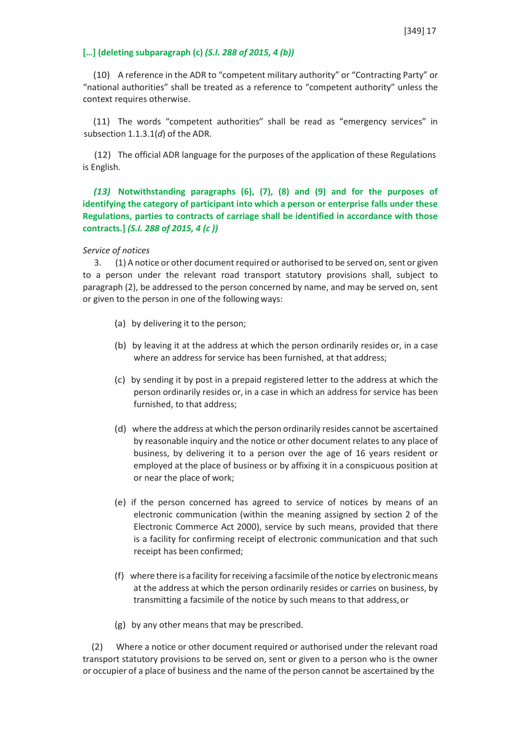### **[…] (deleting subparagraph (c)** *(S.I. 288 of 2015, 4 (b))*

(10) A reference in the ADR to "competent military authority" or "Contracting Party" or "national authorities" shall be treated as a reference to "competent authority" unless the context requires otherwise.

(11) The words "competent authorities" shall be read as "emergency services" in subsection 1.1.3.1(*d*) of the ADR.

(12) The official ADR language for the purposes of the application of these Regulations is English.

*(13)* **Notwithstanding paragraphs (6), (7), (8) and (9) and for the purposes of identifying the category of participant into which a person or enterprise falls under these Regulations, parties to contracts of carriage shall be identified in accordance with those contracts.]** *(S.I. 288 of 2015, 4 (c ))*

#### *Service of notices*

3. (1) A notice or other document required or authorised to be served on, sent or given to a person under the relevant road transport statutory provisions shall, subject to paragraph (2), be addressed to the person concerned by name, and may be served on, sent or given to the person in one of the following ways:

- (a) by delivering it to the person;
- (b) by leaving it at the address at which the person ordinarily resides or, in a case where an address for service has been furnished, at that address;
- (c) by sending it by post in a prepaid registered letter to the address at which the person ordinarily resides or, in a case in which an address for service has been furnished, to that address;
- (d) where the address at which the person ordinarily resides cannot be ascertained by reasonable inquiry and the notice or other document relates to any place of business, by delivering it to a person over the age of 16 years resident or employed at the place of business or by affixing it in a conspicuous position at or near the place of work;
- (e) if the person concerned has agreed to service of notices by means of an electronic communication (within the meaning assigned by section 2 of the Electronic Commerce Act 2000), service by such means, provided that there is a facility for confirming receipt of electronic communication and that such receipt has been confirmed;
- (f) where there is a facility for receiving a facsimile of the notice by electronic means at the address at which the person ordinarily resides or carries on business, by transmitting a facsimile of the notice by such means to that address,or
- (g) by any other means that may be prescribed.

(2) Where a notice or other document required or authorised under the relevant road transport statutory provisions to be served on, sent or given to a person who is the owner or occupier of a place of business and the name of the person cannot be ascertained by the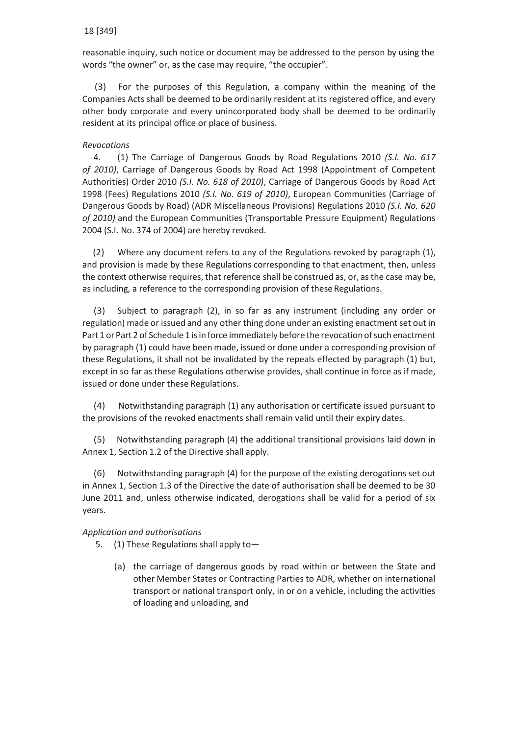reasonable inquiry, such notice or document may be addressed to the person by using the words "the owner" or, as the case may require, "the occupier".

(3) For the purposes of this Regulation, a company within the meaning of the Companies Acts shall be deemed to be ordinarily resident at its registered office, and every other body corporate and every unincorporated body shall be deemed to be ordinarily resident at its principal office or place of business.

### *Revocations*

4. (1) The Carriage of Dangerous Goods by Road Regulations 2010 *(S.I. No. 617 of 2010)*, Carriage of Dangerous Goods by Road Act 1998 (Appointment of Competent Authorities) Order 2010 *(S.I. No. 618 of 2010)*, Carriage of Dangerous Goods by Road Act 1998 (Fees) Regulations 2010 *(S.I. No. 619 of 2010)*, European Communities (Carriage of Dangerous Goods by Road) (ADR Miscellaneous Provisions) Regulations 2010 *(S.I. No. 620 of 2010)* and the European Communities (Transportable Pressure Equipment) Regulations 2004 (S.I. No. 374 of 2004) are hereby revoked.

(2) Where any document refers to any of the Regulations revoked by paragraph (1), and provision is made by these Regulations corresponding to that enactment, then, unless the context otherwise requires, that reference shall be construed as, or, as the case may be, as including, a reference to the corresponding provision of these Regulations.

(3) Subject to paragraph (2), in so far as any instrument (including any order or regulation) made or issued and any other thing done under an existing enactment set out in Part 1 or Part 2 of Schedule 1 is in force immediately before the revocation of such enactment by paragraph (1) could have been made, issued or done under a corresponding provision of these Regulations, it shall not be invalidated by the repeals effected by paragraph (1) but, except in so far as these Regulations otherwise provides, shall continue in force as if made, issued or done under these Regulations.

(4) Notwithstanding paragraph (1) any authorisation or certificate issued pursuant to the provisions of the revoked enactments shall remain valid until their expiry dates.

(5) Notwithstanding paragraph (4) the additional transitional provisions laid down in Annex 1, Section 1.2 of the Directive shall apply.

(6) Notwithstanding paragraph (4) for the purpose of the existing derogations set out in Annex 1, Section 1.3 of the Directive the date of authorisation shall be deemed to be 30 June 2011 and, unless otherwise indicated, derogations shall be valid for a period of six years.

### *Application and authorisations*

5. (1) These Regulations shall apply to—

(a) the carriage of dangerous goods by road within or between the State and other Member States or Contracting Parties to ADR, whether on international transport or national transport only, in or on a vehicle, including the activities of loading and unloading, and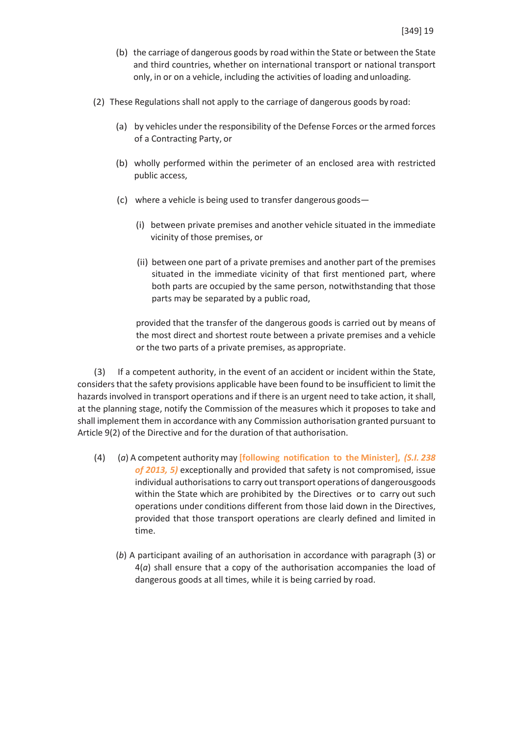- (b) the carriage of dangerous goods by road within the State or between the State and third countries, whether on international transport or national transport only, in or on a vehicle, including the activities of loading andunloading.
- (2) These Regulations shall not apply to the carriage of dangerous goods by road:
	- (a) by vehicles under the responsibility of the Defense Forces orthe armed forces of a Contracting Party, or
	- (b) wholly performed within the perimeter of an enclosed area with restricted public access,
	- (c) where a vehicle is being used to transfer dangerous goods—
		- (i) between private premises and another vehicle situated in the immediate vicinity of those premises, or
		- (ii) between one part of a private premises and another part of the premises situated in the immediate vicinity of that first mentioned part, where both parts are occupied by the same person, notwithstanding that those parts may be separated by a public road,

provided that the transfer of the dangerous goods is carried out by means of the most direct and shortest route between a private premises and a vehicle or the two parts of a private premises, as appropriate.

(3) If a competent authority, in the event of an accident or incident within the State, considersthat the safety provisions applicable have been found to be insufficient to limit the hazards involved in transport operations and if there is an urgent need to take action, it shall, at the planning stage, notify the Commission of the measures which it proposes to take and shall implement them in accordance with any Commission authorisation granted pursuant to Article 9(2) of the Directive and for the duration of that authorisation.

- (4) (*a*) A competent authority may **[following notification to the Minister],** *(S.I. 238 of 2013, 5)* exceptionally and provided that safety is not compromised, issue individual authorisations to carry out transport operations of dangerousgoods within the State which are prohibited by the Directives or to carry out such operations under conditions different from those laid down in the Directives, provided that those transport operations are clearly defined and limited in time.
	- (*b*) A participant availing of an authorisation in accordance with paragraph (3) or 4(*a*) shall ensure that a copy of the authorisation accompanies the load of dangerous goods at all times, while it is being carried by road.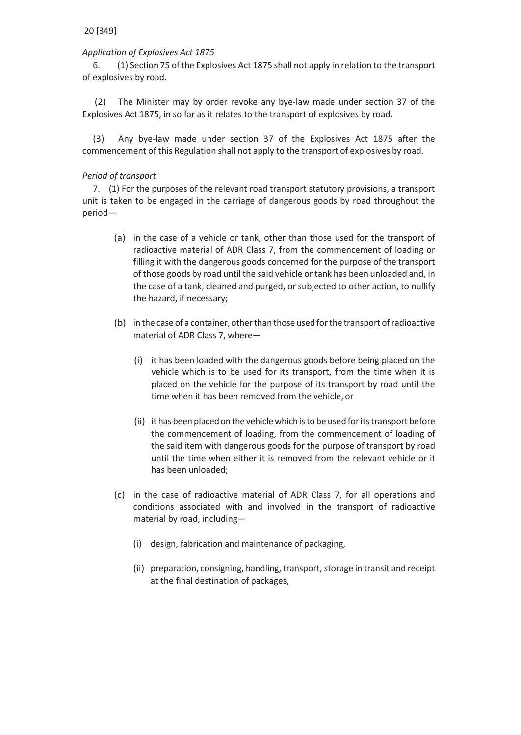### *Application of Explosives Act 1875*

6. (1) Section 75 of the Explosives Act 1875 shall not apply in relation to the transport of explosives by road.

(2) The Minister may by order revoke any bye-law made under section 37 of the Explosives Act 1875, in so far as it relates to the transport of explosives by road.

(3) Any bye-law made under section 37 of the Explosives Act 1875 after the commencement of this Regulation shall not apply to the transport of explosives by road.

#### *Period of transport*

7. (1) For the purposes of the relevant road transport statutory provisions, a transport unit is taken to be engaged in the carriage of dangerous goods by road throughout the period—

- (a) in the case of a vehicle or tank, other than those used for the transport of radioactive material of ADR Class 7, from the commencement of loading or filling it with the dangerous goods concerned for the purpose of the transport of those goods by road until the said vehicle or tank has been unloaded and, in the case of a tank, cleaned and purged, or subjected to other action, to nullify the hazard, if necessary;
- (b) in the case of a container, otherthan those used forthe transport ofradioactive material of ADR Class 7, where—
	- (i) it has been loaded with the dangerous goods before being placed on the vehicle which is to be used for its transport, from the time when it is placed on the vehicle for the purpose of its transport by road until the time when it has been removed from the vehicle, or
	- (ii) it has been placed on the vehicle which is to be used for its transport before the commencement of loading, from the commencement of loading of the said item with dangerous goods for the purpose of transport by road until the time when either it is removed from the relevant vehicle or it has been unloaded;
- (c) in the case of radioactive material of ADR Class 7, for all operations and conditions associated with and involved in the transport of radioactive material by road, including—
	- (i) design, fabrication and maintenance of packaging,
	- (ii) preparation, consigning, handling, transport, storage in transit and receipt at the final destination of packages,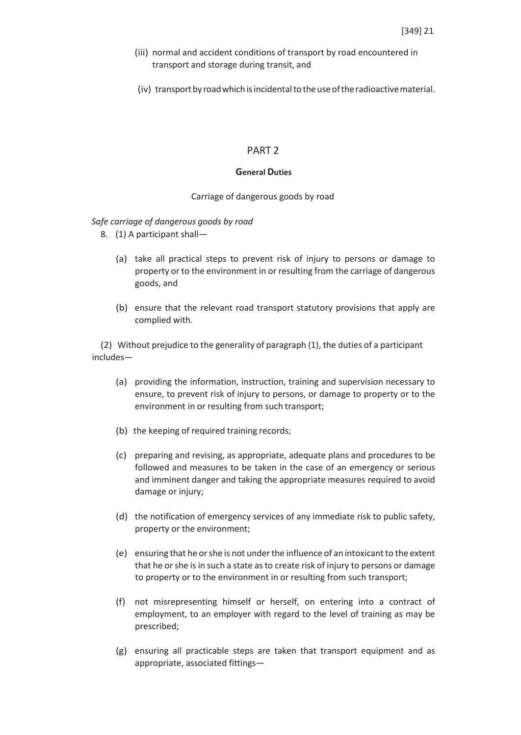- (iii) normal and accident conditions of transport by road encountered in transport and storage during transit, and
- (iv) transport by road which is incidental to the use of the radioactive material.

#### PART 2

#### **General Duties**

#### Carriage of dangerous goods by road

#### *Safe carriage of dangerous goods by road*

- 8. (1) A participant shall—
	- (a) take all practical steps to prevent risk of injury to persons or damage to property or to the environment in or resulting from the carriage of dangerous goods, and
	- (b) ensure that the relevant road transport statutory provisions that apply are complied with.

(2) Without prejudice to the generality of paragraph (1), the duties of a participant includes—

- (a) providing the information, instruction, training and supervision necessary to ensure, to prevent risk of injury to persons, or damage to property or to the environment in or resulting from such transport;
- (b) the keeping of required training records;
- (c) preparing and revising, as appropriate, adequate plans and procedures to be followed and measures to be taken in the case of an emergency or serious and imminent danger and taking the appropriate measures required to avoid damage or injury;
- (d) the notification of emergency services of any immediate risk to public safety, property or the environment;
- (e) ensuring that he orshe is not underthe influence of an intoxicantto the extent that he orshe is in such a state asto create risk of injury to persons or damage to property or to the environment in or resulting from such transport;
- (f) not misrepresenting himself or herself, on entering into a contract of employment, to an employer with regard to the level of training as may be prescribed;
- (g) ensuring all practicable steps are taken that transport equipment and as appropriate, associated fittings—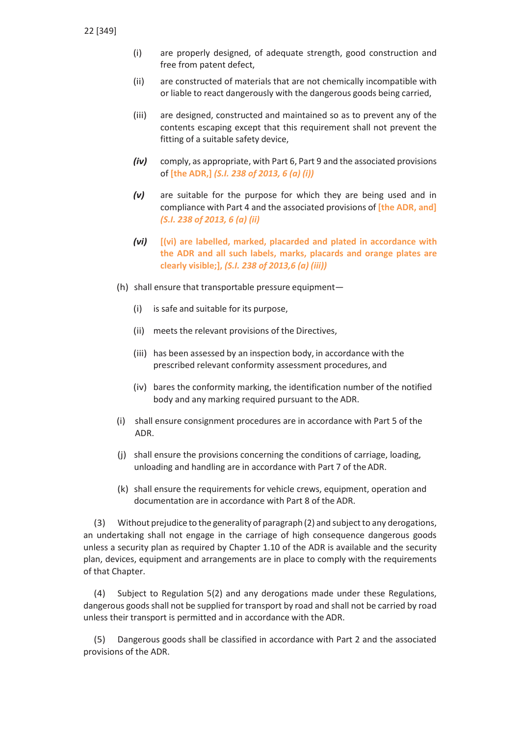- (i) are properly designed, of adequate strength, good construction and free from patent defect,
- (ii) are constructed of materials that are not chemically incompatible with or liable to react dangerously with the dangerous goods being carried,
- (iii) are designed, constructed and maintained so as to prevent any of the contents escaping except that this requirement shall not prevent the fitting of a suitable safety device,
- *(iv)* comply, as appropriate, with Part 6, Part 9 and the associated provisions of **[the ADR,]** *(S.I. 238 of 2013, 6 (a) (i))*
- *(v)* are suitable for the purpose for which they are being used and in compliance with Part 4 and the associated provisions of **[the ADR, and]** *(S.I. 238 of 2013, 6 (a) (ii)*
- *(vi)* **[(vi) are labelled, marked, placarded and plated in accordance with the ADR and all such labels, marks, placards and orange plates are clearly visible;],** *(S.I. 238 of 2013,6 (a) (iii))*
- (h) shall ensure that transportable pressure equipment—
	- (i) is safe and suitable for its purpose,
	- (ii) meets the relevant provisions of the Directives,
	- (iii) has been assessed by an inspection body, in accordance with the prescribed relevant conformity assessment procedures, and
	- (iv) bares the conformity marking, the identification number of the notified body and any marking required pursuant to the ADR.
- (i) shall ensure consignment procedures are in accordance with Part 5 of the ADR.
- (j) shall ensure the provisions concerning the conditions of carriage, loading, unloading and handling are in accordance with Part 7 of theADR.
- (k) shall ensure the requirements for vehicle crews, equipment, operation and documentation are in accordance with Part 8 of the ADR.

(3) Without prejudice to the generality of paragraph (2) and subjectto any derogations, an undertaking shall not engage in the carriage of high consequence dangerous goods unless a security plan as required by Chapter 1.10 of the ADR is available and the security plan, devices, equipment and arrangements are in place to comply with the requirements of that Chapter.

(4) Subject to Regulation 5(2) and any derogations made under these Regulations, dangerous goodsshall not be supplied for transport by road and shall not be carried by road unless their transport is permitted and in accordance with the ADR.

(5) Dangerous goods shall be classified in accordance with Part 2 and the associated provisions of the ADR.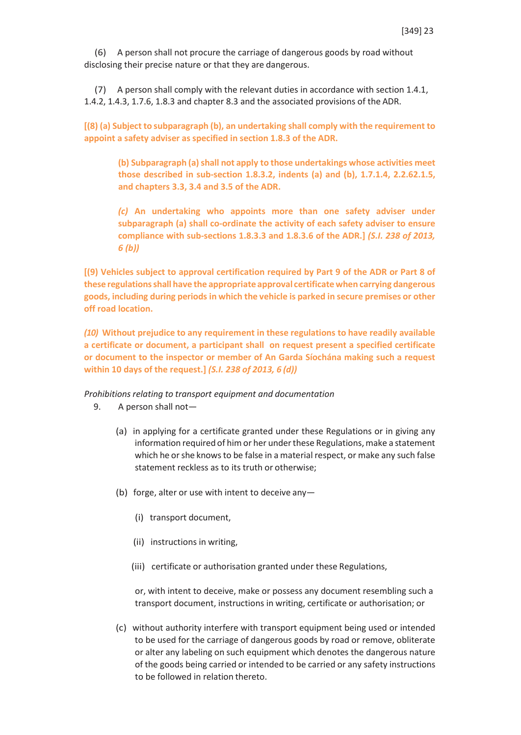(6) A person shall not procure the carriage of dangerous goods by road without disclosing their precise nature or that they are dangerous.

(7) A person shall comply with the relevant duties in accordance with section 1.4.1, 1.4.2, 1.4.3, 1.7.6, 1.8.3 and chapter 8.3 and the associated provisions of the ADR.

**[(8) (a) Subject to subparagraph (b), an undertaking shall comply with the requirement to appoint a safety adviser as specified in section 1.8.3 of the ADR.**

**(b) Subparagraph (a)shall not apply to those undertakings whose activities meet those described in sub-section 1.8.3.2, indents (a) and (b), 1.7.1.4, 2.2.62.1.5, and chapters 3.3, 3.4 and 3.5 of the ADR.**

*(c)* **An undertaking who appoints more than one safety adviser under subparagraph (a) shall co-ordinate the activity of each safety adviser to ensure compliance with sub-sections 1.8.3.3 and 1.8.3.6 of the ADR.]** *(S.I. 238 of 2013, 6 (b))*

**[(9) Vehicles subject to approval certification required by Part 9 of the ADR or Part 8 of these regulationsshall have the appropriate approval certificatewhen carrying dangerous goods, including during periods in which the vehicle is parked in secure premises or other off road location.**

*(10)* **Without prejudice to any requirement in these regulations to have readily available a certificate or document, a participant shall on request present a specified certificate or document to the inspector or member of An Garda Síochána making such a request within 10 days of the request.]** *(S.I. 238 of 2013, 6 (d))*

*Prohibitions relating to transport equipment and documentation*

- 9. A person shall not—
	- (a) in applying for a certificate granted under these Regulations or in giving any information required of him or her under these Regulations, make a statement which he or she knows to be false in a material respect, or make any such false statement reckless as to its truth or otherwise;
	- (b) forge, alter or use with intent to deceive any—
		- (i) transport document,
		- (ii) instructions in writing,
		- (iii) certificate or authorisation granted under these Regulations,

or, with intent to deceive, make or possess any document resembling such a transport document, instructions in writing, certificate or authorisation; or

(c) without authority interfere with transport equipment being used or intended to be used for the carriage of dangerous goods by road or remove, obliterate or alter any labeling on such equipment which denotes the dangerous nature of the goods being carried or intended to be carried or any safety instructions to be followed in relation thereto.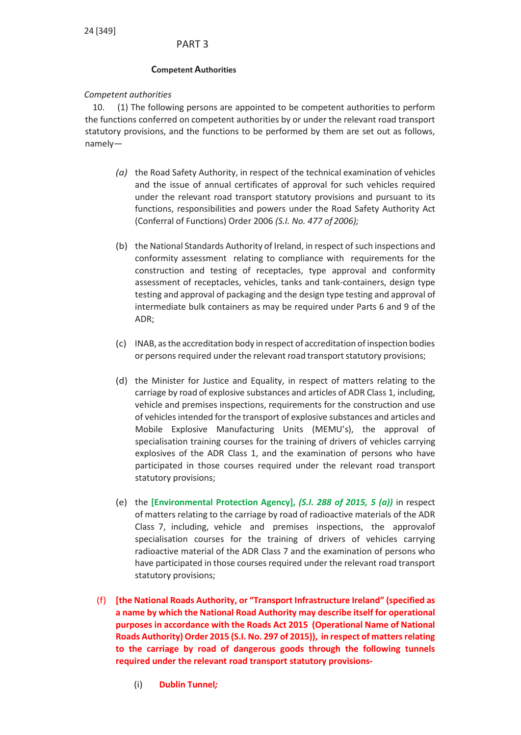## PART 3

### **Competent Authorities**

### *Competent authorities*

10. (1) The following persons are appointed to be competent authorities to perform the functions conferred on competent authorities by or under the relevant road transport statutory provisions, and the functions to be performed by them are set out as follows, namely—

- *(a)* the Road Safety Authority, in respect of the technical examination of vehicles and the issue of annual certificates of approval for such vehicles required under the relevant road transport statutory provisions and pursuant to its functions, responsibilities and powers under the Road Safety Authority Act (Conferral of Functions) Order 2006 *(S.I. No. 477 of 2006);*
- (b) the National Standards Authority of Ireland, in respect of such inspections and conformity assessment relating to compliance with requirements for the construction and testing of receptacles, type approval and conformity assessment of receptacles, vehicles, tanks and tank-containers, design type testing and approval of packaging and the design type testing and approval of intermediate bulk containers as may be required under Parts 6 and 9 of the ADR;
- (c) INAB, asthe accreditation body in respect of accreditation of inspection bodies or persons required under the relevant road transport statutory provisions;
- (d) the Minister for Justice and Equality, in respect of matters relating to the carriage by road of explosive substances and articles of ADR Class 1, including, vehicle and premises inspections, requirements for the construction and use of vehicles intended for the transport of explosive substances and articles and Mobile Explosive Manufacturing Units (MEMU's), the approval of specialisation training courses for the training of drivers of vehicles carrying explosives of the ADR Class 1, and the examination of persons who have participated in those courses required under the relevant road transport statutory provisions;
- (e) the **[Environmental Protection Agency],** *(S.I. 288 of 2015, 5 (a))* in respect of matters relating to the carriage by road of radioactive materials of the ADR Class 7, including, vehicle and premises inspections, the approvalof specialisation courses for the training of drivers of vehicles carrying radioactive material of the ADR Class 7 and the examination of persons who have participated in those courses required under the relevant road transport statutory provisions;
- (f) **[the National Roads Authority, or "Transport Infrastructure Ireland" (specified as a name by which the National Road Authority may describe itself for operational purposes in accordance with the Roads Act 2015 (Operational Name of National Roads Authority) Order 2015 (S.I. No. 297 of 2015)), in respect of matters relating to the carriage by road of dangerous goods through the following tunnels required under the relevant road transport statutory provisions-**
	- (i) **Dublin Tunnel***;*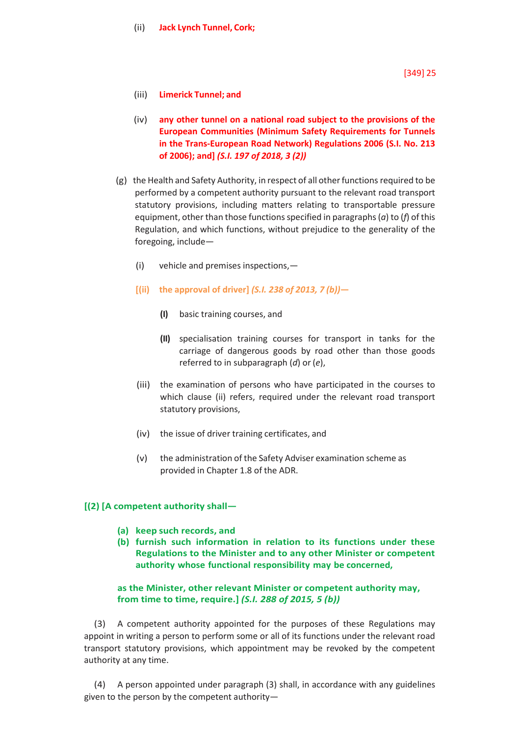- (iii) **Limerick Tunnel; and**
- (iv) **any other tunnel on a national road subject to the provisions of the European Communities (Minimum Safety Requirements for Tunnels in the Trans-European Road Network) Regulations 2006 (S.I. No. 213 of 2006); and]** *(S.I. 197 of 2018, 3 (2))*
- $(g)$  the Health and Safety Authority, in respect of all other functions required to be performed by a competent authority pursuant to the relevant road transport statutory provisions, including matters relating to transportable pressure equipment, other than those functions specified in paragraphs (*a*) to (*f*) of this Regulation, and which functions, without prejudice to the generality of the foregoing, include—
	- (i) vehicle and premises inspections,—
	- **[(ii) the approval of driver]** *(S.I. 238 of 2013, 7 (b))***—**
		- **(I)** basic training courses, and
		- **(II)** specialisation training courses for transport in tanks for the carriage of dangerous goods by road other than those goods referred to in subparagraph (*d*) or (*e*),
	- (iii) the examination of persons who have participated in the courses to which clause (ii) refers, required under the relevant road transport statutory provisions,
	- (iv) the issue of driver training certificates, and
	- (v) the administration of the Safety Adviser examination scheme as provided in Chapter 1.8 of the ADR.

## **[(2) [A competent authority shall—**

- **(a) keep such records, and**
- **(b) furnish such information in relation to its functions under these Regulations to the Minister and to any other Minister or competent authority whose functional responsibility may be concerned,**

### **as the Minister, other relevant Minister or competent authority may, from time to time, require.]** *(S.I. 288 of 2015, 5 (b))*

A competent authority appointed for the purposes of these Regulations may appoint in writing a person to perform some or all of its functions under the relevant road transport statutory provisions, which appointment may be revoked by the competent authority at any time.

(4) A person appointed under paragraph (3) shall, in accordance with any guidelines given to the person by the competent authority—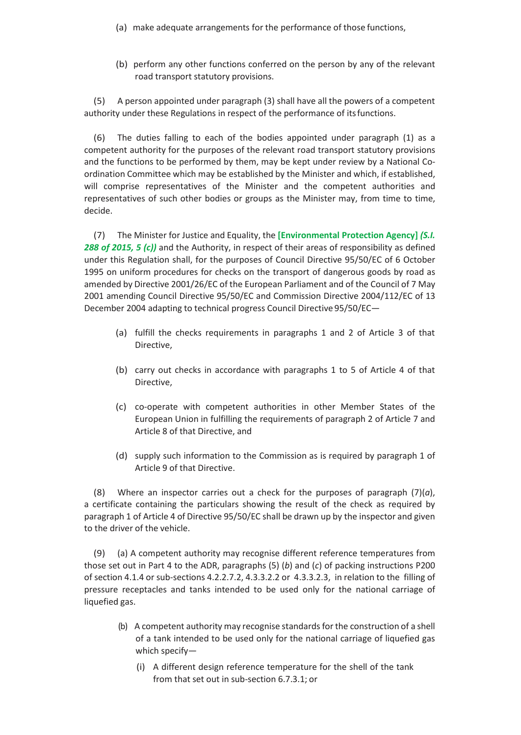- (a) make adequate arrangements for the performance of those functions,
- (b) perform any other functions conferred on the person by any of the relevant road transport statutory provisions.

(5) A person appointed under paragraph (3) shall have all the powers of a competent authority under these Regulations in respect of the performance of itsfunctions.

(6) The duties falling to each of the bodies appointed under paragraph (1) as a competent authority for the purposes of the relevant road transport statutory provisions and the functions to be performed by them, may be kept under review by a National Coordination Committee which may be established by the Minister and which, if established, will comprise representatives of the Minister and the competent authorities and representatives of such other bodies or groups as the Minister may, from time to time, decide.

(7) The Minister for Justice and Equality, the **[Environmental Protection Agency]** *(S.I. 288 of 2015, 5 (c))* and the Authority, in respect of their areas of responsibility as defined under this Regulation shall, for the purposes of Council Directive 95/50/EC of 6 October 1995 on uniform procedures for checks on the transport of dangerous goods by road as amended by Directive 2001/26/EC of the European Parliament and of the Council of 7 May 2001 amending Council Directive 95/50/EC and Commission Directive 2004/112/EC of 13 December 2004 adapting to technical progress Council Directive 95/50/EC—

- (a) fulfill the checks requirements in paragraphs 1 and 2 of Article 3 of that Directive,
- (b) carry out checks in accordance with paragraphs 1 to 5 of Article 4 of that Directive,
- (c) co-operate with competent authorities in other Member States of the European Union in fulfilling the requirements of paragraph 2 of Article 7 and Article 8 of that Directive, and
- (d) supply such information to the Commission as is required by paragraph 1 of Article 9 of that Directive.

(8) Where an inspector carries out a check for the purposes of paragraph (7)(*a*), a certificate containing the particulars showing the result of the check as required by paragraph 1 of Article 4 of Directive 95/50/EC shall be drawn up by the inspector and given to the driver of the vehicle.

(9) (a) A competent authority may recognise different reference temperatures from those set out in Part 4 to the ADR, paragraphs (5) (*b*) and (*c*) of packing instructions P200 of section 4.1.4 or sub-sections 4.2.2.7.2, 4.3.3.2.2 or 4.3.3.2.3, in relation to the filling of pressure receptacles and tanks intended to be used only for the national carriage of liquefied gas.

- (b) A competent authority may recognise standards for the construction of a shell of a tank intended to be used only for the national carriage of liquefied gas which specify—
	- (i) A different design reference temperature for the shell of the tank from that set out in sub-section 6.7.3.1; or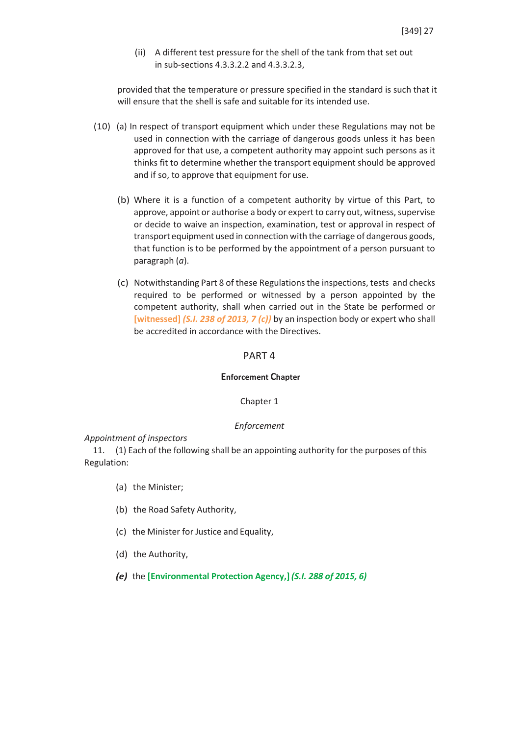(ii) A different test pressure for the shell of the tank from that set out in sub-sections 4.3.3.2.2 and 4.3.3.2.3,

provided that the temperature or pressure specified in the standard is such that it will ensure that the shell is safe and suitable for its intended use.

- (10) (a) In respect of transport equipment which under these Regulations may not be used in connection with the carriage of dangerous goods unless it has been approved for that use, a competent authority may appoint such persons as it thinks fit to determine whether the transport equipment should be approved and if so, to approve that equipment for use.
	- (b) Where it is a function of a competent authority by virtue of this Part, to approve, appoint or authorise a body or expert to carry out, witness, supervise or decide to waive an inspection, examination, test or approval in respect of transport equipment used in connection with the carriage of dangerous goods, that function is to be performed by the appointment of a person pursuant to paragraph (*a*).
	- (c) Notwithstanding Part 8 of these Regulationsthe inspections, tests and checks required to be performed or witnessed by a person appointed by the competent authority, shall when carried out in the State be performed or **[witnessed]** *(S.I. 238 of 2013, 7 (c))* by an inspection body or expert who shall be accredited in accordance with the Directives.

### PART 4

#### **Enforcement Chapter**

#### Chapter 1

#### *Enforcement*

#### *Appointment of inspectors*

11. (1) Each of the following shall be an appointing authority for the purposes of this Regulation:

- (a) the Minister;
- (b) the Road Safety Authority,
- (c) the Minister for Justice and Equality,
- (d) the Authority,
- *(e)* the **[Environmental Protection Agency,]** *(S.I. 288 of 2015, 6)*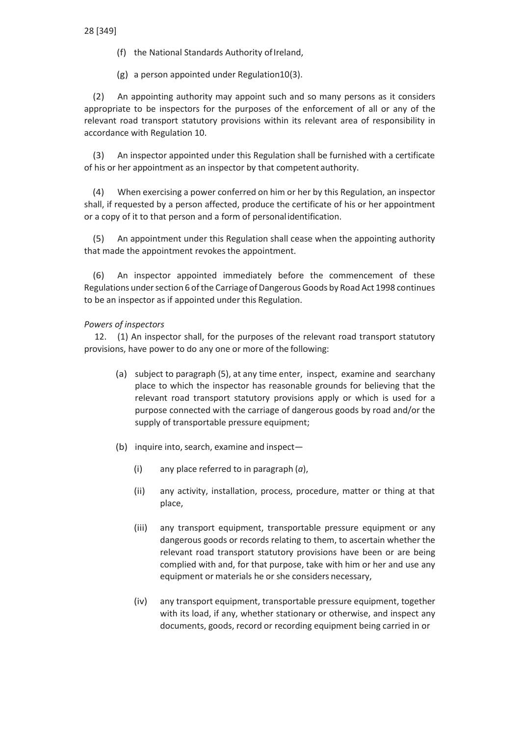- (f) the National Standards Authority of Ireland,
- (g) a person appointed under Regulation10(3).

(2) An appointing authority may appoint such and so many persons as it considers appropriate to be inspectors for the purposes of the enforcement of all or any of the relevant road transport statutory provisions within its relevant area of responsibility in accordance with Regulation 10.

(3) An inspector appointed under this Regulation shall be furnished with a certificate of his or her appointment as an inspector by that competent authority.

(4) When exercising a power conferred on him or her by this Regulation, an inspector shall, if requested by a person affected, produce the certificate of his or her appointment or a copy of it to that person and a form of personalidentification.

(5) An appointment under this Regulation shall cease when the appointing authority that made the appointment revokes the appointment.

(6) An inspector appointed immediately before the commencement of these Regulations under section 6 of the Carriage of Dangerous Goods by Road Act 1998 continues to be an inspector as if appointed under this Regulation.

## *Powers of inspectors*

12. (1) An inspector shall, for the purposes of the relevant road transport statutory provisions, have power to do any one or more of the following:

- (a) subject to paragraph (5), at any time enter, inspect, examine and searchany place to which the inspector has reasonable grounds for believing that the relevant road transport statutory provisions apply or which is used for a purpose connected with the carriage of dangerous goods by road and/or the supply of transportable pressure equipment;
- (b) inquire into, search, examine and inspect-
	- (i) any place referred to in paragraph (*a*),
	- (ii) any activity, installation, process, procedure, matter or thing at that place,
	- (iii) any transport equipment, transportable pressure equipment or any dangerous goods or records relating to them, to ascertain whether the relevant road transport statutory provisions have been or are being complied with and, for that purpose, take with him or her and use any equipment or materials he or she considers necessary,
	- (iv) any transport equipment, transportable pressure equipment, together with its load, if any, whether stationary or otherwise, and inspect any documents, goods, record or recording equipment being carried in or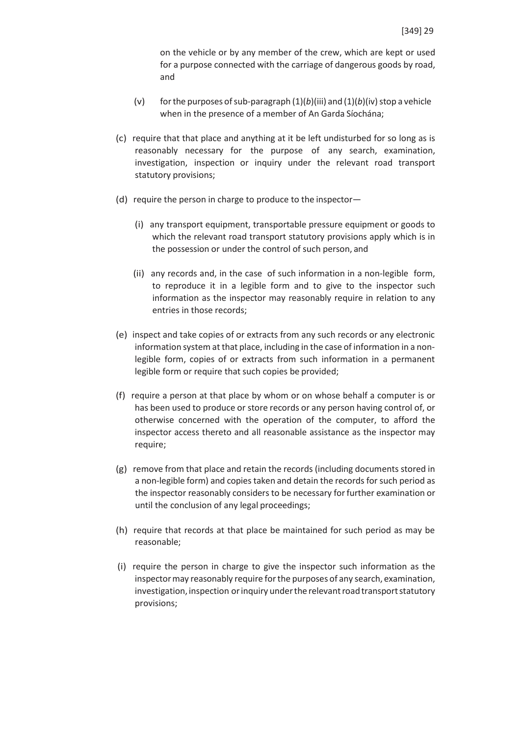on the vehicle or by any member of the crew, which are kept or used for a purpose connected with the carriage of dangerous goods by road, and

- (v) for the purposes of sub-paragraph  $(1)(b)(iii)$  and  $(1)(b)(iv)$  stop a vehicle when in the presence of a member of An Garda Síochána;
- (c) require that that place and anything at it be left undisturbed for so long as is reasonably necessary for the purpose of any search, examination, investigation, inspection or inquiry under the relevant road transport statutory provisions;
- (d) require the person in charge to produce to the inspector—
	- (i) any transport equipment, transportable pressure equipment or goods to which the relevant road transport statutory provisions apply which is in the possession or under the control of such person, and
	- (ii) any records and, in the case of such information in a non-legible form, to reproduce it in a legible form and to give to the inspector such information as the inspector may reasonably require in relation to any entries in those records;
- (e) inspect and take copies of or extracts from any such records or any electronic information system at that place, including in the case of information in a nonlegible form, copies of or extracts from such information in a permanent legible form or require that such copies be provided;
- (f) require a person at that place by whom or on whose behalf a computer is or has been used to produce or store records or any person having control of, or otherwise concerned with the operation of the computer, to afford the inspector access thereto and all reasonable assistance as the inspector may require;
- (g) remove from that place and retain the records (including documents stored in a non-legible form) and copies taken and detain the records for such period as the inspector reasonably considers to be necessary for further examination or until the conclusion of any legal proceedings;
- (h) require that records at that place be maintained for such period as may be reasonable;
- (i) require the person in charge to give the inspector such information as the inspectormay reasonably require forthe purposes of any search, examination, investigation, inspection or inquiry under the relevant road transport statutory provisions;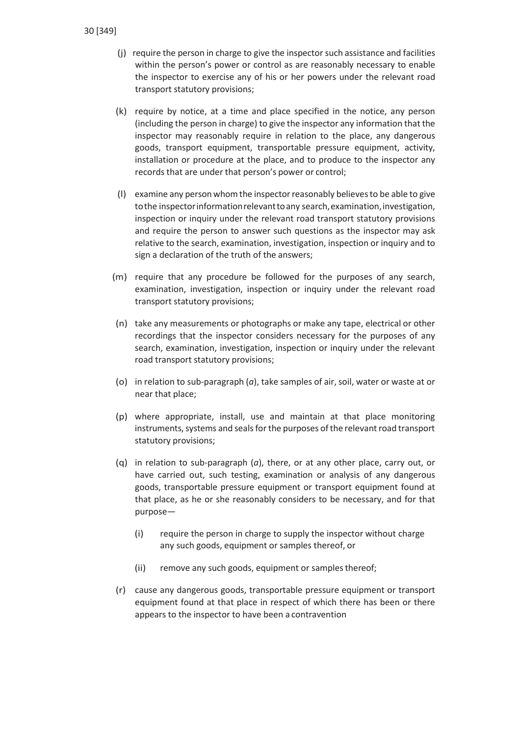- (i) require the person in charge to give the inspector such assistance and facilities within the person's power or control as are reasonably necessary to enable the inspector to exercise any of his or her powers under the relevant road transport statutory provisions;
- (k) require by notice, at a time and place specified in the notice, any person (including the person in charge) to give the inspector any information that the inspector may reasonably require in relation to the place, any dangerous goods, transport equipment, transportable pressure equipment, activity, installation or procedure at the place, and to produce to the inspector any records that are under that person's power or control;
- (l) examine any person whomthe inspectorreasonably believesto be able to give to the inspector information relevant to any search, examination, investigation, inspection or inquiry under the relevant road transport statutory provisions and require the person to answer such questions as the inspector may ask relative to the search, examination, investigation, inspection or inquiry and to sign a declaration of the truth of the answers;
- (m) require that any procedure be followed for the purposes of any search, examination, investigation, inspection or inquiry under the relevant road transport statutory provisions;
- (n) take any measurements or photographs or make any tape, electrical or other recordings that the inspector considers necessary for the purposes of any search, examination, investigation, inspection or inquiry under the relevant road transport statutory provisions;
- (o) in relation to sub-paragraph (*a*), take samples of air,soil, water or waste at or near that place;
- (p) where appropriate, install, use and maintain at that place monitoring instruments, systems and seals for the purposes of the relevant road transport statutory provisions;
- (q) in relation to sub-paragraph (*a*), there, or at any other place, carry out, or have carried out, such testing, examination or analysis of any dangerous goods, transportable pressure equipment or transport equipment found at that place, as he or she reasonably considers to be necessary, and for that purpose—
	- (i) require the person in charge to supply the inspector without charge any such goods, equipment or samples thereof, or
	- (ii) remove any such goods, equipment or samples thereof;
- (r) cause any dangerous goods, transportable pressure equipment or transport equipment found at that place in respect of which there has been or there appears to the inspector to have been a contravention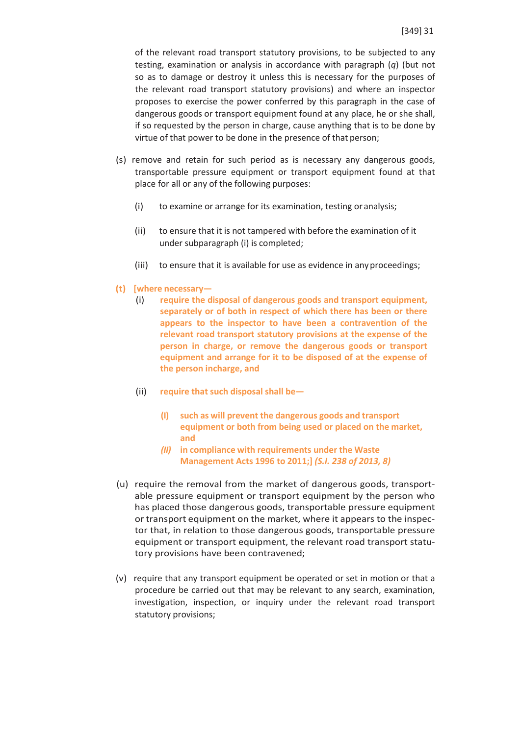of the relevant road transport statutory provisions, to be subjected to any testing, examination or analysis in accordance with paragraph (*q*) (but not so as to damage or destroy it unless this is necessary for the purposes of the relevant road transport statutory provisions) and where an inspector proposes to exercise the power conferred by this paragraph in the case of dangerous goods or transport equipment found at any place, he or she shall, if so requested by the person in charge, cause anything that is to be done by virtue of that power to be done in the presence of that person;

- (s) remove and retain for such period as is necessary any dangerous goods, transportable pressure equipment or transport equipment found at that place for all or any of the following purposes:
	- (i) to examine or arrange for its examination, testing oranalysis;
	- (ii) to ensure that it is not tampered with before the examination of it under subparagraph (i) is completed;
	- (iii) to ensure that it is available for use as evidence in anyproceedings;
- **(t) [where necessary—**
	- (i) **require the disposal of dangerous goods and transport equipment, separately or of both in respect of which there has been or there appears to the inspector to have been a contravention of the relevant road transport statutory provisions at the expense of the person in charge, or remove the dangerous goods or transport equipment and arrange for it to be disposed of at the expense of the person incharge, and**
	- (ii) **require that such disposal shall be—**
		- **(I) such as will prevent the dangerous goods and transport equipment or both from being used or placed on the market, and**
		- *(II)* **in compliance with requirements under the Waste Management Acts 1996 to 2011;]** *(S.I. 238 of 2013, 8)*
- (u) require the removal from the market of dangerous goods, transportable pressure equipment or transport equipment by the person who has placed those dangerous goods, transportable pressure equipment or transport equipment on the market, where it appears to the inspector that, in relation to those dangerous goods, transportable pressure equipment or transport equipment, the relevant road transport statutory provisions have been contravened;
- (v) require that any transport equipment be operated or set in motion or that a procedure be carried out that may be relevant to any search, examination, investigation, inspection, or inquiry under the relevant road transport statutory provisions;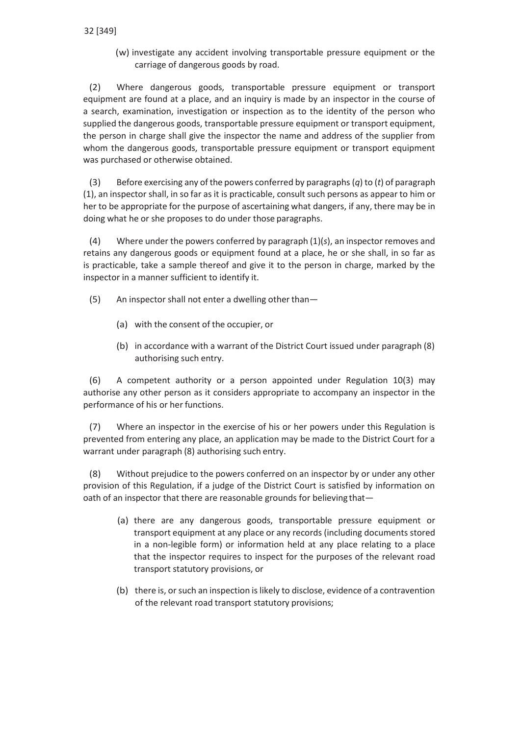(w) investigate any accident involving transportable pressure equipment or the carriage of dangerous goods by road.

(2) Where dangerous goods, transportable pressure equipment or transport equipment are found at a place, and an inquiry is made by an inspector in the course of a search, examination, investigation or inspection as to the identity of the person who supplied the dangerous goods, transportable pressure equipment or transport equipment, the person in charge shall give the inspector the name and address of the supplier from whom the dangerous goods, transportable pressure equipment or transport equipment was purchased or otherwise obtained.

(3) Before exercising any of the powers conferred by paragraphs (*q*) to (*t*) of paragraph (1), an inspector shall, in so far as it is practicable, consult such persons as appear to him or her to be appropriate for the purpose of ascertaining what dangers, if any, there may be in doing what he or she proposes to do under those paragraphs.

(4) Where under the powers conferred by paragraph (1)(*s*), an inspector removes and retains any dangerous goods or equipment found at a place, he or she shall, in so far as is practicable, take a sample thereof and give it to the person in charge, marked by the inspector in a manner sufficient to identify it.

- (5) An inspector shall not enter a dwelling other than—
	- (a) with the consent of the occupier, or
	- (b) in accordance with a warrant of the District Court issued under paragraph (8) authorising such entry.

(6) A competent authority or a person appointed under Regulation 10(3) may authorise any other person as it considers appropriate to accompany an inspector in the performance of his or her functions.

(7) Where an inspector in the exercise of his or her powers under this Regulation is prevented from entering any place, an application may be made to the District Court for a warrant under paragraph (8) authorising such entry.

(8) Without prejudice to the powers conferred on an inspector by or under any other provision of this Regulation, if a judge of the District Court is satisfied by information on oath of an inspector that there are reasonable grounds for believing that—

- (a) there are any dangerous goods, transportable pressure equipment or transport equipment at any place or any records(including documents stored in a non-legible form) or information held at any place relating to a place that the inspector requires to inspect for the purposes of the relevant road transport statutory provisions, or
- (b) there is, orsuch an inspection is likely to disclose, evidence of a contravention of the relevant road transport statutory provisions;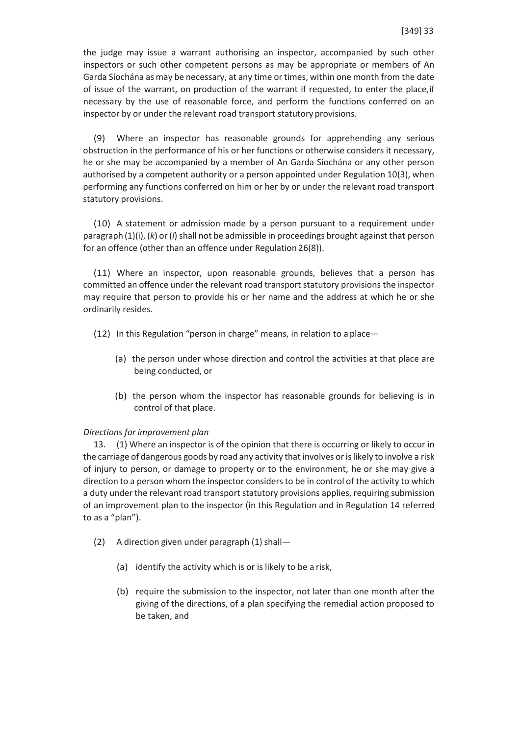the judge may issue a warrant authorising an inspector, accompanied by such other inspectors or such other competent persons as may be appropriate or members of An Garda Síochána as may be necessary, at any time or times, within one month from the date of issue of the warrant, on production of the warrant if requested, to enter the place,if necessary by the use of reasonable force, and perform the functions conferred on an inspector by or under the relevant road transport statutory provisions.

(9) Where an inspector has reasonable grounds for apprehending any serious obstruction in the performance of his or her functions or otherwise considers it necessary, he or she may be accompanied by a member of An Garda Síochána or any other person authorised by a competent authority or a person appointed under Regulation 10(3), when performing any functions conferred on him or her by or under the relevant road transport statutory provisions.

(10) A statement or admission made by a person pursuant to a requirement under paragraph (1)(i), (k) or (l) shall not be admissible in proceedings brought against that person for an offence (other than an offence under Regulation 26(8)).

(11) Where an inspector, upon reasonable grounds, believes that a person has committed an offence under the relevant road transport statutory provisions the inspector may require that person to provide his or her name and the address at which he or she ordinarily resides.

- (12) In this Regulation "person in charge" means, in relation to a place—
	- (a) the person under whose direction and control the activities at that place are being conducted, or
	- (b) the person whom the inspector has reasonable grounds for believing is in control of that place.

#### *Directions for improvement plan*

13. (1) Where an inspector is of the opinion that there is occurring or likely to occur in the carriage of dangerous goods by road any activity that involves orislikely to involve a risk of injury to person, or damage to property or to the environment, he or she may give a direction to a person whom the inspector considers to be in control of the activity to which a duty under the relevant road transport statutory provisions applies, requiring submission of an improvement plan to the inspector (in this Regulation and in Regulation 14 referred to as a "plan").

- (2) A direction given under paragraph  $(1)$  shall—
	- (a) identify the activity which is or is likely to be a risk,
	- (b) require the submission to the inspector, not later than one month after the giving of the directions, of a plan specifying the remedial action proposed to be taken, and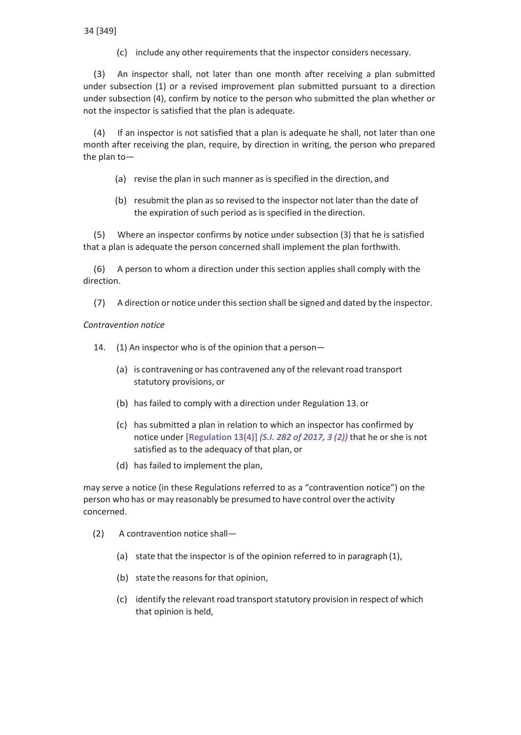(c) include any other requirements that the inspector considers necessary.

(3) An inspector shall, not later than one month after receiving a plan submitted under subsection (1) or a revised improvement plan submitted pursuant to a direction under subsection (4), confirm by notice to the person who submitted the plan whether or not the inspector is satisfied that the plan is adequate.

(4) If an inspector is not satisfied that a plan is adequate he shall, not later than one month after receiving the plan, require, by direction in writing, the person who prepared the plan to—

- (a) revise the plan in such manner as is specified in the direction, and
- (b) resubmit the plan as so revised to the inspector not later than the date of the expiration of such period as is specified in the direction.

(5) Where an inspector confirms by notice under subsection (3) that he is satisfied that a plan is adequate the person concerned shall implement the plan forthwith.

(6) A person to whom a direction under this section applies shall comply with the direction.

(7) A direction or notice underthissection shall be signed and dated by the inspector.

*Contravention notice*

14. (1) An inspector who is of the opinion that a person—

- (a) is contravening or has contravened any of the relevant road transport statutory provisions, or
- (b) has failed to comply with a direction under Regulation 13. or
- (c) has submitted a plan in relation to which an inspector has confirmed by notice under **[Regulation 13(4)]** *(S.I. 282 of 2017, 3 (2))* that he orshe is not satisfied as to the adequacy of that plan, or
- (d) has failed to implement the plan,

may serve a notice (in these Regulations referred to as a "contravention notice") on the person who has or may reasonably be presumed to have control overthe activity concerned.

- (2) A contravention notice shall—
	- (a) state that the inspector is of the opinion referred to in paragraph (1),
	- (b) state the reasons for that opinion,
	- (c) identify the relevant road transport statutory provision in respect of which that opinion is held,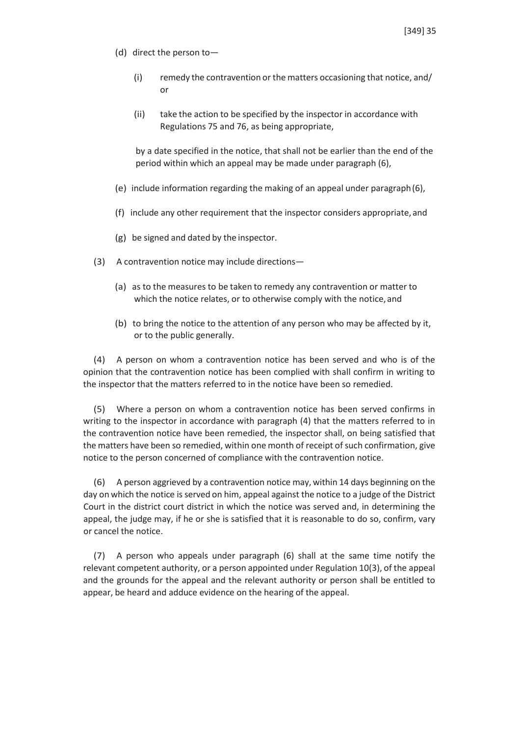- (d) direct the person to—
	- (i) remedy the contravention or the matters occasioning that notice, and/ or
	- (ii) take the action to be specified by the inspector in accordance with Regulations 75 and 76, as being appropriate,

by a date specified in the notice, that shall not be earlier than the end of the period within which an appeal may be made under paragraph (6),

- (e) include information regarding the making of an appeal under paragraph(6),
- (f) include any other requirement that the inspector considers appropriate, and
- (g) be signed and dated by the inspector.
- (3) A contravention notice may include directions—
	- (a) as to the measures to be taken to remedy any contravention or matter to which the notice relates, or to otherwise comply with the notice, and
	- (b) to bring the notice to the attention of any person who may be affected by it, or to the public generally.

(4) A person on whom a contravention notice has been served and who is of the opinion that the contravention notice has been complied with shall confirm in writing to the inspector that the matters referred to in the notice have been so remedied.

(5) Where a person on whom a contravention notice has been served confirms in writing to the inspector in accordance with paragraph (4) that the matters referred to in the contravention notice have been remedied, the inspector shall, on being satisfied that the matters have been so remedied, within one month of receipt of such confirmation, give notice to the person concerned of compliance with the contravention notice.

(6) A person aggrieved by a contravention notice may, within 14 days beginning on the day on which the notice is served on him, appeal against the notice to a judge of the District Court in the district court district in which the notice was served and, in determining the appeal, the judge may, if he or she is satisfied that it is reasonable to do so, confirm, vary or cancel the notice.

(7) A person who appeals under paragraph (6) shall at the same time notify the relevant competent authority, or a person appointed under Regulation 10(3), of the appeal and the grounds for the appeal and the relevant authority or person shall be entitled to appear, be heard and adduce evidence on the hearing of the appeal.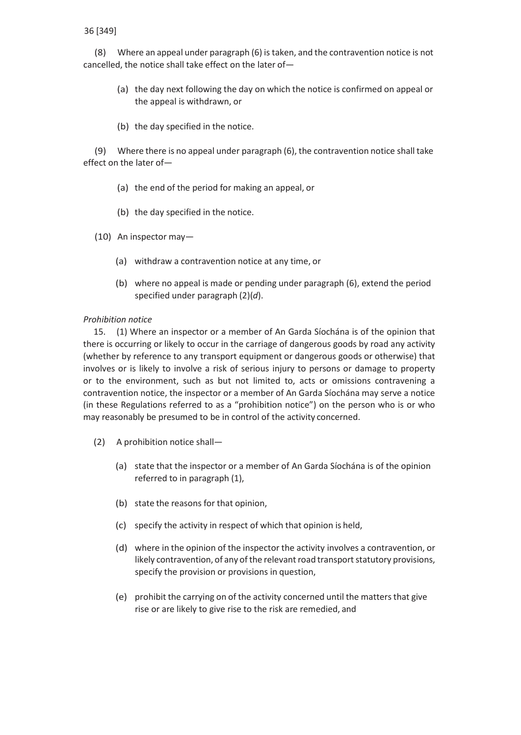(8) Where an appeal under paragraph (6) is taken, and the contravention notice is not cancelled, the notice shall take effect on the later of—

- (a) the day next following the day on which the notice is confirmed on appeal or the appeal is withdrawn, or
- (b) the day specified in the notice.

(9) Where there is no appeal under paragraph (6), the contravention notice shall take effect on the later of—

- (a) the end of the period for making an appeal, or
- (b) the day specified in the notice.
- (10) An inspector may—
	- (a) withdraw a contravention notice at any time, or
	- (b) where no appeal is made or pending under paragraph (6), extend the period specified under paragraph (2)(*d*).

# *Prohibition notice*

15. (1) Where an inspector or a member of An Garda Síochána is of the opinion that there is occurring or likely to occur in the carriage of dangerous goods by road any activity (whether by reference to any transport equipment or dangerous goods or otherwise) that involves or is likely to involve a risk of serious injury to persons or damage to property or to the environment, such as but not limited to, acts or omissions contravening a contravention notice, the inspector or a member of An Garda Síochána may serve a notice (in these Regulations referred to as a "prohibition notice") on the person who is or who may reasonably be presumed to be in control of the activity concerned.

- (2) A prohibition notice shall—
	- (a) state that the inspector or a member of An Garda Síochána is of the opinion referred to in paragraph (1),
	- (b) state the reasons for that opinion,
	- (c) specify the activity in respect of which that opinion is held,
	- (d) where in the opinion of the inspector the activity involves a contravention, or likely contravention, of any of the relevant road transport statutory provisions, specify the provision or provisions in question,
	- (e) prohibit the carrying on of the activity concerned until the matters that give rise or are likely to give rise to the risk are remedied, and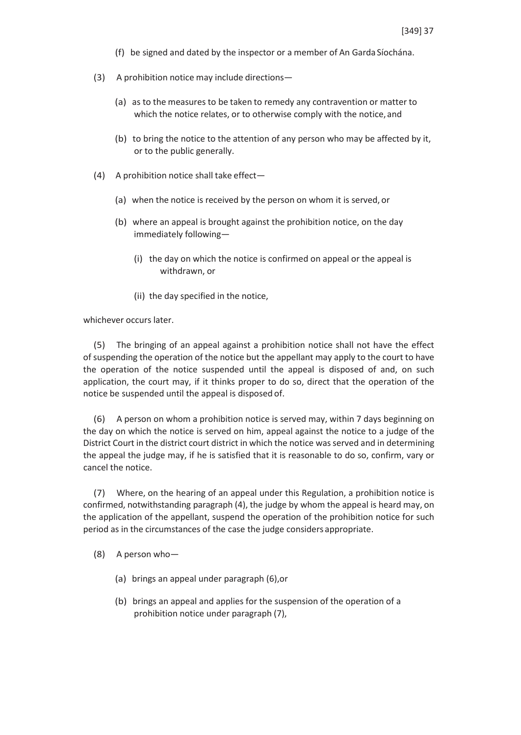- (f) be signed and dated by the inspector or a member of An Garda Síochána.
- (3) A prohibition notice may include directions—
	- (a) as to the measures to be taken to remedy any contravention or matter to which the notice relates, or to otherwise comply with the notice, and
	- (b) to bring the notice to the attention of any person who may be affected by it, or to the public generally.
- (4) A prohibition notice shall take effect—
	- (a) when the notice is received by the person on whom it is served, or
	- (b) where an appeal is brought against the prohibition notice, on the day immediately following—
		- (i) the day on which the notice is confirmed on appeal or the appeal is withdrawn, or
		- (ii) the day specified in the notice,

whichever occurs later.

(5) The bringing of an appeal against a prohibition notice shall not have the effect of suspending the operation of the notice but the appellant may apply to the court to have the operation of the notice suspended until the appeal is disposed of and, on such application, the court may, if it thinks proper to do so, direct that the operation of the notice be suspended until the appeal is disposed of.

(6) A person on whom a prohibition notice is served may, within 7 days beginning on the day on which the notice is served on him, appeal against the notice to a judge of the District Court in the district court district in which the notice wasserved and in determining the appeal the judge may, if he is satisfied that it is reasonable to do so, confirm, vary or cancel the notice.

(7) Where, on the hearing of an appeal under this Regulation, a prohibition notice is confirmed, notwithstanding paragraph (4), the judge by whom the appeal is heard may, on the application of the appellant, suspend the operation of the prohibition notice for such period as in the circumstances of the case the judge considers appropriate.

- (8) A person who—
	- (a) brings an appeal under paragraph (6),or
	- (b) brings an appeal and applies for the suspension of the operation of a prohibition notice under paragraph (7),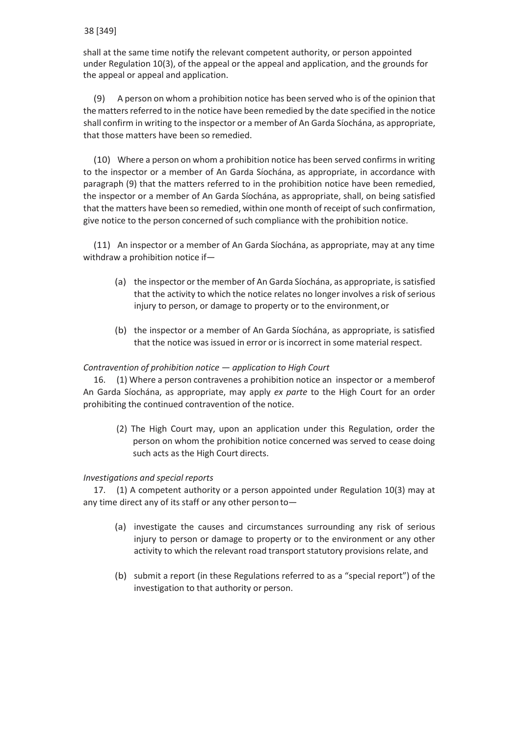shall at the same time notify the relevant competent authority, or person appointed under Regulation 10(3), of the appeal or the appeal and application, and the grounds for the appeal or appeal and application.

(9) A person on whom a prohibition notice has been served who is of the opinion that the matters referred to in the notice have been remedied by the date specified in the notice shall confirm in writing to the inspector or a member of An Garda Síochána, as appropriate, that those matters have been so remedied.

(10) Where a person on whom a prohibition notice has been served confirms in writing to the inspector or a member of An Garda Síochána, as appropriate, in accordance with paragraph (9) that the matters referred to in the prohibition notice have been remedied, the inspector or a member of An Garda Síochána, as appropriate, shall, on being satisfied that the matters have been so remedied, within one month of receipt of such confirmation, give notice to the person concerned of such compliance with the prohibition notice.

(11) An inspector or a member of An Garda Síochána, as appropriate, may at any time withdraw a prohibition notice if—

- (a) the inspector or the member of An Garda Síochána, as appropriate, is satisfied that the activity to which the notice relates no longer involves a risk of serious injury to person, or damage to property or to the environment, or
- (b) the inspector or a member of An Garda Síochána, as appropriate, is satisfied that the notice was issued in error or is incorrect in some material respect.

# *Contravention of prohibition notice* — *application to High Court*

16. (1) Where a person contravenes a prohibition notice an inspector or a memberof An Garda Síochána, as appropriate, may apply *ex parte* to the High Court for an order prohibiting the continued contravention of the notice.

(2) The High Court may, upon an application under this Regulation, order the person on whom the prohibition notice concerned was served to cease doing such acts as the High Court directs.

# *Investigations and special reports*

17. (1) A competent authority or a person appointed under Regulation 10(3) may at any time direct any of its staff or any other person to—

- (a) investigate the causes and circumstances surrounding any risk of serious injury to person or damage to property or to the environment or any other activity to which the relevant road transport statutory provisions relate, and
- (b) submit a report (in these Regulations referred to as a "special report") of the investigation to that authority or person.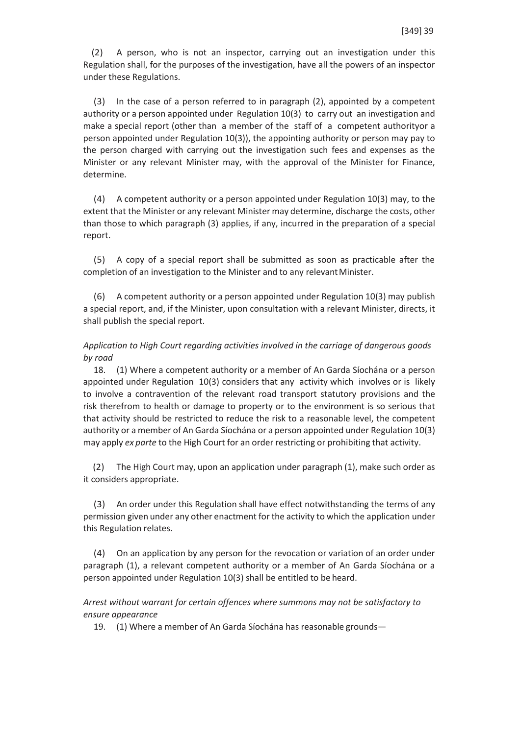(2) A person, who is not an inspector, carrying out an investigation under this Regulation shall, for the purposes of the investigation, have all the powers of an inspector under these Regulations.

(3) In the case of a person referred to in paragraph (2), appointed by a competent authority or a person appointed under Regulation 10(3) to carry out an investigation and make a special report (other than a member of the staff of a competent authorityor a person appointed under Regulation 10(3)), the appointing authority or person may pay to the person charged with carrying out the investigation such fees and expenses as the Minister or any relevant Minister may, with the approval of the Minister for Finance, determine.

(4) A competent authority or a person appointed under Regulation 10(3) may, to the extent that the Minister or any relevant Minister may determine, discharge the costs, other than those to which paragraph (3) applies, if any, incurred in the preparation of a special report.

(5) A copy of a special report shall be submitted as soon as practicable after the completion of an investigation to the Minister and to any relevant Minister.

(6) A competent authority or a person appointed under Regulation 10(3) may publish a special report, and, if the Minister, upon consultation with a relevant Minister, directs, it shall publish the special report.

# *Application to High Court regarding activities involved in the carriage of dangerous goods by road*

18. (1) Where a competent authority or a member of An Garda Síochána or a person appointed under Regulation 10(3) considers that any activity which involves or is likely to involve a contravention of the relevant road transport statutory provisions and the risk therefrom to health or damage to property or to the environment is so serious that that activity should be restricted to reduce the risk to a reasonable level, the competent authority or a member of An Garda Síochána or a person appointed under Regulation 10(3) may apply *ex parte* to the High Court for an order restricting or prohibiting that activity.

(2) The High Court may, upon an application under paragraph (1), make such order as it considers appropriate.

(3) An order under this Regulation shall have effect notwithstanding the terms of any permission given under any other enactment for the activity to which the application under this Regulation relates.

(4) On an application by any person for the revocation or variation of an order under paragraph (1), a relevant competent authority or a member of An Garda Síochána or a person appointed under Regulation 10(3) shall be entitled to be heard.

# *Arrest without warrant for certain offences where summons may not be satisfactory to ensure appearance*

19. (1) Where a member of An Garda Síochána has reasonable grounds—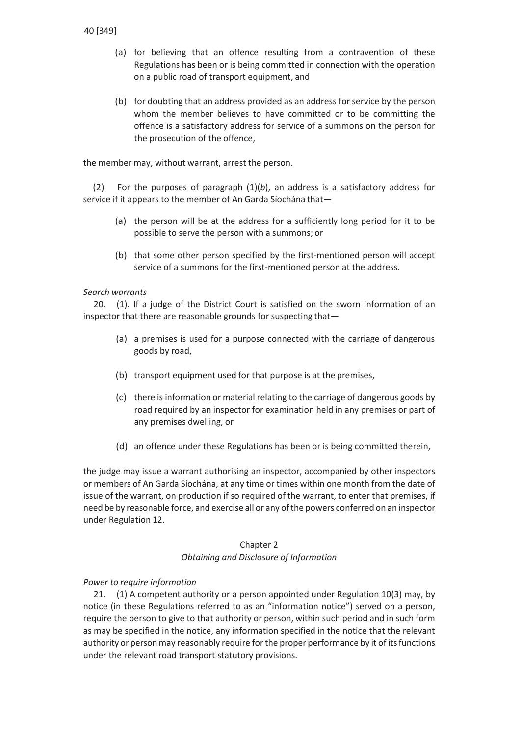- (a) for believing that an offence resulting from a contravention of these Regulations has been or is being committed in connection with the operation on a public road of transport equipment, and
- (b) for doubting that an address provided as an address for service by the person whom the member believes to have committed or to be committing the offence is a satisfactory address for service of a summons on the person for the prosecution of the offence,

the member may, without warrant, arrest the person.

(2) For the purposes of paragraph (1)(*b*), an address is a satisfactory address for service if it appears to the member of An Garda Síochána that—

- (a) the person will be at the address for a sufficiently long period for it to be possible to serve the person with a summons; or
- (b) that some other person specified by the first-mentioned person will accept service of a summons for the first-mentioned person at the address.

# *Search warrants*

20. (1). If a judge of the District Court is satisfied on the sworn information of an inspector that there are reasonable grounds for suspecting that—

- (a) a premises is used for a purpose connected with the carriage of dangerous goods by road,
- (b) transport equipment used for that purpose is at the premises,
- (c) there is information or material relating to the carriage of dangerous goods by road required by an inspector for examination held in any premises or part of any premises dwelling, or
- (d) an offence under these Regulations has been or is being committed therein,

the judge may issue a warrant authorising an inspector, accompanied by other inspectors or members of An Garda Síochána, at any time or times within one month from the date of issue of the warrant, on production if so required of the warrant, to enter that premises, if need be by reasonable force, and exercise all or any ofthe powers conferred on an inspector under Regulation 12.

# Chapter 2

*Obtaining and Disclosure of Information*

# *Power to require information*

21. (1) A competent authority or a person appointed under Regulation 10(3) may, by notice (in these Regulations referred to as an "information notice") served on a person, require the person to give to that authority or person, within such period and in such form as may be specified in the notice, any information specified in the notice that the relevant authority or person may reasonably require for the proper performance by it of its functions under the relevant road transport statutory provisions.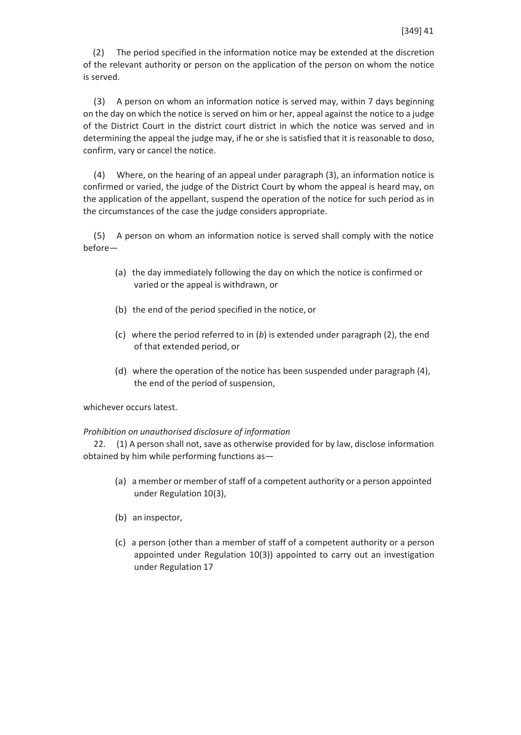(2) The period specified in the information notice may be extended at the discretion of the relevant authority or person on the application of the person on whom the notice is served.

(3) A person on whom an information notice is served may, within 7 days beginning on the day on which the notice is served on him or her, appeal against the notice to a judge of the District Court in the district court district in which the notice was served and in determining the appeal the judge may, if he or she is satisfied that it is reasonable to doso, confirm, vary or cancel the notice.

(4) Where, on the hearing of an appeal under paragraph (3), an information notice is confirmed or varied, the judge of the District Court by whom the appeal is heard may, on the application of the appellant, suspend the operation of the notice for such period as in the circumstances of the case the judge considers appropriate.

(5) A person on whom an information notice is served shall comply with the notice before—

- (a) the day immediately following the day on which the notice is confirmed or varied or the appeal is withdrawn, or
- (b) the end of the period specified in the notice, or
- (c) where the period referred to in (*b*) is extended under paragraph (2), the end of that extended period, or
- (d) where the operation of the notice has been suspended under paragraph (4), the end of the period of suspension,

whichever occurs latest.

# *Prohibition on unauthorised disclosure of information*

22. (1) A person shall not, save as otherwise provided for by law, disclose information obtained by him while performing functions as—

- (a) a member or member of staff of a competent authority or a person appointed under Regulation 10(3),
- (b) an inspector,
- (c) a person (other than a member of staff of a competent authority or a person appointed under Regulation 10(3)) appointed to carry out an investigation under Regulation 17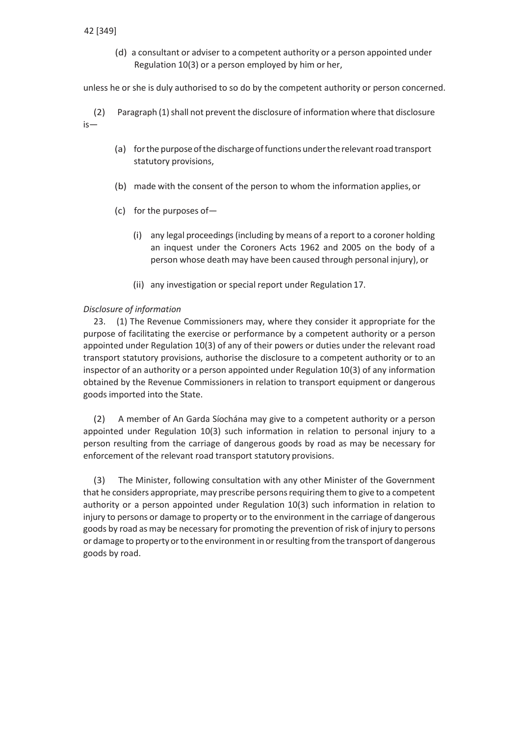(d) a consultant or adviser to a competent authority or a person appointed under Regulation 10(3) or a person employed by him or her,

unless he or she is duly authorised to so do by the competent authority or person concerned.

(2) Paragraph (1) shall not prevent the disclosure of information where that disclosure is—

- (a) for the purpose of the discharge of functions under the relevant road transport statutory provisions,
- (b) made with the consent of the person to whom the information applies,or
- (c) for the purposes of—
	- (i) any legal proceedings(including by means of a report to a coroner holding an inquest under the Coroners Acts 1962 and 2005 on the body of a person whose death may have been caused through personal injury), or
	- (ii) any investigation or special report under Regulation 17.

#### *Disclosure of information*

23. (1) The Revenue Commissioners may, where they consider it appropriate for the purpose of facilitating the exercise or performance by a competent authority or a person appointed under Regulation 10(3) of any of their powers or duties under the relevant road transport statutory provisions, authorise the disclosure to a competent authority or to an inspector of an authority or a person appointed under Regulation 10(3) of any information obtained by the Revenue Commissioners in relation to transport equipment or dangerous goods imported into the State.

(2) A member of An Garda Síochána may give to a competent authority or a person appointed under Regulation 10(3) such information in relation to personal injury to a person resulting from the carriage of dangerous goods by road as may be necessary for enforcement of the relevant road transport statutory provisions.

(3) The Minister, following consultation with any other Minister of the Government that he considers appropriate, may prescribe persons requiring them to give to a competent authority or a person appointed under Regulation 10(3) such information in relation to injury to persons or damage to property or to the environment in the carriage of dangerous goods by road as may be necessary for promoting the prevention of risk of injury to persons or damage to property or to the environment in or resulting from the transport of dangerous goods by road.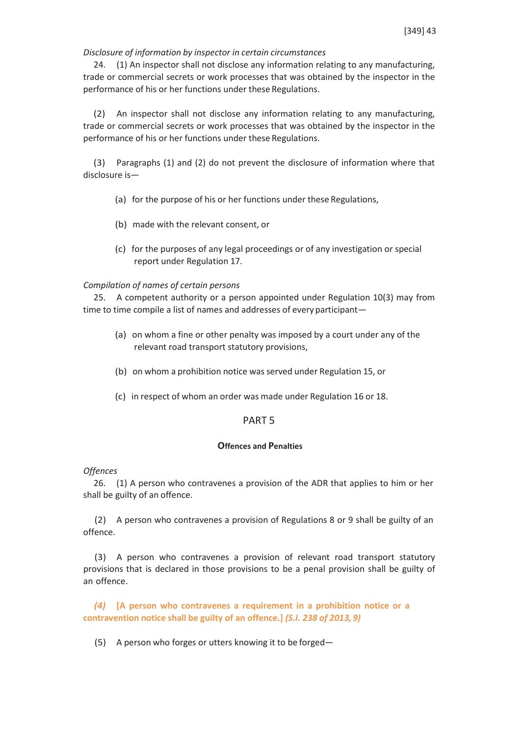### *Disclosure of information by inspector in certain circumstances*

24. (1) An inspector shall not disclose any information relating to any manufacturing, trade or commercial secrets or work processes that was obtained by the inspector in the performance of his or her functions under these Regulations.

(2) An inspector shall not disclose any information relating to any manufacturing, trade or commercial secrets or work processes that was obtained by the inspector in the performance of his or her functions under these Regulations.

(3) Paragraphs (1) and (2) do not prevent the disclosure of information where that disclosure is—

- (a) for the purpose of his or her functions under these Regulations,
- (b) made with the relevant consent, or
- (c) for the purposes of any legal proceedings or of any investigation or special report under Regulation 17.

### *Compilation of names of certain persons*

25. A competent authority or a person appointed under Regulation 10(3) may from time to time compile a list of names and addresses of every participant—

- (a) on whom a fine or other penalty was imposed by a court under any of the relevant road transport statutory provisions,
- (b) on whom a prohibition notice was served under Regulation 15, or
- (c) in respect of whom an order was made under Regulation 16 or 18.

# PART 5

### **Offences and Penalties**

*Offences*

26. (1) A person who contravenes a provision of the ADR that applies to him or her shall be guilty of an offence.

(2) A person who contravenes a provision of Regulations 8 or 9 shall be guilty of an offence.

(3) A person who contravenes a provision of relevant road transport statutory provisions that is declared in those provisions to be a penal provision shall be guilty of an offence.

*(4)* **[A person who contravenes a requirement in a prohibition notice or a contravention notice shall be guilty of an offence.]** *(S.I. 238 of 2013, 9)*

(5) A person who forges or utters knowing it to be forged—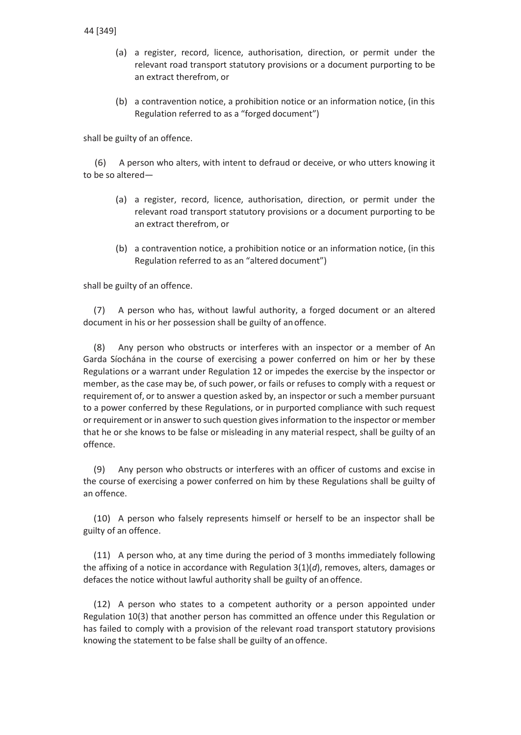- (a) a register, record, licence, authorisation, direction, or permit under the relevant road transport statutory provisions or a document purporting to be an extract therefrom, or
- (b) a contravention notice, a prohibition notice or an information notice, (in this Regulation referred to as a "forged document")

shall be guilty of an offence.

(6) A person who alters, with intent to defraud or deceive, or who utters knowing it to be so altered—

- (a) a register, record, licence, authorisation, direction, or permit under the relevant road transport statutory provisions or a document purporting to be an extract therefrom, or
- (b) a contravention notice, a prohibition notice or an information notice, (in this Regulation referred to as an "altered document")

shall be guilty of an offence.

(7) A person who has, without lawful authority, a forged document or an altered document in his or her possession shall be guilty of anoffence.

(8) Any person who obstructs or interferes with an inspector or a member of An Garda Síochána in the course of exercising a power conferred on him or her by these Regulations or a warrant under Regulation 12 or impedes the exercise by the inspector or member, as the case may be, of such power, or fails or refuses to comply with a request or requirement of, or to answer a question asked by, an inspector or such a member pursuant to a power conferred by these Regulations, or in purported compliance with such request or requirement or in answer to such question givesinformation to the inspector or member that he or she knows to be false or misleading in any material respect, shall be guilty of an offence.

(9) Any person who obstructs or interferes with an officer of customs and excise in the course of exercising a power conferred on him by these Regulations shall be guilty of an offence.

(10) A person who falsely represents himself or herself to be an inspector shall be guilty of an offence.

(11) A person who, at any time during the period of 3 months immediately following the affixing of a notice in accordance with Regulation 3(1)(*d*), removes, alters, damages or defaces the notice without lawful authority shall be guilty of an offence.

(12) A person who states to a competent authority or a person appointed under Regulation 10(3) that another person has committed an offence under this Regulation or has failed to comply with a provision of the relevant road transport statutory provisions knowing the statement to be false shall be guilty of an offence.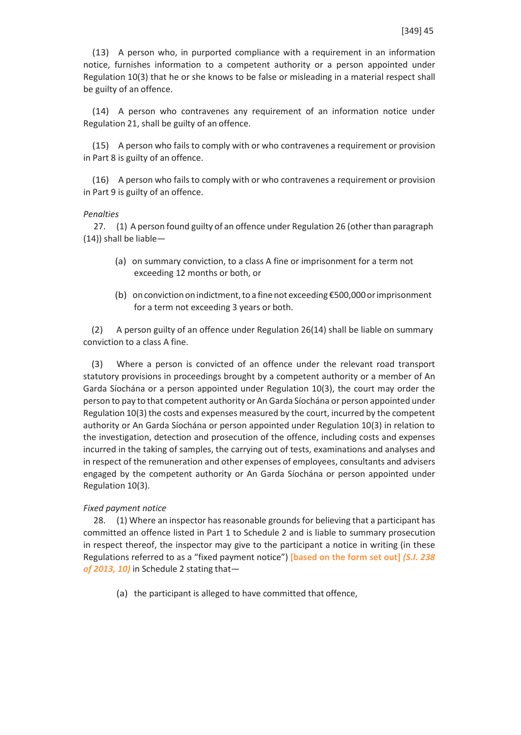(13) A person who, in purported compliance with a requirement in an information notice, furnishes information to a competent authority or a person appointed under Regulation 10(3) that he or she knows to be false or misleading in a material respect shall be guilty of an offence.

(14) A person who contravenes any requirement of an information notice under Regulation 21, shall be guilty of an offence.

(15) A person who fails to comply with or who contravenes a requirement or provision in Part 8 is guilty of an offence.

(16) A person who fails to comply with or who contravenes a requirement or provision in Part 9 is guilty of an offence.

#### *Penalties*

27. (1) A person found guilty of an offence under Regulation 26 (other than paragraph (14)) shall be liable—

- (a) on summary conviction, to a class A fine or imprisonment for a term not exceeding 12 months or both, or
- (b) on conviction on indictment, to a fine not exceeding  $$500,000$  or imprisonment for a term not exceeding 3 years or both.

(2) A person guilty of an offence under Regulation 26(14) shall be liable on summary conviction to a class A fine.

(3) Where a person is convicted of an offence under the relevant road transport statutory provisions in proceedings brought by a competent authority or a member of An Garda Síochána or a person appointed under Regulation 10(3), the court may order the person to pay to that competent authority or An Garda Síochána or person appointed under Regulation 10(3) the costs and expenses measured by the court, incurred by the competent authority or An Garda Síochána or person appointed under Regulation 10(3) in relation to the investigation, detection and prosecution of the offence, including costs and expenses incurred in the taking of samples, the carrying out of tests, examinations and analyses and in respect of the remuneration and other expenses of employees, consultants and advisers engaged by the competent authority or An Garda Síochána or person appointed under Regulation 10(3).

#### *Fixed payment notice*

28. (1) Where an inspector has reasonable grounds for believing that a participant has committed an offence listed in Part 1 to Schedule 2 and is liable to summary prosecution in respect thereof, the inspector may give to the participant a notice in writing (in these Regulations referred to as a "fixed payment notice") **[based on the form set out]** *(S.I. 238 of 2013, 10)* in Schedule 2 stating that—

(a) the participant is alleged to have committed that offence,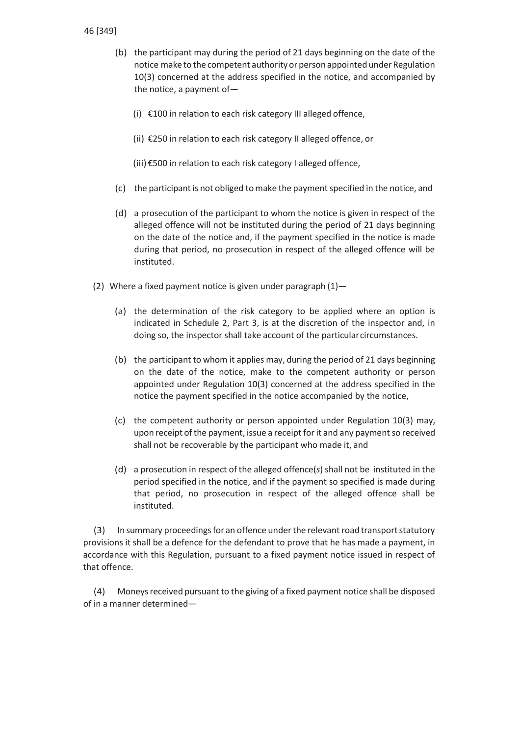- (b) the participant may during the period of 21 days beginning on the date of the notice make to the competent authority or person appointed under Regulation 10(3) concerned at the address specified in the notice, and accompanied by the notice, a payment of—
	- (i) €100 in relation to each risk category III alleged offence,
	- (ii) €250 in relation to each risk category II alleged offence, or
	- (iii)€500 in relation to each risk category I alleged offence,
- (c) the participant is not obliged to make the payment specified in the notice, and
- (d) a prosecution of the participant to whom the notice is given in respect of the alleged offence will not be instituted during the period of 21 days beginning on the date of the notice and, if the payment specified in the notice is made during that period, no prosecution in respect of the alleged offence will be instituted.
- (2) Where a fixed payment notice is given under paragraph  $(1)$ 
	- (a) the determination of the risk category to be applied where an option is indicated in Schedule 2, Part 3, is at the discretion of the inspector and, in doing so, the inspector shall take account of the particularcircumstances.
	- (b) the participant to whom it applies may, during the period of 21 days beginning on the date of the notice, make to the competent authority or person appointed under Regulation 10(3) concerned at the address specified in the notice the payment specified in the notice accompanied by the notice,
	- (c) the competent authority or person appointed under Regulation 10(3) may, upon receipt of the payment, issue a receipt for it and any payment so received shall not be recoverable by the participant who made it, and
	- (d) a prosecution in respect of the alleged offence(*s*) shall not be instituted in the period specified in the notice, and if the payment so specified is made during that period, no prosecution in respect of the alleged offence shall be instituted.

(3) In summary proceedingsfor an offence underthe relevant road transportstatutory provisions it shall be a defence for the defendant to prove that he has made a payment, in accordance with this Regulation, pursuant to a fixed payment notice issued in respect of that offence.

(4) Moneysreceived pursuant to the giving of a fixed payment notice shall be disposed of in a manner determined—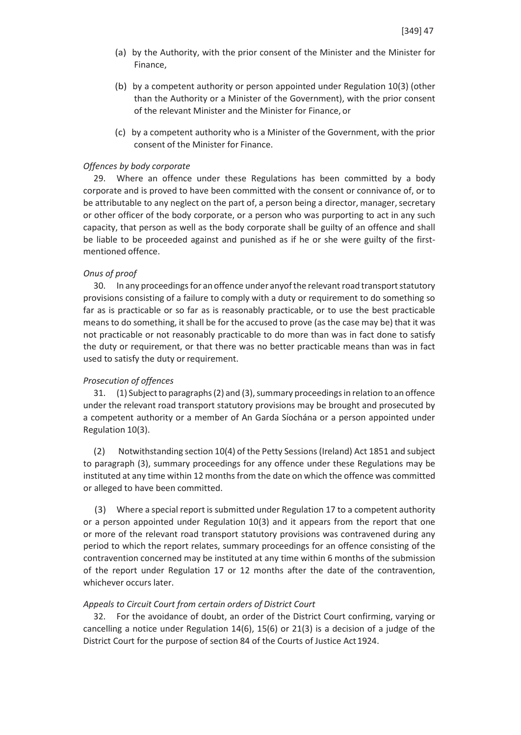- (a) by the Authority, with the prior consent of the Minister and the Minister for Finance,
- (b) by a competent authority or person appointed under Regulation 10(3) (other than the Authority or a Minister of the Government), with the prior consent of the relevant Minister and the Minister for Finance, or
- (c) by a competent authority who is a Minister of the Government, with the prior consent of the Minister for Finance.

### *Offences by body corporate*

29. Where an offence under these Regulations has been committed by a body corporate and is proved to have been committed with the consent or connivance of, or to be attributable to any neglect on the part of, a person being a director, manager, secretary or other officer of the body corporate, or a person who was purporting to act in any such capacity, that person as well as the body corporate shall be guilty of an offence and shall be liable to be proceeded against and punished as if he or she were guilty of the firstmentioned offence.

#### *Onus of proof*

30. In any proceedings for an offence under anyof the relevant road transport statutory provisions consisting of a failure to comply with a duty or requirement to do something so far as is practicable or so far as is reasonably practicable, or to use the best practicable meansto do something, it shall be for the accused to prove (asthe case may be) that it was not practicable or not reasonably practicable to do more than was in fact done to satisfy the duty or requirement, or that there was no better practicable means than was in fact used to satisfy the duty or requirement.

### *Prosecution of offences*

31. (1) Subjectto paragraphs(2) and (3),summary proceedingsin relation to an offence under the relevant road transport statutory provisions may be brought and prosecuted by a competent authority or a member of An Garda Síochána or a person appointed under Regulation 10(3).

(2) Notwithstanding section 10(4) of the Petty Sessions (Ireland) Act 1851 and subject to paragraph (3), summary proceedings for any offence under these Regulations may be instituted at any time within 12 months from the date on which the offence was committed or alleged to have been committed.

(3) Where a special report is submitted under Regulation 17 to a competent authority or a person appointed under Regulation 10(3) and it appears from the report that one or more of the relevant road transport statutory provisions was contravened during any period to which the report relates, summary proceedings for an offence consisting of the contravention concerned may be instituted at any time within 6 months of the submission of the report under Regulation 17 or 12 months after the date of the contravention, whichever occurs later.

### *Appeals to Circuit Court from certain orders of District Court*

32. For the avoidance of doubt, an order of the District Court confirming, varying or cancelling a notice under Regulation 14(6), 15(6) or 21(3) is a decision of a judge of the District Court for the purpose of section 84 of the Courts of Justice Act1924.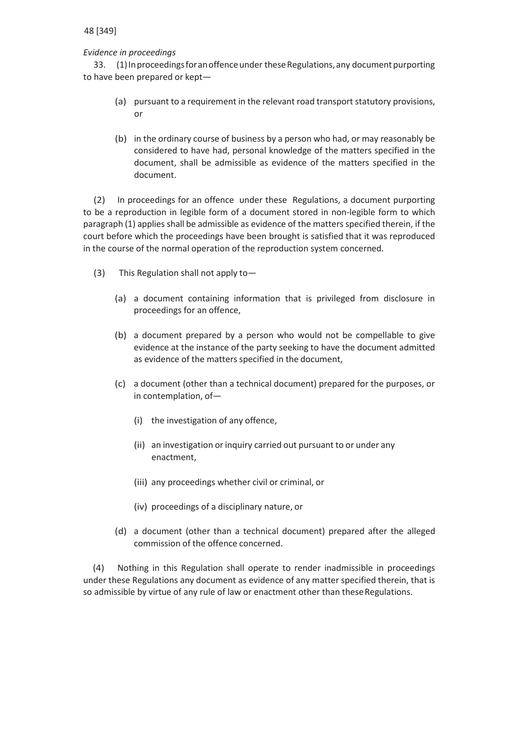# *Evidence in proceedings*

33. (1) In proceedings for an offence under these Regulations, any document purporting to have been prepared or kept—

- (a) pursuant to a requirement in the relevant road transport statutory provisions, or
- (b) in the ordinary course of business by a person who had, or may reasonably be considered to have had, personal knowledge of the matters specified in the document, shall be admissible as evidence of the matters specified in the document.

(2) In proceedings for an offence under these Regulations, a document purporting to be a reproduction in legible form of a document stored in non-legible form to which paragraph (1) applies shall be admissible as evidence of the matters specified therein, if the court before which the proceedings have been brought is satisfied that it was reproduced in the course of the normal operation of the reproduction system concerned.

- (3) This Regulation shall not apply to—
	- (a) a document containing information that is privileged from disclosure in proceedings for an offence,
	- (b) a document prepared by a person who would not be compellable to give evidence at the instance of the party seeking to have the document admitted as evidence of the matters specified in the document,
	- (c) a document (other than a technical document) prepared for the purposes, or in contemplation, of—
		- (i) the investigation of any offence,
		- (ii) an investigation orinquiry carried out pursuant to or under any enactment,
		- (iii) any proceedings whether civil or criminal, or
		- (iv) proceedings of a disciplinary nature, or
	- (d) a document (other than a technical document) prepared after the alleged commission of the offence concerned.

(4) Nothing in this Regulation shall operate to render inadmissible in proceedings under these Regulations any document as evidence of any matter specified therein, that is so admissible by virtue of any rule of law or enactment other than these Regulations.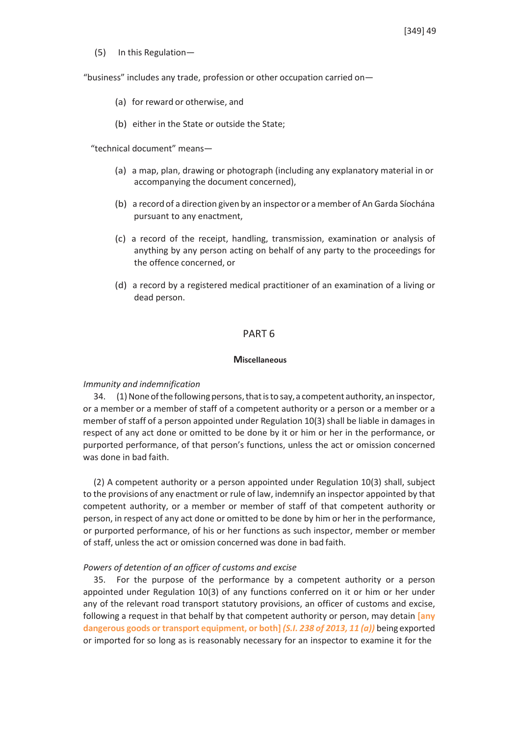(5) In this Regulation—

"business" includes any trade, profession or other occupation carried on—

- (a) for reward or otherwise, and
- (b) either in the State or outside the State;

"technical document" means—

- (a) a map, plan, drawing or photograph (including any explanatory material in or accompanying the document concerned),
- (b) a record of a direction given by an inspector or amember of An Garda Síochána pursuant to any enactment,
- (c) a record of the receipt, handling, transmission, examination or analysis of anything by any person acting on behalf of any party to the proceedings for the offence concerned, or
- (d) a record by a registered medical practitioner of an examination of a living or dead person.

# PART 6

#### **Miscellaneous**

#### *Immunity and indemnification*

 $34.$  (1) None of the following persons, that is to say, a competent authority, an inspector, or a member or a member of staff of a competent authority or a person or a member or a member of staff of a person appointed under Regulation 10(3) shall be liable in damages in respect of any act done or omitted to be done by it or him or her in the performance, or purported performance, of that person's functions, unless the act or omission concerned was done in bad faith.

(2) A competent authority or a person appointed under Regulation 10(3) shall, subject to the provisions of any enactment or rule of law, indemnify an inspector appointed by that competent authority, or a member or member of staff of that competent authority or person, in respect of any act done or omitted to be done by him or her in the performance, or purported performance, of his or her functions as such inspector, member or member of staff, unless the act or omission concerned was done in bad faith.

#### *Powers of detention of an officer of customs and excise*

35. For the purpose of the performance by a competent authority or a person appointed under Regulation 10(3) of any functions conferred on it or him or her under any of the relevant road transport statutory provisions, an officer of customs and excise, following a request in that behalf by that competent authority or person, may detain **[any dangerous goods or transport equipment, or both]** *(S.I. 238 of 2013, 11 (a))* being exported or imported for so long as is reasonably necessary for an inspector to examine it for the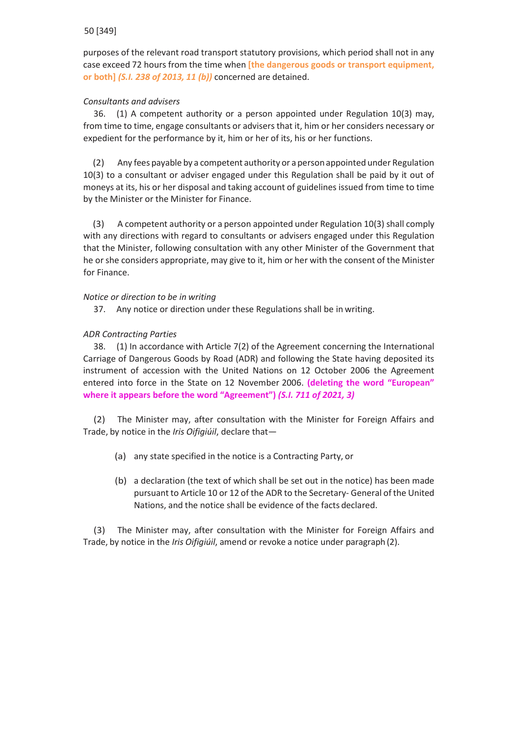purposes of the relevant road transport statutory provisions, which period shall not in any case exceed 72 hours from the time when **[the dangerous goods or transport equipment, or both]** *(S.I. 238 of 2013, 11 (b))* concerned are detained.

# *Consultants and advisers*

36. (1) A competent authority or a person appointed under Regulation 10(3) may, from time to time, engage consultants or advisers that it, him or her considers necessary or expedient for the performance by it, him or her of its, his or her functions.

(2) Any fees payable by a competent authority or a personappointed under Regulation 10(3) to a consultant or adviser engaged under this Regulation shall be paid by it out of moneys at its, his or her disposal and taking account of guidelines issued from time to time by the Minister or the Minister for Finance.

(3) A competent authority or a person appointed under Regulation 10(3) shall comply with any directions with regard to consultants or advisers engaged under this Regulation that the Minister, following consultation with any other Minister of the Government that he or she considers appropriate, may give to it, him or her with the consent of the Minister for Finance.

# *Notice or direction to be in writing*

37. Any notice or direction under these Regulations shall be in writing.

# *ADR Contracting Parties*

38. (1) In accordance with Article 7(2) of the Agreement concerning the International Carriage of Dangerous Goods by Road (ADR) and following the State having deposited its instrument of accession with the United Nations on 12 October 2006 the Agreement entered into force in the State on 12 November 2006. **(deleting the word "European" where it appears before the word "Agreement")** *(S.I. 711 of 2021, 3)*

(2) The Minister may, after consultation with the Minister for Foreign Affairs and Trade, by notice in the *Iris Oifigiúil*, declare that—

- (a) any state specified in the notice is a Contracting Party, or
- (b) a declaration (the text of which shall be set out in the notice) has been made pursuant to Article 10 or 12 of the ADR to the Secretary- General of the United Nations, and the notice shall be evidence of the facts declared.

(3) The Minister may, after consultation with the Minister for Foreign Affairs and Trade, by notice in the *Iris Oifigiúil*, amend or revoke a notice under paragraph(2).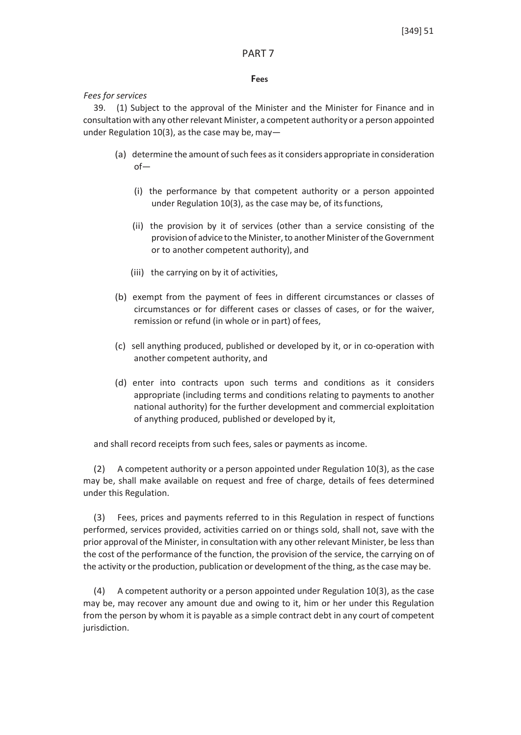### PART 7

### **Fees**

# *Fees for services*

39. (1) Subject to the approval of the Minister and the Minister for Finance and in consultation with any otherrelevant Minister, a competent authority or a person appointed under Regulation 10(3), as the case may be, may  $-$ 

- (a) determine the amount of such fees as it considers appropriate in consideration of—
	- (i) the performance by that competent authority or a person appointed under Regulation 10(3), as the case may be, of itsfunctions,
	- (ii) the provision by it of services (other than a service consisting of the provision of advice to the Minister, to another Minister of the Government or to another competent authority), and
	- (iii) the carrying on by it of activities,
- (b) exempt from the payment of fees in different circumstances or classes of circumstances or for different cases or classes of cases, or for the waiver, remission or refund (in whole or in part) of fees,
- (c) sell anything produced, published or developed by it, or in co-operation with another competent authority, and
- (d) enter into contracts upon such terms and conditions as it considers appropriate (including terms and conditions relating to payments to another national authority) for the further development and commercial exploitation of anything produced, published or developed by it,

and shall record receipts from such fees, sales or payments as income.

(2) A competent authority or a person appointed under Regulation 10(3), as the case may be, shall make available on request and free of charge, details of fees determined under this Regulation.

(3) Fees, prices and payments referred to in this Regulation in respect of functions performed, services provided, activities carried on or things sold, shall not, save with the prior approval of the Minister, in consultation with any other relevant Minister, be less than the cost of the performance of the function, the provision of the service, the carrying on of the activity or the production, publication or development of the thing, as the case may be.

(4) A competent authority or a person appointed under Regulation 10(3), as the case may be, may recover any amount due and owing to it, him or her under this Regulation from the person by whom it is payable as a simple contract debt in any court of competent jurisdiction.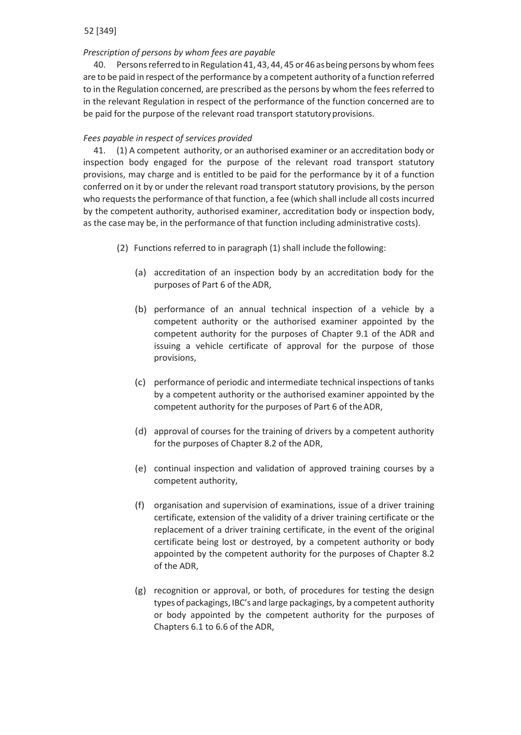# *Prescription of persons by whom fees are payable*

40. Persons referred to in Regulation 41, 43, 44, 45 or 46 as being persons by whom fees are to be paid in respect of the performance by a competent authority of a function referred to in the Regulation concerned, are prescribed asthe persons by whom the feesreferred to in the relevant Regulation in respect of the performance of the function concerned are to be paid for the purpose of the relevant road transport statutory provisions.

# *Fees payable in respect of services provided*

41. (1) A competent authority, or an authorised examiner or an accreditation body or inspection body engaged for the purpose of the relevant road transport statutory provisions, may charge and is entitled to be paid for the performance by it of a function conferred on it by or under the relevant road transport statutory provisions, by the person who requests the performance of that function, a fee (which shall include all costs incurred by the competent authority, authorised examiner, accreditation body or inspection body, as the case may be, in the performance of that function including administrative costs).

- (2) Functions referred to in paragraph (1) shall include the following:
	- (a) accreditation of an inspection body by an accreditation body for the purposes of Part 6 of the ADR,
	- (b) performance of an annual technical inspection of a vehicle by a competent authority or the authorised examiner appointed by the competent authority for the purposes of Chapter 9.1 of the ADR and issuing a vehicle certificate of approval for the purpose of those provisions,
	- (c) performance of periodic and intermediate technical inspections of tanks by a competent authority or the authorised examiner appointed by the competent authority for the purposes of Part 6 of theADR,
	- (d) approval of courses for the training of drivers by a competent authority for the purposes of Chapter 8.2 of the ADR,
	- (e) continual inspection and validation of approved training courses by a competent authority,
	- (f) organisation and supervision of examinations, issue of a driver training certificate, extension of the validity of a driver training certificate or the replacement of a driver training certificate, in the event of the original certificate being lost or destroyed, by a competent authority or body appointed by the competent authority for the purposes of Chapter 8.2 of the ADR,
	- (g) recognition or approval, or both, of procedures for testing the design typesof packagings, IBC's and large packagings, by a competent authority or body appointed by the competent authority for the purposes of Chapters 6.1 to 6.6 of the ADR,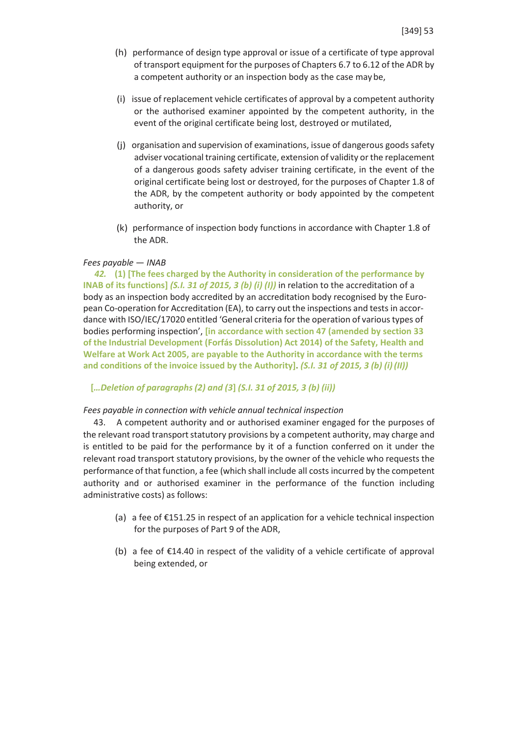- (h) performance of design type approval or issue of a certificate of type approval of transport equipment forthe purposes of Chapters 6.7 to 6.12 of the ADR by a competent authority or an inspection body as the case may be,
- (i) issue of replacement vehicle certificates of approval by a competent authority or the authorised examiner appointed by the competent authority, in the event of the original certificate being lost, destroyed or mutilated,
- (j) organisation and supervision of examinations, issue of dangerous goods safety adviser vocational training certificate, extension of validity or the replacement of a dangerous goods safety adviser training certificate, in the event of the original certificate being lost or destroyed, for the purposes of Chapter 1.8 of the ADR, by the competent authority or body appointed by the competent authority, or
- (k) performance of inspection body functions in accordance with Chapter 1.8 of the ADR.

### *Fees payable* — *INAB*

*42.* **(1) [The fees charged by the Authority in consideration of the performance by INAB of its functions]** *(S.I. 31 of 2015, 3 (b) (i) (I))* in relation to the accreditation of a body as an inspection body accredited by an accreditation body recognised by the European Co-operation for Accreditation (EA), to carry out the inspections and tests in accordance with ISO/IEC/17020 entitled 'General criteria for the operation of varioustypes of bodies performing inspection', **[in accordance with section 47 (amended by section 33 of the Industrial Development (Forfás Dissolution) Act 2014) of the Safety, Health and Welfare at Work Act 2005, are payable to the Authority in accordance with the terms and conditions of the invoice issued by the Authority].** *(S.I. 31 of 2015, 3 (b) (i)(II))*

#### **[***…Deletion of paragraphs (2) and (3***]** *(S.I. 31 of 2015, 3 (b) (ii))*

### *Fees payable in connection with vehicle annual technical inspection*

43. A competent authority and or authorised examiner engaged for the purposes of the relevant road transport statutory provisions by a competent authority, may charge and is entitled to be paid for the performance by it of a function conferred on it under the relevant road transport statutory provisions, by the owner of the vehicle who requests the performance of that function, a fee (which shall include all costs incurred by the competent authority and or authorised examiner in the performance of the function including administrative costs) as follows:

- (a) a fee of €151.25 in respect of an application for a vehicle technical inspection for the purposes of Part 9 of the ADR,
- (b) a fee of €14.40 in respect of the validity of a vehicle certificate of approval being extended, or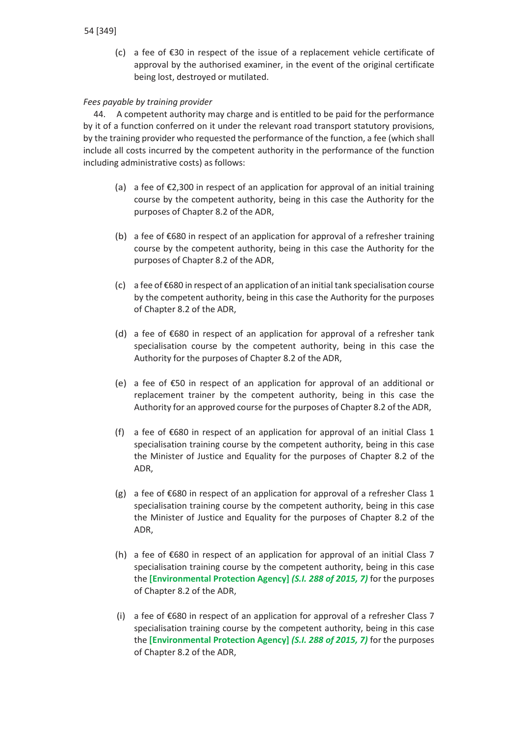(c) a fee of €30 in respect of the issue of a replacement vehicle certificate of approval by the authorised examiner, in the event of the original certificate being lost, destroyed or mutilated.

# *Fees payable by training provider*

44. A competent authority may charge and is entitled to be paid for the performance by it of a function conferred on it under the relevant road transport statutory provisions, by the training provider who requested the performance of the function, a fee (which shall include all costs incurred by the competent authority in the performance of the function including administrative costs) as follows:

- (a) a fee of €2,300 in respect of an application for approval of an initial training course by the competent authority, being in this case the Authority for the purposes of Chapter 8.2 of the ADR,
- (b) a fee of €680 in respect of an application for approval of a refresher training course by the competent authority, being in this case the Authority for the purposes of Chapter 8.2 of the ADR,
- (c) a fee of €680 in respect of an application of an initial tank specialisation course by the competent authority, being in this case the Authority for the purposes of Chapter 8.2 of the ADR,
- (d) a fee of €680 in respect of an application for approval of a refresher tank specialisation course by the competent authority, being in this case the Authority for the purposes of Chapter 8.2 of the ADR,
- (e) a fee of €50 in respect of an application for approval of an additional or replacement trainer by the competent authority, being in this case the Authority for an approved course for the purposes of Chapter 8.2 of the ADR,
- (f) a fee of €680 in respect of an application for approval of an initial Class 1 specialisation training course by the competent authority, being in this case the Minister of Justice and Equality for the purposes of Chapter 8.2 of the ADR,
- (g) a fee of  $\epsilon$ 680 in respect of an application for approval of a refresher Class 1 specialisation training course by the competent authority, being in this case the Minister of Justice and Equality for the purposes of Chapter 8.2 of the ADR,
- (h) a fee of €680 in respect of an application for approval of an initial Class 7 specialisation training course by the competent authority, being in this case the **[Environmental Protection Agency]** *(S.I. 288 of 2015, 7)* for the purposes of Chapter 8.2 of the ADR,
- (i) a fee of €680 in respect of an application for approval of a refresher Class 7 specialisation training course by the competent authority, being in this case the **[Environmental Protection Agency]** *(S.I. 288 of 2015, 7)* for the purposes of Chapter 8.2 of the ADR,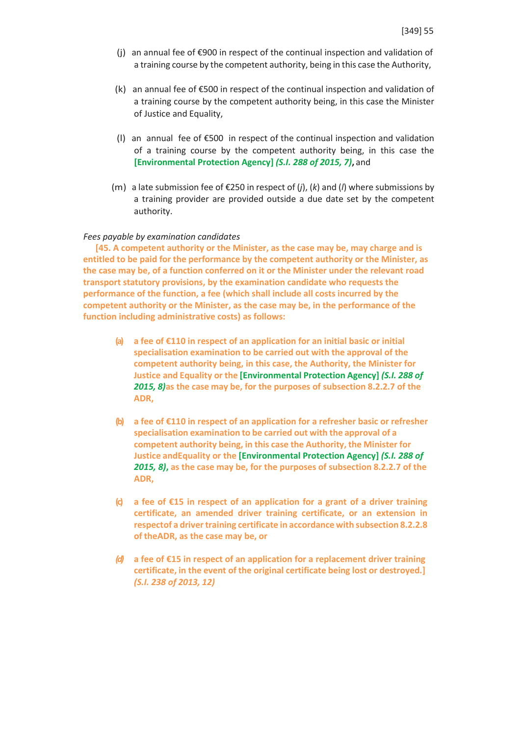- (j) an annual fee of €900 in respect of the continual inspection and validation of a training course by the competent authority, being in this case the Authority,
- (k) an annual fee of €500 in respect of the continual inspection and validation of a training course by the competent authority being, in this case the Minister of Justice and Equality,
- (l) an annual fee of €500 in respect of the continual inspection and validation of a training course by the competent authority being, in this case the **[Environmental Protection Agency]** *(S.I. 288 of 2015, 7)***,** and
- (m) a late submission fee of €250 in respect of (*j*), (*k*) and (*l*) where submissions by a training provider are provided outside a due date set by the competent authority.

#### *Fees payable by examination candidates*

**[45. A competent authority or the Minister, as the case may be, may charge and is entitled to be paid for the performance by the competent authority or the Minister, as the case may be, of a function conferred on it or the Minister under the relevant road transport statutory provisions, by the examination candidate who requests the performance of the function, a fee (which shall include all costs incurred by the competent authority or the Minister, as the case may be, in the performance of the function including administrative costs) as follows:**

- **(a) a fee of €110 in respect of an application for an initial basic or initial specialisation examination to be carried out with the approval of the competent authority being, in this case, the Authority, the Minister for Justice and Equality or the [Environmental Protection Agency]** *(S.I. 288 of 2015, 8)***as the case may be, for the purposes of subsection 8.2.2.7 of the ADR,**
- **(b) a fee of €110 in respect of an application for a refresher basic or refresher specialisation examination to be carried out with the approval of a competent authority being, in this case the Authority, the Minister for Justice andEquality or the [Environmental Protection Agency]** *(S.I. 288 of 2015, 8)***, as the case may be, for the purposes of subsection 8.2.2.7 of the ADR,**
- **(c) a fee of €15 in respect of an application for a grant of a driver training certificate, an amended driver training certificate, or an extension in respectof a drivertraining certificate in accordance with subsection 8.2.2.8 of theADR, as the case may be, or**
- *(d)* **a fee of €15 in respect of an application for a replacement driver training certificate, in the event of the original certificate being lost or destroyed.]** *(S.I. 238 of 2013, 12)*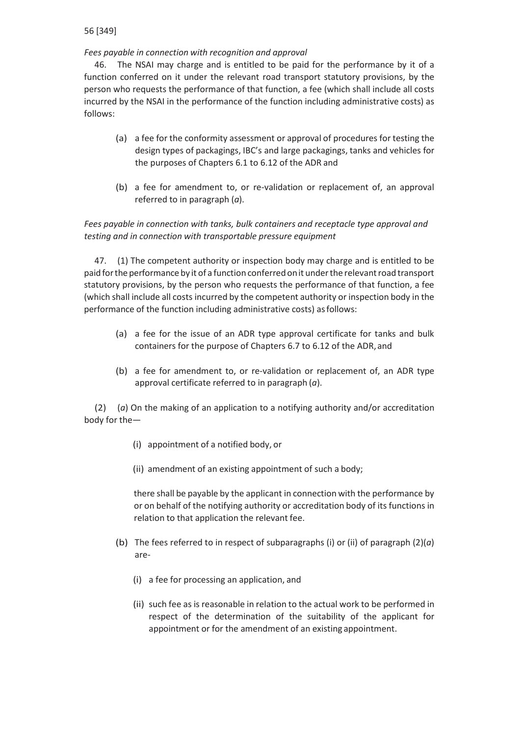# *Fees payable in connection with recognition and approval*

46. The NSAI may charge and is entitled to be paid for the performance by it of a function conferred on it under the relevant road transport statutory provisions, by the person who requests the performance of that function, a fee (which shall include all costs incurred by the NSAI in the performance of the function including administrative costs) as follows:

- (a) a fee for the conformity assessment or approval of procedures for testing the design types of packagings, IBC's and large packagings, tanks and vehicles for the purposes of Chapters 6.1 to 6.12 of the ADR and
- (b) a fee for amendment to, or re-validation or replacement of, an approval referred to in paragraph (*a*).

# *Fees payable in connection with tanks, bulk containers and receptacle type approval and testing and in connection with transportable pressure equipment*

47. (1) The competent authority or inspection body may charge and is entitled to be paidforthe performance by it of a function conferredonit underthe relevantroad transport statutory provisions, by the person who requests the performance of that function, a fee (which shall include all costs incurred by the competent authority or inspection body in the performance of the function including administrative costs) as follows:

- (a) a fee for the issue of an ADR type approval certificate for tanks and bulk containers for the purpose of Chapters 6.7 to 6.12 of the ADR, and
- (b) a fee for amendment to, or re-validation or replacement of, an ADR type approval certificate referred to in paragraph (*a*).

(2) (*a*) On the making of an application to a notifying authority and/or accreditation body for the—

- (i) appointment of a notified body, or
- (ii) amendment of an existing appointment of such a body;

there shall be payable by the applicant in connection with the performance by or on behalf of the notifying authority or accreditation body of its functions in relation to that application the relevant fee.

- (b) The fees referred to in respect of subparagraphs (i) or (ii) of paragraph (2)(*a*) are-
	- (i) a fee for processing an application, and
	- (ii) such fee as is reasonable in relation to the actual work to be performed in respect of the determination of the suitability of the applicant for appointment or for the amendment of an existing appointment.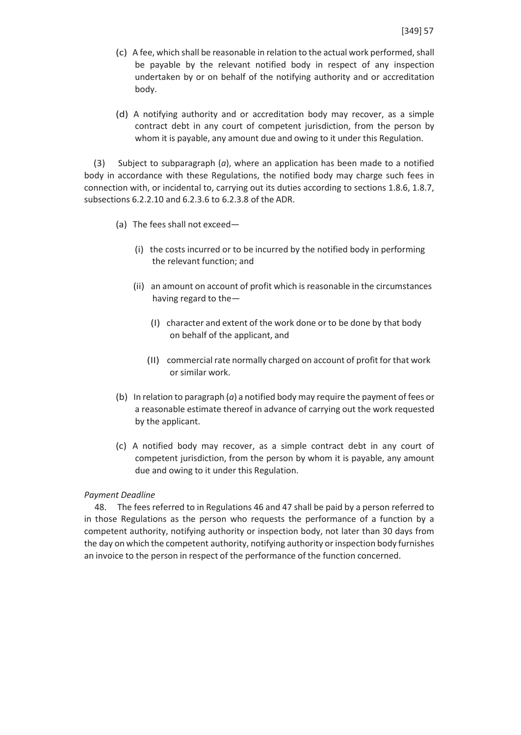- (c) A fee, which shall be reasonable in relation to the actual work performed, shall be payable by the relevant notified body in respect of any inspection undertaken by or on behalf of the notifying authority and or accreditation body.
- (d) A notifying authority and or accreditation body may recover, as a simple contract debt in any court of competent jurisdiction, from the person by whom it is payable, any amount due and owing to it under this Regulation.

(3) Subject to subparagraph (*a*), where an application has been made to a notified body in accordance with these Regulations, the notified body may charge such fees in connection with, or incidental to, carrying out its duties according to sections 1.8.6, 1.8.7, subsections 6.2.2.10 and 6.2.3.6 to 6.2.3.8 of the ADR.

- (a) The fees shall not exceed—
	- (i) the costs incurred or to be incurred by the notified body in performing the relevant function; and
	- (ii) an amount on account of profit which is reasonable in the circumstances having regard to the—
		- (I) character and extent of the work done or to be done by that body on behalf of the applicant, and
		- (II) commercial rate normally charged on account of profit for that work or similar work.
- (b) In relation to paragraph (*a*) a notified body may require the payment of fees or a reasonable estimate thereof in advance of carrying out the work requested by the applicant.
- (c) A notified body may recover, as a simple contract debt in any court of competent jurisdiction, from the person by whom it is payable, any amount due and owing to it under this Regulation.

# *Payment Deadline*

48. The fees referred to in Regulations 46 and 47 shall be paid by a person referred to in those Regulations as the person who requests the performance of a function by a competent authority, notifying authority or inspection body, not later than 30 days from the day on which the competent authority, notifying authority or inspection body furnishes an invoice to the person in respect of the performance of the function concerned.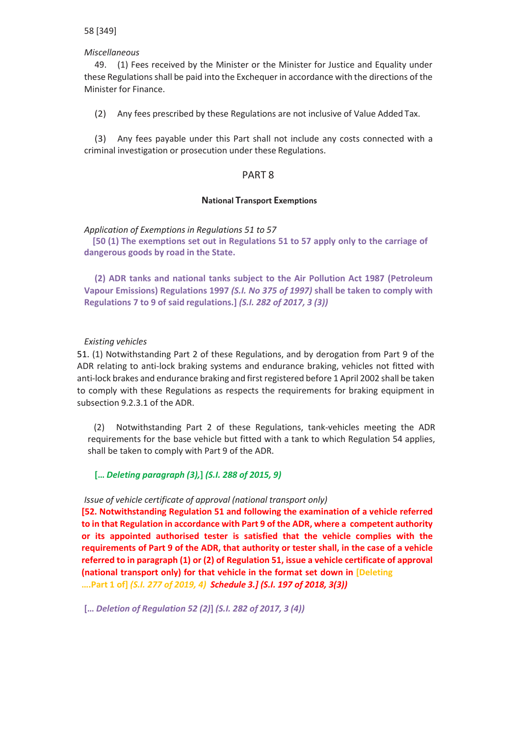### *Miscellaneous*

49. (1) Fees received by the Minister or the Minister for Justice and Equality under these Regulations shall be paid into the Exchequer in accordance with the directions of the Minister for Finance.

(2) Any fees prescribed by these Regulations are not inclusive of Value Added Tax.

(3) Any fees payable under this Part shall not include any costs connected with a criminal investigation or prosecution under these Regulations.

# PART 8

### **National Transport Exemptions**

*Application of Exemptions in Regulations 51 to 57*

**[50 (1) The exemptions set out in Regulations 51 to 57 apply only to the carriage of dangerous goods by road in the State.**

**(2) ADR tanks and national tanks subject to the Air Pollution Act 1987 (Petroleum Vapour Emissions) Regulations 1997** *(S.I. No 375 of 1997)* **shall be taken to comply with Regulations 7 to 9 of said regulations.]** *(S.I. 282 of 2017, 3 (3))*

### *Existing vehicles*

51. (1) Notwithstanding Part 2 of these Regulations, and by derogation from Part 9 of the ADR relating to anti-lock braking systems and endurance braking, vehicles not fitted with anti-lock brakes and endurance braking and first registered before 1 April 2002 shall be taken to comply with these Regulations as respects the requirements for braking equipment in subsection 9.2.3.1 of the ADR.

(2) Notwithstanding Part 2 of these Regulations, tank-vehicles meeting the ADR requirements for the base vehicle but fitted with a tank to which Regulation 54 applies, shall be taken to comply with Part 9 of the ADR.

**[…** *Deleting paragraph (3),***]** *(S.I. 288 of 2015, 9)*

### *Issue of vehicle certificate of approval (national transport only)*

**[52. Notwithstanding Regulation 51 and following the examination of a vehicle referred to in that Regulation in accordance with Part 9 of the ADR, where a competent authority or its appointed authorised tester is satisfied that the vehicle complies with the requirements of Part 9 of the ADR, that authority or tester shall, in the case of a vehicle referred to in paragraph (1) or (2) of Regulation 51, issue a vehicle certificate of approval (national transport only) for that vehicle in the format set down in [Deleting ….Part 1 of]** *(S.I. 277 of 2019, 4) Schedule 3.] (S.I. 197 of 2018, 3(3))*

**[…** *Deletion of Regulation 52 (2)***]** *(S.I. 282 of 2017, 3 (4))*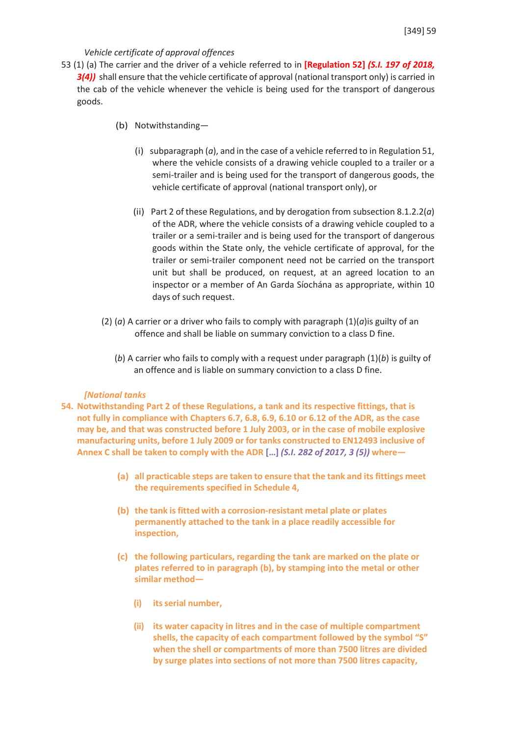### *Vehicle certificate of approval offences*

- 53 (1) (a) The carrier and the driver of a vehicle referred to in **[Regulation 52]** *(S.I. 197 of 2018,* **3(4))** shall ensure that the vehicle certificate of approval (national transport only) is carried in the cab of the vehicle whenever the vehicle is being used for the transport of dangerous goods.
	- (b) Notwithstanding—
		- (i) subparagraph (*a*), and in the case of a vehicle referred to in Regulation 51, where the vehicle consists of a drawing vehicle coupled to a trailer or a semi-trailer and is being used for the transport of dangerous goods, the vehicle certificate of approval (national transport only), or
		- (ii) Part 2 of these Regulations, and by derogation from subsection 8.1.2.2(*a*) of the ADR, where the vehicle consists of a drawing vehicle coupled to a trailer or a semi-trailer and is being used for the transport of dangerous goods within the State only, the vehicle certificate of approval, for the trailer or semi-trailer component need not be carried on the transport unit but shall be produced, on request, at an agreed location to an inspector or a member of An Garda Síochána as appropriate, within 10 days of such request.
	- (2) (*a*) A carrier or a driver who fails to comply with paragraph (1)(*a*)is guilty of an offence and shall be liable on summary conviction to a class D fine.
		- (*b*) A carrier who fails to comply with a request under paragraph (1)(*b*) is guilty of an offence and is liable on summary conviction to a class D fine.

#### *[National tanks*

- **54. Notwithstanding Part 2 of these Regulations, a tank and its respective fittings, that is not fully in compliance with Chapters 6.7, 6.8, 6.9, 6.10 or 6.12 of the ADR, as the case may be, and that was constructed before 1 July 2003, or in the case of mobile explosive manufacturing units, before 1 July 2009 or for tanks constructed to EN12493 inclusive of Annex C shall be taken to comply with the ADR […]** *(S.I. 282 of 2017, 3 (5))* **where—**
	- **(a) all practicable steps are taken to ensure that the tank and itsfittings meet the requirements specified in Schedule 4,**
	- **(b) the tank isfitted with a corrosion-resistant metal plate or plates permanently attached to the tank in a place readily accessible for inspection,**
	- **(c) the following particulars, regarding the tank are marked on the plate or plates referred to in paragraph (b), by stamping into the metal or other similar method—**
		- **(i) itsserial number,**
		- **(ii) its water capacity in litres and in the case of multiple compartment shells, the capacity of each compartment followed by the symbol "S" when the shell or compartments of more than 7500 litres are divided by surge plates into sections of not more than 7500 litres capacity,**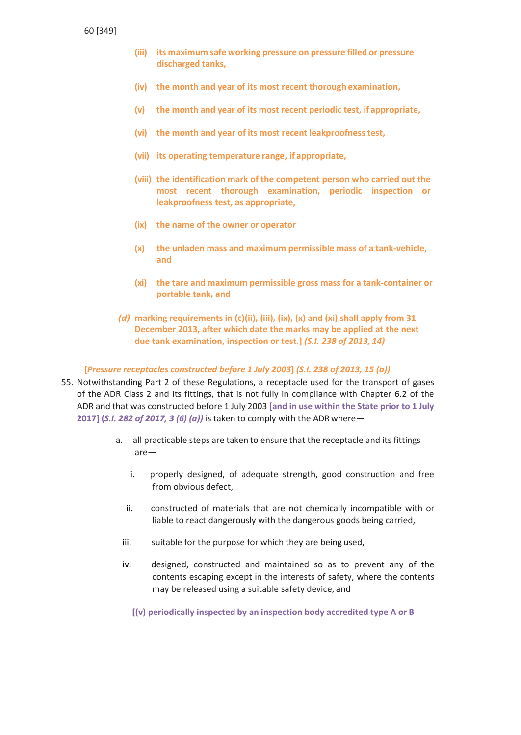- **(iii) its maximum safe working pressure on pressure filled or pressure discharged tanks,**
- **(iv) the month and year of its most recent thorough examination,**
- **(v) the month and year of its most recent periodic test, if appropriate,**
- **(vi) the month and year of its most recent leakproofnesstest,**
- **(vii) its operating temperature range, if appropriate,**
- **(viii) the identification mark of the competent person who carried out the most recent thorough examination, periodic inspection or leakproofness test, as appropriate,**
- **(ix) the name of the owner or operator**
- **(x) the unladen mass and maximum permissible mass of a tank-vehicle, and**
- **(xi) the tare and maximum permissible gross mass for a tank-container or portable tank, and**
- *(d)* **marking requirements in (c)(ii), (iii), (ix), (x) and (xi) shall apply from 31 December 2013, after which date the marks may be applied at the next due tank examination, inspection or test.]** *(S.I. 238 of 2013, 14)*

#### **[***Pressure receptacles constructed before 1 July 2003***]** *(S.I. 238 of 2013, 15 (a))*

- 55. Notwithstanding Part 2 of these Regulations, a receptacle used for the transport of gases of the ADR Class 2 and its fittings, that is not fully in compliance with Chapter 6.2 of the ADR and that was constructed before 1 July 2003 **[and in use within the State prior to 1 July 2017] (***S.I. 282 of 2017, 3 (6) (a))* is taken to comply with the ADRwhere
	- a. all practicable steps are taken to ensure that the receptacle and its fittings are
		- i. properly designed, of adequate strength, good construction and free from obvious defect,
		- ii. constructed of materials that are not chemically incompatible with or liable to react dangerously with the dangerous goods being carried,
		- iii. suitable for the purpose for which they are being used,
		- iv. designed, constructed and maintained so as to prevent any of the contents escaping except in the interests of safety, where the contents may be released using a suitable safety device, and

**[(v) periodically inspected by an inspection body accredited type A or B**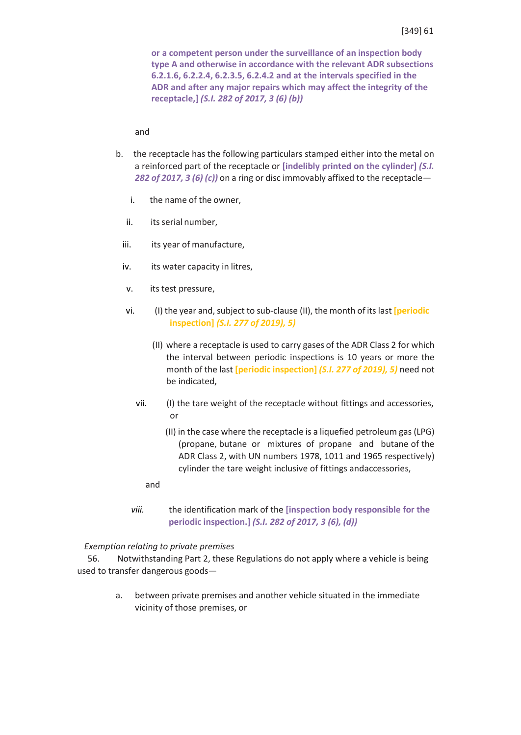**or a competent person under the surveillance of an inspection body type A and otherwise in accordance with the relevant ADR subsections 6.2.1.6, 6.2.2.4, 6.2.3.5, 6.2.4.2 and at the intervals specified in the ADR and after any major repairs which may affect the integrity of the receptacle,]** *(S.I. 282 of 2017, 3 (6) (b))*

and

- b. the receptacle has the following particulars stamped either into the metal on a reinforced part of the receptacle or **[indelibly printed on the cylinder]** *(S.I. 282 of 2017, 3 (6) (c))* on a ring or disc immovably affixed to the receptacle
	- i. the name of the owner,
	- ii. its serial number,
	- iii. its year of manufacture,
	- iv. its water capacity in litres,
	- v. its test pressure,
	- vi. (I) the year and,subject to sub-clause (II), the month of its last **[periodic inspection]** *(S.I. 277 of 2019), 5)*
		- (II) where a receptacle is used to carry gases of the ADR Class 2 for which the interval between periodic inspections is 10 years or more the month of the last **[periodic inspection]** *(S.I. 277 of 2019), 5)* need not be indicated,
		- vii. (I) the tare weight of the receptacle without fittings and accessories, or
			- (II) in the case where the receptacle is a liquefied petroleum gas(LPG) (propane, butane or mixtures of propane and butane of the ADR Class 2, with UN numbers 1978, 1011 and 1965 respectively) cylinder the tare weight inclusive of fittings andaccessories,
			- and
	- *viii.* the identification mark of the **[inspection body responsible for the periodic inspection.]** *(S.I. 282 of 2017, 3 (6), (d))*

### *Exemption relating to private premises*

56. Notwithstanding Part 2, these Regulations do not apply where a vehicle is being used to transfer dangerous goods—

> a. between private premises and another vehicle situated in the immediate vicinity of those premises, or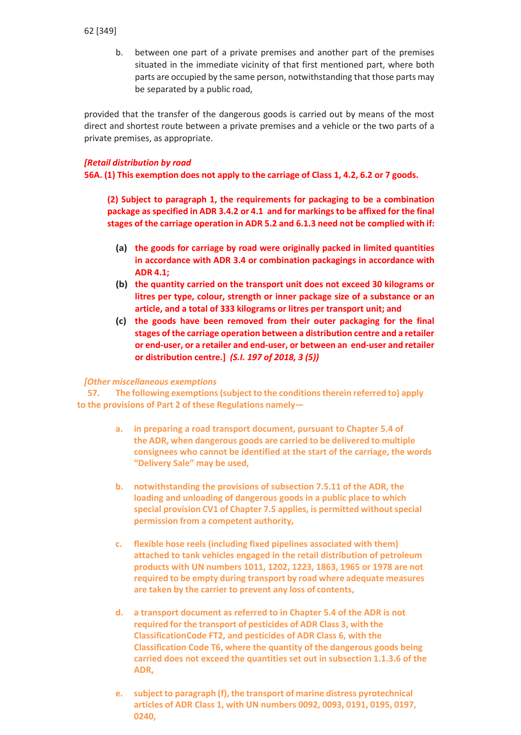b. between one part of a private premises and another part of the premises situated in the immediate vicinity of that first mentioned part, where both parts are occupied by the same person, notwithstanding that those parts may be separated by a public road,

provided that the transfer of the dangerous goods is carried out by means of the most direct and shortest route between a private premises and a vehicle or the two parts of a private premises, as appropriate.

# *[Retail distribution by road*

**56A. (1) This exemption does not apply to the carriage of Class 1, 4.2, 6.2 or 7 goods.**

**(2) Subject to paragraph 1, the requirements for packaging to be a combination package as specified in ADR 3.4.2 or 4.1 and for markings to be affixed for the final stages of the carriage operation in ADR 5.2 and 6.1.3 need not be complied with if:**

- **(a) the goods for carriage by road were originally packed in limited quantities in accordance with ADR 3.4 or combination packagings in accordance with ADR 4.1;**
- **(b) the quantity carried on the transport unit does not exceed 30 kilograms or litres per type, colour, strength or inner package size of a substance or an article, and a total of 333 kilograms or litres per transport unit; and**
- **(c) the goods have been removed from their outer packaging for the final stages of the carriage operation between a distribution centre and a retailer or end-user, or a retailer and end-user, or between an end-user and retailer or distribution centre.]** *(S.I. 197 of 2018, 3 (5))*

# *[Other miscellaneous exemptions*

**57. The following exemptions(subject to the conditionstherein referred to) apply to the provisions of Part 2 of these Regulations namely—**

- **a. in preparing a road transport document, pursuant to Chapter 5.4 of the ADR, when dangerous goods are carried to be delivered to multiple consignees who cannot be identified at the start of the carriage, the words "Delivery Sale" may be used,**
- **b. notwithstanding the provisions of subsection 7.5.11 of the ADR, the loading and unloading of dangerous goods in a public place to which special provision CV1 of Chapter 7.5 applies, is permitted withoutspecial permission from a competent authority,**
- **c. flexible hose reels (including fixed pipelines associated with them) attached to tank vehicles engaged in the retail distribution of petroleum products with UN numbers 1011, 1202, 1223, 1863, 1965 or 1978 are not required to be empty during transport by road where adequate measures are taken by the carrier to prevent any loss of contents,**
- **d. a transport document as referred to in Chapter 5.4 of the ADR is not required for the transport of pesticides of ADR Class 3, with the ClassificationCode FT2, and pesticides of ADR Class 6, with the Classification Code T6, where the quantity of the dangerous goods being carried does not exceed the quantities set out in subsection 1.1.3.6 of the ADR,**
- **e. subject to paragraph (f), the transport of marine distress pyrotechnical articles of ADR Class 1, with UN numbers 0092, 0093, 0191, 0195, 0197, 0240,**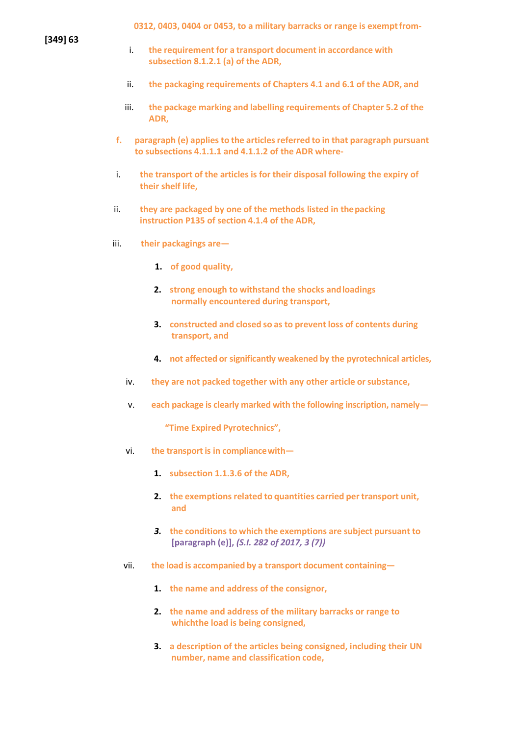**0312, 0403, 0404 or 0453, to a military barracks or range is exemptfrom-**

**[349] 63**

- i. **the requirement for a transport document in accordance with subsection 8.1.2.1 (a) of the ADR,**
- ii. **the packaging requirements of Chapters 4.1 and 6.1 of the ADR, and**
- iii. **the package marking and labelling requirements of Chapter 5.2 of the ADR,**
- **f. paragraph (e) appliesto the articlesreferred to in that paragraph pursuant to subsections 4.1.1.1 and 4.1.1.2 of the ADR where-**
- i. **the transport of the articles is for their disposal following the expiry of their shelf life,**
- ii. **they are packaged by one of the methods listed in thepacking instruction P135 of section 4.1.4 of the ADR,**
- iii. **their packagings are—**
	- **1. of good quality,**
	- **2. strong enough to withstand the shocks andloadings normally encountered during transport,**
	- **3. constructed and closed so as to prevent loss of contents during transport, and**
	- **4. not affected or significantly weakened by the pyrotechnical articles,**
	- iv. **they are not packed together with any other article orsubstance,**
	- v. **each package is clearly marked with the following inscription, namely—**

**"Time Expired Pyrotechnics",**

- vi. **the transport is in compliancewith—**
	- **1. subsection 1.1.3.6 of the ADR,**
	- **2. the exemptions related to quantities carried per transport unit, and**
	- *3.* **the conditions to which the exemptions are subject pursuant to [paragraph (e)],** *(S.I. 282 of 2017, 3 (7))*
- vii. **the load is accompanied by a transport document containing—**
	- **1. the name and address of the consignor,**
	- **2. the name and address of the military barracks or range to whichthe load is being consigned,**
	- **3. a description of the articles being consigned, including their UN number, name and classification code,**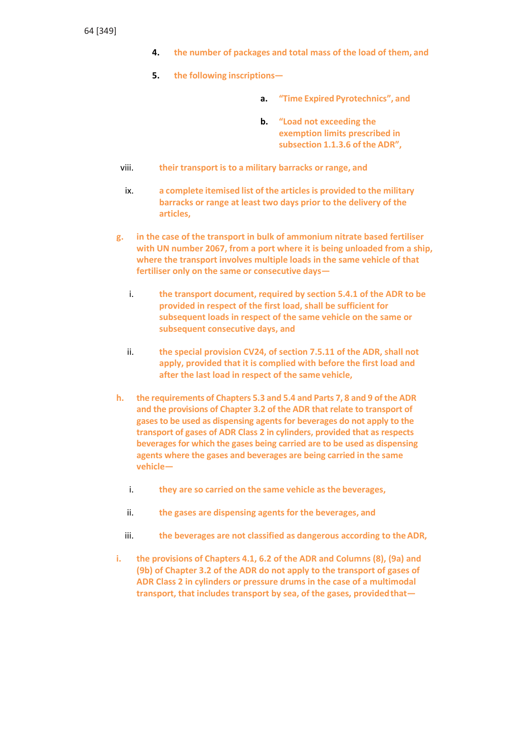- **4. the number of packages and total mass of the load of them, and**
- **5. the following inscriptions**
	- **a. "Time Expired Pyrotechnics", and**
	- **b. "Load not exceeding the exemption limits prescribed in subsection 1.1.3.6 of the ADR",**
- viii. **their transport is to a military barracks or range, and**
- ix. **a complete itemised list of the articlesis provided to the military barracks or range at least two days prior to the delivery of the articles,**
- **g. in the case of the transport in bulk of ammonium nitrate based fertiliser with UN number 2067, from a port where it is being unloaded from a ship, where the transport involves multiple loads in the same vehicle of that fertiliser only on the same or consecutive days**
	- i. **the transport document, required by section 5.4.1 of the ADR to be provided in respect of the first load, shall be sufficient for subsequent loads in respect of the same vehicle on the same or subsequent consecutive days, and**
	- ii. **the special provision CV24, of section 7.5.11 of the ADR, shall not apply, provided that it is complied with before the first load and after the last load in respect of the same vehicle,**
- **h. the requirements of Chapters 5.3 and 5.4 and Parts 7, 8 and 9 of the ADR and the provisions of Chapter 3.2 of the ADR that relate to transport of gases to be used as dispensing agents for beverages do not apply to the transport of gases of ADR Class 2 in cylinders, provided that as respects beverages for which the gases being carried are to be used as dispensing agents where the gases and beverages are being carried in the same vehicle**
	- i. **they are so carried on the same vehicle as the beverages,**
	- ii. **the gases are dispensing agents for the beverages, and**
	- iii. **the beverages are not classified as dangerous according to theADR,**
- **i. the provisions of Chapters 4.1, 6.2 of the ADR and Columns (8), (9a) and (9b) of Chapter 3.2 of the ADR do not apply to the transport of gases of ADR Class 2 in cylinders or pressure drums in the case of a multimodal transport, that includes transport by sea, of the gases, providedthat—**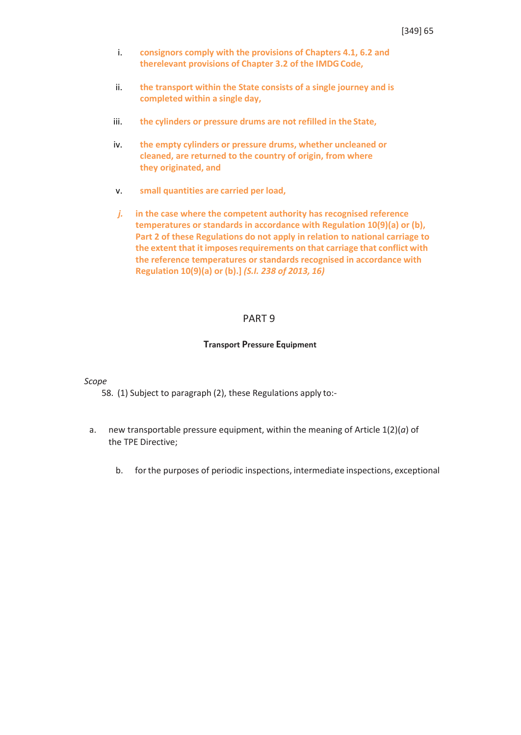- i. **consignors comply with the provisions of Chapters 4.1, 6.2 and therelevant provisions of Chapter 3.2 of the IMDGCode,**
- ii. **the transport within the State consists of a single journey and is completed within a single day,**
- iii. **the cylinders or pressure drums are not refilled in the State,**
- iv. **the empty cylinders or pressure drums, whether uncleaned or cleaned, are returned to the country of origin, from where they originated, and**
- v. **small quantities are carried per load,**
- *j.* **in the case where the competent authority has recognised reference temperatures or standards in accordance with Regulation 10(9)(a) or (b), Part 2 of these Regulations do not apply in relation to national carriage to the extent that it imposesrequirements on that carriage that conflict with the reference temperatures or standards recognised in accordance with Regulation 10(9)(a) or (b).]** *(S.I. 238 of 2013, 16)*

### PART 9

#### **Transport Pressure Equipment**

#### *Scope*

58. (1) Subject to paragraph (2), these Regulations apply to:-

- a. new transportable pressure equipment, within the meaning of Article 1(2)(*a*) of the TPE Directive;
	- b. forthe purposes of periodic inspections, intermediate inspections, exceptional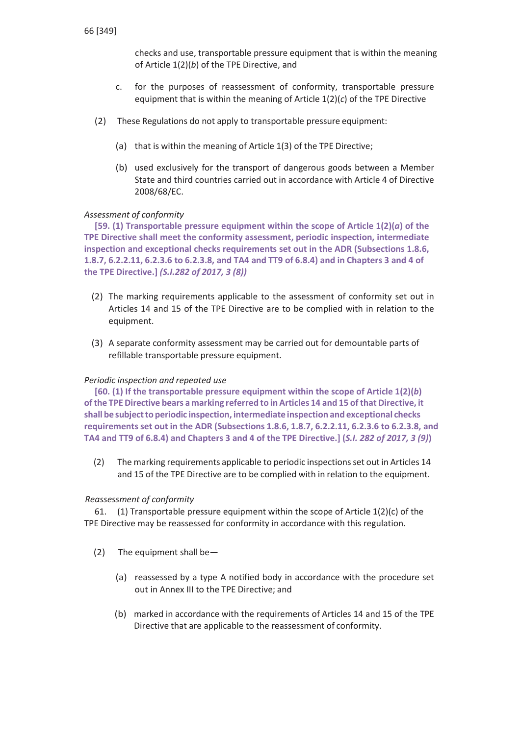checks and use, transportable pressure equipment that is within the meaning of Article 1(2)(*b*) of the TPE Directive, and

- c. for the purposes of reassessment of conformity, transportable pressure equipment that is within the meaning of Article 1(2)(*c*) of the TPE Directive
- (2) These Regulations do not apply to transportable pressure equipment:
	- (a) that is within the meaning of Article 1(3) of the TPE Directive;
	- (b) used exclusively for the transport of dangerous goods between a Member State and third countries carried out in accordance with Article 4 of Directive 2008/68/EC.

# *Assessment of conformity*

**[59. (1) Transportable pressure equipment within the scope of Article 1(2)(***a***) of the TPE Directive shall meet the conformity assessment, periodic inspection, intermediate inspection and exceptional checks requirements set out in the ADR (Subsections 1.8.6, 1.8.7, 6.2.2.11, 6.2.3.6 to 6.2.3.8, and TA4 and TT9 of 6.8.4) and in Chapters 3 and 4 of the TPE Directive.]** *(S.I.282 of 2017, 3 (8))*

- (2) The marking requirements applicable to the assessment of conformity set out in Articles 14 and 15 of the TPE Directive are to be complied with in relation to the equipment.
- (3) A separate conformity assessment may be carried out for demountable parts of refillable transportable pressure equipment.

# *Periodic inspection and repeated use*

**[60. (1) If the transportable pressure equipment within the scope of Article 1(2)(***b***) ofthe TPEDirective bears a marking referred to inArticles 14 and 15 ofthat Directive, it shall be subjectto periodic inspection, intermediate inspection and exceptional checks requirementsset out in the ADR (Subsections 1.8.6, 1.8.7, 6.2.2.11, 6.2.3.6 to 6.2.3.8, and TA4 and TT9 of 6.8.4) and Chapters 3 and 4 of the TPE Directive.] (***S.I. 282 of 2017, 3 (9)***)**

(2) The marking requirements applicable to periodic inspectionsset out in Articles 14 and 15 of the TPE Directive are to be complied with in relation to the equipment.

# *Reassessment of conformity*

61. (1) Transportable pressure equipment within the scope of Article  $1(2)(c)$  of the TPE Directive may be reassessed for conformity in accordance with this regulation.

- (2) The equipment shall be—
	- (a) reassessed by a type A notified body in accordance with the procedure set out in Annex III to the TPE Directive; and
	- (b) marked in accordance with the requirements of Articles 14 and 15 of the TPE Directive that are applicable to the reassessment of conformity.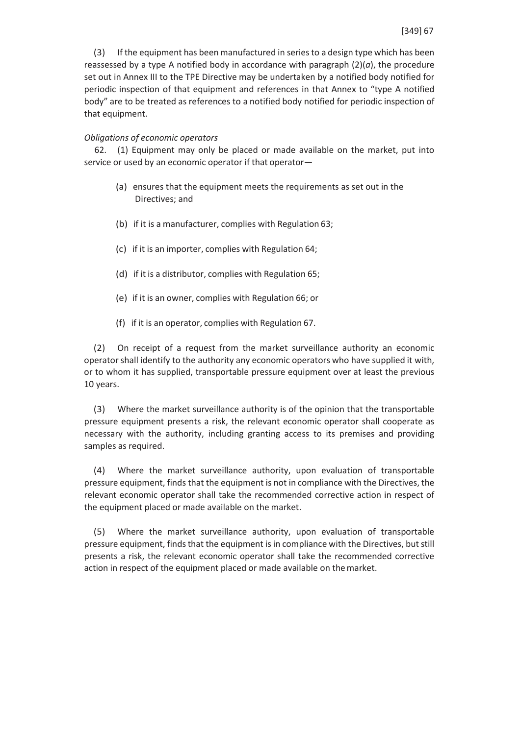(3) If the equipment has been manufactured in seriesto a design type which has been reassessed by a type A notified body in accordance with paragraph  $(2)(a)$ , the procedure set out in Annex III to the TPE Directive may be undertaken by a notified body notified for periodic inspection of that equipment and references in that Annex to "type A notified body" are to be treated as references to a notified body notified for periodic inspection of that equipment.

### *Obligations of economic operators*

62. (1) Equipment may only be placed or made available on the market, put into service or used by an economic operator if that operator—

- (a) ensures that the equipment meets the requirements as set out in the Directives; and
- (b) if it is a manufacturer, complies with Regulation 63;
- (c) if it is an importer, complies with Regulation 64;
- (d) if it is a distributor, complies with Regulation 65;
- (e) if it is an owner, complies with Regulation 66; or
- (f) if it is an operator, complies with Regulation 67.

(2) On receipt of a request from the market surveillance authority an economic operator shall identify to the authority any economic operators who have supplied it with, or to whom it has supplied, transportable pressure equipment over at least the previous 10 years.

(3) Where the market surveillance authority is of the opinion that the transportable pressure equipment presents a risk, the relevant economic operator shall cooperate as necessary with the authority, including granting access to its premises and providing samples as required.

(4) Where the market surveillance authority, upon evaluation of transportable pressure equipment, finds that the equipment is not in compliance with the Directives, the relevant economic operator shall take the recommended corrective action in respect of the equipment placed or made available on the market.

(5) Where the market surveillance authority, upon evaluation of transportable pressure equipment, finds that the equipment is in compliance with the Directives, butstill presents a risk, the relevant economic operator shall take the recommended corrective action in respect of the equipment placed or made available on themarket.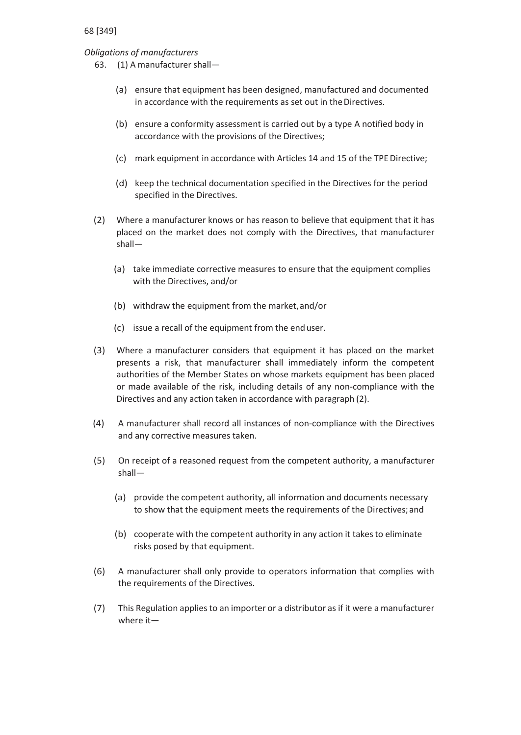# *Obligations of manufacturers*

- 63. (1) A manufacturer shall—
	- (a) ensure that equipment has been designed, manufactured and documented in accordance with the requirements as set out in the Directives.
	- (b) ensure a conformity assessment is carried out by a type A notified body in accordance with the provisions of the Directives;
	- (c) mark equipment in accordance with Articles 14 and 15 of the TPE Directive;
	- (d) keep the technical documentation specified in the Directives for the period specified in the Directives.
- (2) Where a manufacturer knows or has reason to believe that equipment that it has placed on the market does not comply with the Directives, that manufacturer shall—
	- (a) take immediate corrective measures to ensure that the equipment complies with the Directives, and/or
	- (b) withdraw the equipment from the market,and/or
	- (c) issue a recall of the equipment from the enduser.
- (3) Where a manufacturer considers that equipment it has placed on the market presents a risk, that manufacturer shall immediately inform the competent authorities of the Member States on whose markets equipment has been placed or made available of the risk, including details of any non-compliance with the Directives and any action taken in accordance with paragraph (2).
- (4) A manufacturer shall record all instances of non-compliance with the Directives and any corrective measures taken.
- (5) On receipt of a reasoned request from the competent authority, a manufacturer shall—
	- (a) provide the competent authority, all information and documents necessary to show that the equipment meets the requirements of the Directives;and
	- (b) cooperate with the competent authority in any action it takes to eliminate risks posed by that equipment.
- (6) A manufacturer shall only provide to operators information that complies with the requirements of the Directives.
- (7) This Regulation applies to an importer or a distributor as if it were a manufacturer where it—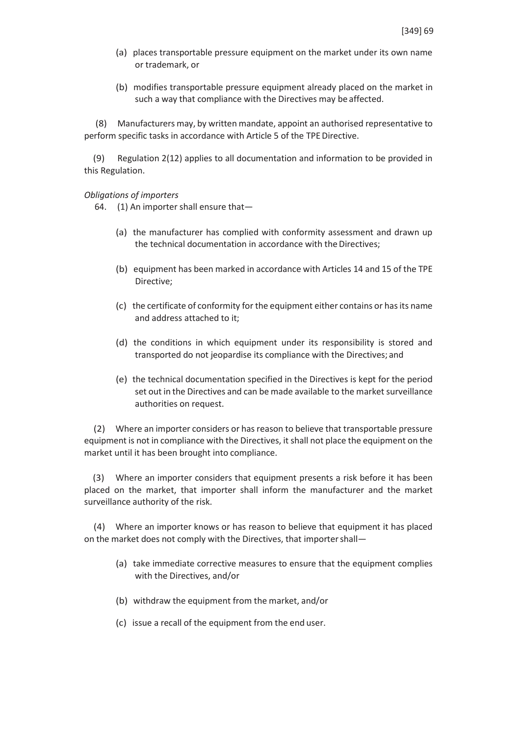- (a) places transportable pressure equipment on the market under its own name or trademark, or
- (b) modifies transportable pressure equipment already placed on the market in such a way that compliance with the Directives may be affected.

(8) Manufacturers may, by written mandate, appoint an authorised representative to perform specific tasks in accordance with Article 5 of the TPE Directive.

(9) Regulation 2(12) applies to all documentation and information to be provided in this Regulation.

### *Obligations of importers*

64. (1) An importer shall ensure that—

- (a) the manufacturer has complied with conformity assessment and drawn up the technical documentation in accordance with the Directives;
- (b) equipment has been marked in accordance with Articles 14 and 15 of the TPE Directive;
- (c) the certificate of conformity for the equipment either contains or hasits name and address attached to it;
- (d) the conditions in which equipment under its responsibility is stored and transported do not jeopardise its compliance with the Directives; and
- (e) the technical documentation specified in the Directives is kept for the period set out in the Directives and can be made available to the market surveillance authorities on request.

(2) Where an importer considers or has reason to believe that transportable pressure equipment is not in compliance with the Directives, it shall not place the equipment on the market until it has been brought into compliance.

(3) Where an importer considers that equipment presents a risk before it has been placed on the market, that importer shall inform the manufacturer and the market surveillance authority of the risk.

(4) Where an importer knows or has reason to believe that equipment it has placed on the market does not comply with the Directives, that importershall—

- (a) take immediate corrective measures to ensure that the equipment complies with the Directives, and/or
- (b) withdraw the equipment from the market, and/or
- (c) issue a recall of the equipment from the end user.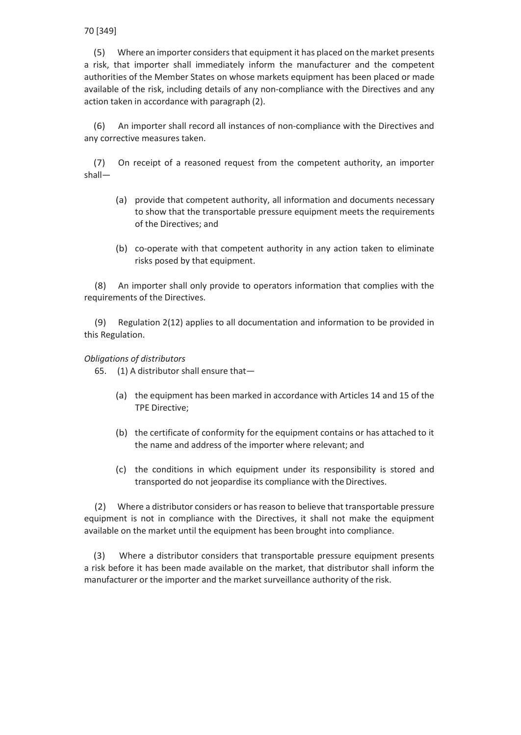(5) Where an importer considersthat equipment it has placed on the market presents a risk, that importer shall immediately inform the manufacturer and the competent authorities of the Member States on whose markets equipment has been placed or made available of the risk, including details of any non-compliance with the Directives and any action taken in accordance with paragraph (2).

(6) An importer shall record all instances of non-compliance with the Directives and any corrective measures taken.

(7) On receipt of a reasoned request from the competent authority, an importer shall—

- (a) provide that competent authority, all information and documents necessary to show that the transportable pressure equipment meets the requirements of the Directives; and
- (b) co-operate with that competent authority in any action taken to eliminate risks posed by that equipment.

(8) An importer shall only provide to operators information that complies with the requirements of the Directives.

(9) Regulation 2(12) applies to all documentation and information to be provided in this Regulation.

## *Obligations of distributors*

65. (1) A distributor shall ensure that—

- (a) the equipment has been marked in accordance with Articles 14 and 15 of the TPE Directive;
- (b) the certificate of conformity for the equipment contains or has attached to it the name and address of the importer where relevant; and
- (c) the conditions in which equipment under its responsibility is stored and transported do not jeopardise its compliance with the Directives.

(2) Where a distributor considers or hasreason to believe that transportable pressure equipment is not in compliance with the Directives, it shall not make the equipment available on the market until the equipment has been brought into compliance.

(3) Where a distributor considers that transportable pressure equipment presents a risk before it has been made available on the market, that distributor shall inform the manufacturer or the importer and the market surveillance authority of the risk.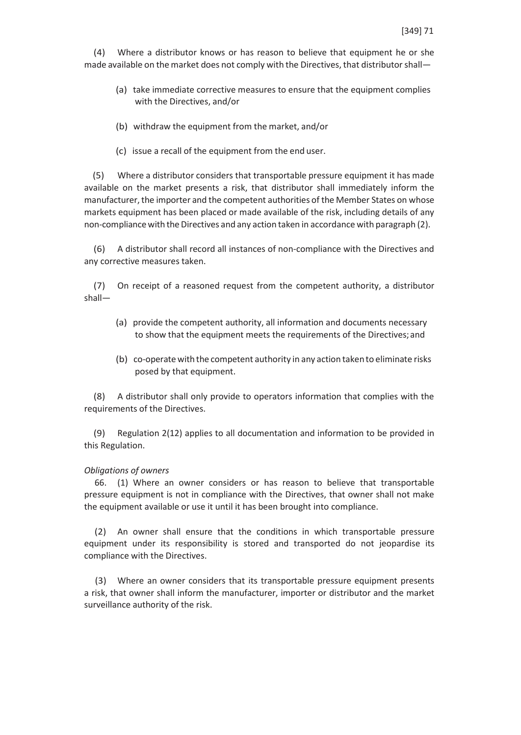(4) Where a distributor knows or has reason to believe that equipment he or she made available on the market does not comply with the Directives, that distributor shall—

- (a) take immediate corrective measures to ensure that the equipment complies with the Directives, and/or
- (b) withdraw the equipment from the market, and/or
- (c) issue a recall of the equipment from the end user.

(5) Where a distributor considers that transportable pressure equipment it has made available on the market presents a risk, that distributor shall immediately inform the manufacturer, the importer and the competent authorities of the Member States on whose markets equipment has been placed or made available of the risk, including details of any non-compliance with the Directives and any action taken in accordance with paragraph (2).

(6) A distributor shall record all instances of non-compliance with the Directives and any corrective measures taken.

(7) On receipt of a reasoned request from the competent authority, a distributor shall—

- (a) provide the competent authority, all information and documents necessary to show that the equipment meets the requirements of the Directives;and
- (b) co-operate with the competent authority in any action takento eliminate risks posed by that equipment.

(8) A distributor shall only provide to operators information that complies with the requirements of the Directives.

(9) Regulation 2(12) applies to all documentation and information to be provided in this Regulation.

### *Obligations of owners*

66. (1) Where an owner considers or has reason to believe that transportable pressure equipment is not in compliance with the Directives, that owner shall not make the equipment available or use it until it has been brought into compliance.

(2) An owner shall ensure that the conditions in which transportable pressure equipment under its responsibility is stored and transported do not jeopardise its compliance with the Directives.

(3) Where an owner considers that its transportable pressure equipment presents a risk, that owner shall inform the manufacturer, importer or distributor and the market surveillance authority of the risk.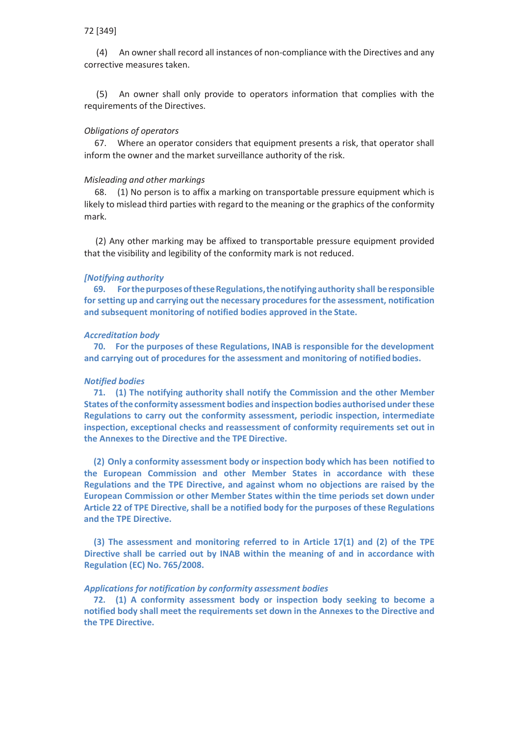(4) An ownershall record all instances of non-compliance with the Directives and any corrective measures taken.

(5) An owner shall only provide to operators information that complies with the requirements of the Directives.

#### *Obligations of operators*

67. Where an operator considers that equipment presents a risk, that operator shall inform the owner and the market surveillance authority of the risk.

### *Misleading and other markings*

68. (1) No person is to affix a marking on transportable pressure equipment which is likely to mislead third parties with regard to the meaning or the graphics of the conformity mark.

(2) Any other marking may be affixed to transportable pressure equipment provided that the visibility and legibility of the conformity mark is not reduced.

#### *[Notifying authority*

**69. ForthepurposesoftheseRegulations,thenotifyingauthority shall beresponsible for setting up and carrying out the necessary proceduresfor the assessment, notification and subsequent monitoring of notified bodies approved in the State.**

#### *Accreditation body*

**70. For the purposes of these Regulations, INAB is responsible for the development and carrying out of procedures for the assessment and monitoring of notified bodies.**

#### *Notified bodies*

**71. (1) The notifying authority shall notify the Commission and the other Member States ofthe conformity assessment bodies and inspection bodies authorised under these Regulations to carry out the conformity assessment, periodic inspection, intermediate inspection, exceptional checks and reassessment of conformity requirements set out in the Annexes to the Directive and the TPE Directive.**

**(2) Only a conformity assessment body or inspection body which has been notified to the European Commission and other Member States in accordance with these Regulations and the TPE Directive, and against whom no objections are raised by the European Commission or other Member States within the time periods set down under Article 22 of TPE Directive,shall be a notified body for the purposes of these Regulations and the TPE Directive.**

**(3) The assessment and monitoring referred to in Article 17(1) and (2) of the TPE Directive shall be carried out by INAB within the meaning of and in accordance with Regulation (EC) No. 765/2008.**

#### *Applications for notification by conformity assessment bodies*

**72. (1) A conformity assessment body or inspection body seeking to become a notified body shall meet the requirements set down in the Annexes to the Directive and the TPE Directive.**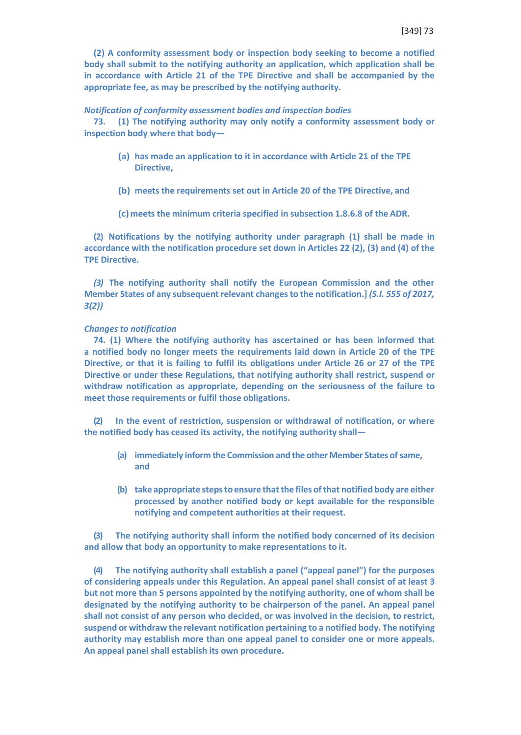**(2) A conformity assessment body or inspection body seeking to become a notified body shall submit to the notifying authority an application, which application shall be in accordance with Article 21 of the TPE Directive and shall be accompanied by the appropriate fee, as may be prescribed by the notifying authority.**

#### *Notification of conformity assessment bodies and inspection bodies*

**73. (1) The notifying authority may only notify a conformity assessment body or inspection body where that body—**

- **(a) has made an application to it in accordance with Article 21 of the TPE Directive,**
- **(b) meets the requirements set out in Article 20 of the TPE Directive, and**
- **(c)meets the minimum criteria specified in subsection 1.8.6.8 of the ADR.**

**(2) Notifications by the notifying authority under paragraph (1) shall be made in accordance with the notification procedure set down in Articles 22 (2), (3) and (4) of the TPE Directive.**

*(3)* **The notifying authority shall notify the European Commission and the other Member States of any subsequent relevant changesto the notification.]** *(S.I. 555 of 2017, 3(2))*

#### *Changes to notification*

**74. (1) Where the notifying authority has ascertained or has been informed that a notified body no longer meets the requirements laid down in Article 20 of the TPE Directive, or that it is failing to fulfil its obligations under Article 26 or 27 of the TPE Directive or under these Regulations, that notifying authority shall restrict, suspend or withdraw notification as appropriate, depending on the seriousness of the failure to meet those requirements or fulfil those obligations.**

**(2) In the event of restriction, suspension or withdrawal of notification, or where the notified body has ceased its activity, the notifying authority shall—**

- **(a) immediately inform the Commission and the other Member States of same, and**
- **(b) take appropriate stepsto ensure thatthe files ofthat notified body are either processed by another notified body or kept available for the responsible notifying and competent authorities at their request.**

**(3) The notifying authority shall inform the notified body concerned of its decision and allow that body an opportunity to make representations to it.**

**(4) The notifying authority shall establish a panel ("appeal panel") for the purposes of considering appeals under this Regulation. An appeal panel shall consist of at least 3 but not more than 5 persons appointed by the notifying authority, one of whom shall be designated by the notifying authority to be chairperson of the panel. An appeal panel shall not consist of any person who decided, or was involved in the decision, to restrict, suspend or withdraw the relevant notification pertaining to a notified body. The notifying authority may establish more than one appeal panel to consider one or more appeals. An appeal panel shall establish its own procedure.**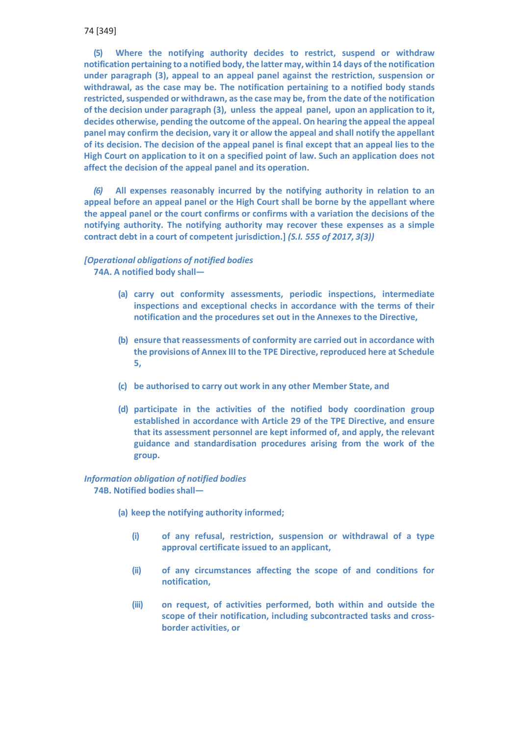**(5) Where the notifying authority decides to restrict, suspend or withdraw notification pertaining to a notified body,the latter may,within 14 days ofthe notification under paragraph (3), appeal to an appeal panel against the restriction, suspension or withdrawal, as the case may be. The notification pertaining to a notified body stands restricted,suspended or withdrawn, asthe case may be, from the date of the notification of the decision under paragraph (3), unless the appeal panel, upon an application to it, decides otherwise, pending the outcome of the appeal. On hearing the appeal the appeal panel may confirm the decision, vary it or allow the appeal and shall notify the appellant of its decision. The decision of the appeal panel is final except that an appeal lies to the High Court on application to it on a specified point of law. Such an application does not affect the decision of the appeal panel and its operation.**

*(6)* **All expenses reasonably incurred by the notifying authority in relation to an appeal before an appeal panel or the High Court shall be borne by the appellant where the appeal panel or the court confirms or confirms with a variation the decisions of the notifying authority. The notifying authority may recover these expenses as a simple contract debt in a court of competent jurisdiction.]** *(S.I. 555 of 2017, 3(3))*

# *[Operational obligations of notified bodies* **74A. A notified body shall—**

- **(a) carry out conformity assessments, periodic inspections, intermediate inspections and exceptional checks in accordance with the terms of their notification and the procedures set out in the Annexes to the Directive,**
- **(b) ensure that reassessments of conformity are carried out in accordance with the provisions of Annex III to the TPE Directive, reproduced here at Schedule 5,**
- **(c) be authorised to carry out work in any other Member State, and**
- **(d) participate in the activities of the notified body coordination group established in accordance with Article 29 of the TPE Directive, and ensure that its assessment personnel are kept informed of, and apply, the relevant guidance and standardisation procedures arising from the work of the group.**

## *Information obligation of notified bodies* **74B. Notified bodies shall—**

- **(a) keep the notifying authority informed;**
	- **(i) of any refusal, restriction, suspension or withdrawal of a type approval certificate issued to an applicant,**
	- **(ii) of any circumstances affecting the scope of and conditions for notification,**
	- **(iii) on request, of activities performed, both within and outside the scope of their notification, including subcontracted tasks and crossborder activities, or**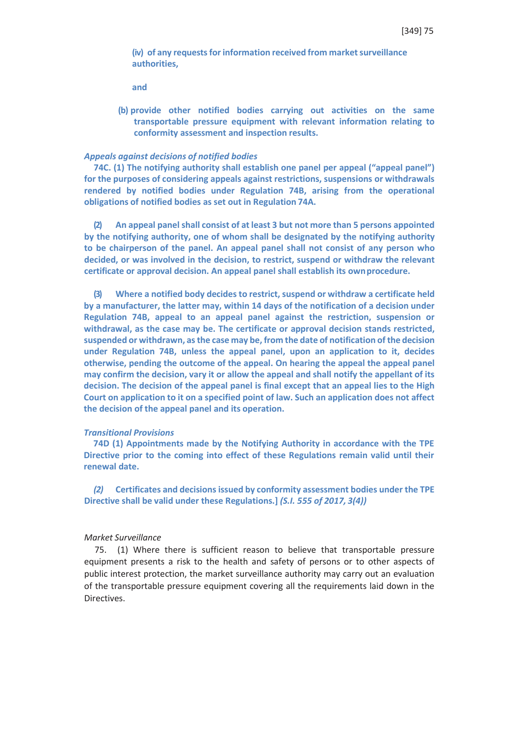**(iv) of any requestsfor information received from marketsurveillance authorities,**

**and**

**(b) provide other notified bodies carrying out activities on the same transportable pressure equipment with relevant information relating to conformity assessment and inspection results.**

#### *Appeals against decisions of notified bodies*

**74C. (1) The notifying authority shall establish one panel per appeal ("appeal panel") for the purposes of considering appeals against restrictions, suspensions or withdrawals rendered by notified bodies under Regulation 74B, arising from the operational obligations of notified bodies as set out in Regulation 74A.**

**(2) An appeal panelshall consist of at least 3 but not more than 5 persons appointed by the notifying authority, one of whom shall be designated by the notifying authority to be chairperson of the panel. An appeal panel shall not consist of any person who decided, or was involved in the decision, to restrict, suspend or withdraw the relevant certificate or approval decision. An appeal panel shall establish its ownprocedure.**

**(3) Where a notified body decides to restrict, suspend or withdraw a certificate held by a manufacturer, the latter may, within 14 days of the notification of a decision under Regulation 74B, appeal to an appeal panel against the restriction, suspension or withdrawal, as the case may be. The certificate or approval decision stands restricted, suspended or withdrawn, as the case may be, from the date of notification of the decision under Regulation 74B, unless the appeal panel, upon an application to it, decides otherwise, pending the outcome of the appeal. On hearing the appeal the appeal panel may confirm the decision, vary it or allow the appeal and shall notify the appellant of its decision. The decision of the appeal panel is final except that an appeal lies to the High Court on application to it on a specified point of law. Such an application does not affect the decision of the appeal panel and its operation.**

### *Transitional Provisions*

**74D (1) Appointments made by the Notifying Authority in accordance with the TPE Directive prior to the coming into effect of these Regulations remain valid until their renewal date.**

*(2)* **Certificates and decisionsissued by conformity assessment bodies under the TPE Directive shall be valid under these Regulations.]** *(S.I. 555 of 2017, 3(4))*

## *Market Surveillance*

75. (1) Where there is sufficient reason to believe that transportable pressure equipment presents a risk to the health and safety of persons or to other aspects of public interest protection, the market surveillance authority may carry out an evaluation of the transportable pressure equipment covering all the requirements laid down in the Directives.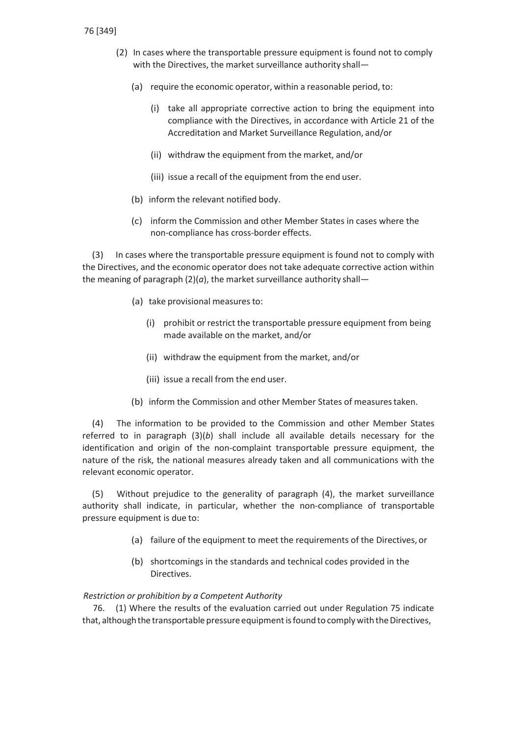- (2) In cases where the transportable pressure equipment is found not to comply with the Directives, the market surveillance authority shall—
	- (a) require the economic operator, within a reasonable period, to:
		- (i) take all appropriate corrective action to bring the equipment into compliance with the Directives, in accordance with Article 21 of the Accreditation and Market Surveillance Regulation, and/or
		- (ii) withdraw the equipment from the market, and/or
		- (iii) issue a recall of the equipment from the end user.
	- (b) inform the relevant notified body.
	- (c) inform the Commission and other Member States in cases where the non-compliance has cross-border effects.

(3) In cases where the transportable pressure equipment is found not to comply with the Directives, and the economic operator does not take adequate corrective action within the meaning of paragraph  $(2)(a)$ , the market surveillance authority shall-

- (a) take provisional measures to:
	- (i) prohibit or restrict the transportable pressure equipment from being made available on the market, and/or
	- (ii) withdraw the equipment from the market, and/or
	- (iii) issue a recall from the end user.
- (b) inform the Commission and other Member States of measures taken.

(4) The information to be provided to the Commission and other Member States referred to in paragraph (3)(*b*) shall include all available details necessary for the identification and origin of the non-complaint transportable pressure equipment, the nature of the risk, the national measures already taken and all communications with the relevant economic operator.

(5) Without prejudice to the generality of paragraph (4), the market surveillance authority shall indicate, in particular, whether the non-compliance of transportable pressure equipment is due to:

- (a) failure of the equipment to meet the requirements of the Directives, or
- (b) shortcomings in the standards and technical codes provided in the Directives.

*Restriction or prohibition by a Competent Authority*

76. (1) Where the results of the evaluation carried out under Regulation 75 indicate that, although the transportable pressure equipment is found to comply with the Directives,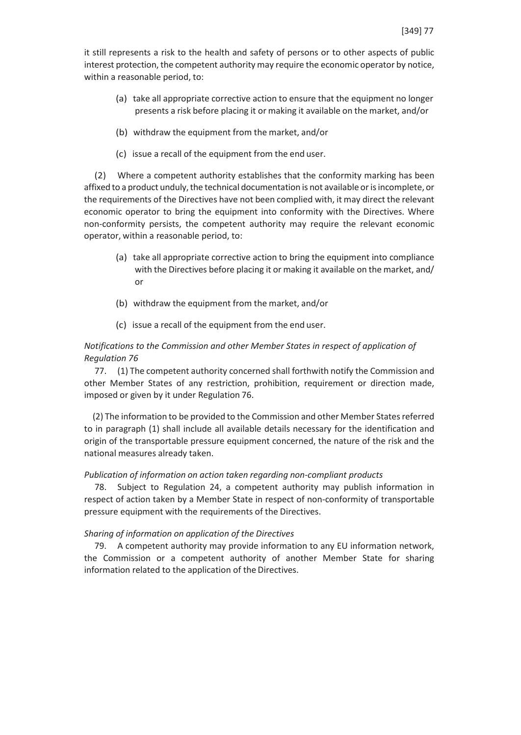it still represents a risk to the health and safety of persons or to other aspects of public interest protection, the competent authority may require the economic operator by notice, within a reasonable period, to:

- (a) take all appropriate corrective action to ensure that the equipment no longer presents a risk before placing it or making it available on the market, and/or
- (b) withdraw the equipment from the market, and/or
- (c) issue a recall of the equipment from the end user.

(2) Where a competent authority establishes that the conformity marking has been affixed to a product unduly, the technical documentation is not available or is incomplete, or the requirements of the Directives have not been complied with, it may direct the relevant economic operator to bring the equipment into conformity with the Directives. Where non-conformity persists, the competent authority may require the relevant economic operator, within a reasonable period, to:

- (a) take all appropriate corrective action to bring the equipment into compliance with the Directives before placing it or making it available on the market, and/ or
- (b) withdraw the equipment from the market, and/or
- (c) issue a recall of the equipment from the end user.

# *Notifications to the Commission and other Member States in respect of application of Regulation 76*

77. (1) The competent authority concerned shall forthwith notify the Commission and other Member States of any restriction, prohibition, requirement or direction made, imposed or given by it under Regulation 76.

(2) The information to be provided to the Commission and other Member Statesreferred to in paragraph (1) shall include all available details necessary for the identification and origin of the transportable pressure equipment concerned, the nature of the risk and the national measures already taken.

# *Publication of information on action taken regarding non-compliant products*

78. Subject to Regulation 24, a competent authority may publish information in respect of action taken by a Member State in respect of non-conformity of transportable pressure equipment with the requirements of the Directives.

# *Sharing of information on application of the Directives*

79. A competent authority may provide information to any EU information network, the Commission or a competent authority of another Member State for sharing information related to the application of the Directives.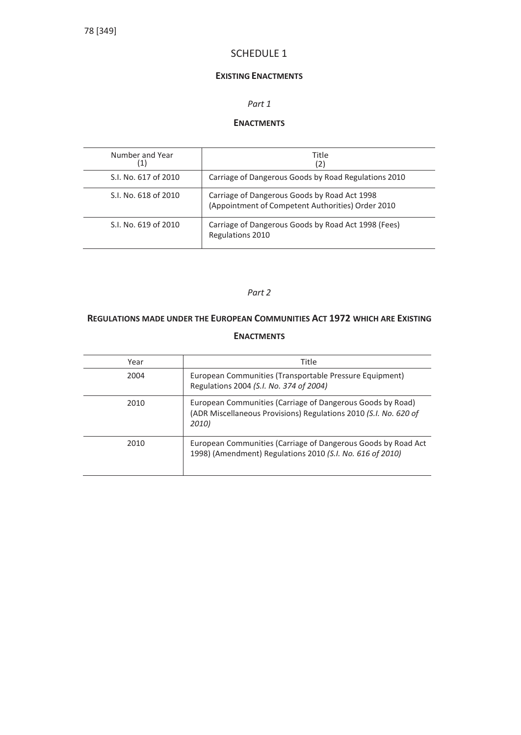# SCHEDULE 1

# **EXISTING ENACTMENTS**

# *Part 1*

# **ENACTMENTS**

| Number and Year<br>(1) | Title<br>(2)                                                                                      |
|------------------------|---------------------------------------------------------------------------------------------------|
| S.I. No. 617 of 2010   | Carriage of Dangerous Goods by Road Regulations 2010                                              |
| S.I. No. 618 of 2010   | Carriage of Dangerous Goods by Road Act 1998<br>(Appointment of Competent Authorities) Order 2010 |
| S.I. No. 619 of 2010   | Carriage of Dangerous Goods by Road Act 1998 (Fees)<br>Regulations 2010                           |

## *Part 2*

# **REGULATIONS MADE UNDER THE EUROPEAN COMMUNITIES ACT 1972 WHICH ARE EXISTING ENACTMENTS**

| Year | Title                                                                                                                                   |
|------|-----------------------------------------------------------------------------------------------------------------------------------------|
| 2004 | European Communities (Transportable Pressure Equipment)<br>Regulations 2004 (S.I. No. 374 of 2004)                                      |
| 2010 | European Communities (Carriage of Dangerous Goods by Road)<br>(ADR Miscellaneous Provisions) Regulations 2010 (S.I. No. 620 of<br>2010) |
| 2010 | European Communities (Carriage of Dangerous Goods by Road Act<br>1998) (Amendment) Regulations 2010 (S.I. No. 616 of 2010)              |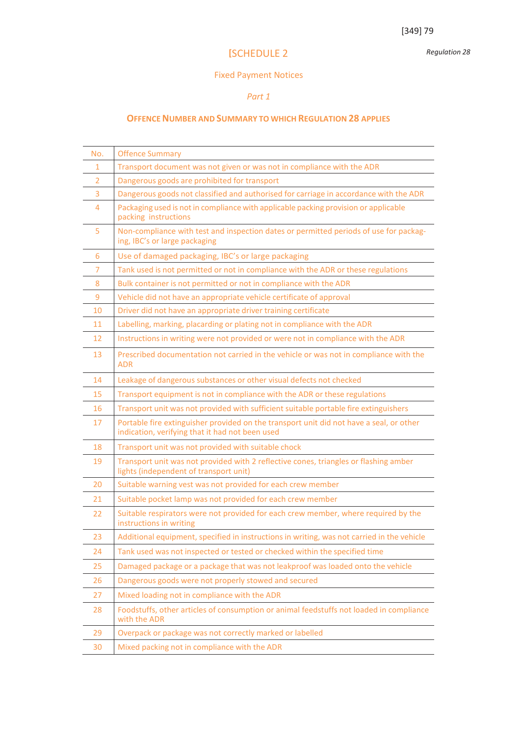*Regulation 28*

# **[**SCHEDULE 2

# Fixed Payment Notices

# *Part 1*

# **OFFENCENUMBER AND SUMMARY TO WHICH REGULATION 28 APPLIES**

| No.            | <b>Offence Summary</b>                                                                                                                     |
|----------------|--------------------------------------------------------------------------------------------------------------------------------------------|
| 1              | Transport document was not given or was not in compliance with the ADR                                                                     |
| $\overline{2}$ | Dangerous goods are prohibited for transport                                                                                               |
| 3              | Dangerous goods not classified and authorised for carriage in accordance with the ADR                                                      |
| 4              | Packaging used is not in compliance with applicable packing provision or applicable<br>packing instructions                                |
| 5              | Non-compliance with test and inspection dates or permitted periods of use for packag-<br>ing, IBC's or large packaging                     |
| 6              | Use of damaged packaging, IBC's or large packaging                                                                                         |
| 7              | Tank used is not permitted or not in compliance with the ADR or these regulations                                                          |
| 8              | Bulk container is not permitted or not in compliance with the ADR                                                                          |
| 9              | Vehicle did not have an appropriate vehicle certificate of approval                                                                        |
| 10             | Driver did not have an appropriate driver training certificate                                                                             |
| 11             | Labelling, marking, placarding or plating not in compliance with the ADR                                                                   |
| 12             | Instructions in writing were not provided or were not in compliance with the ADR                                                           |
| 13             | Prescribed documentation not carried in the vehicle or was not in compliance with the<br><b>ADR</b>                                        |
| 14             | Leakage of dangerous substances or other visual defects not checked                                                                        |
| 15             | Transport equipment is not in compliance with the ADR or these regulations                                                                 |
| 16             | Transport unit was not provided with sufficient suitable portable fire extinguishers                                                       |
| 17             | Portable fire extinguisher provided on the transport unit did not have a seal, or other<br>indication, verifying that it had not been used |
| 18             | Transport unit was not provided with suitable chock                                                                                        |
| 19             | Transport unit was not provided with 2 reflective cones, triangles or flashing amber<br>lights (independent of transport unit)             |
| 20             | Suitable warning vest was not provided for each crew member                                                                                |
| 21             | Suitable pocket lamp was not provided for each crew member                                                                                 |
| 22             | Suitable respirators were not provided for each crew member, where required by the<br>instructions in writing                              |
| 23             | Additional equipment, specified in instructions in writing, was not carried in the vehicle                                                 |
| 24             | Tank used was not inspected or tested or checked within the specified time                                                                 |
| 25             | Damaged package or a package that was not leakproof was loaded onto the vehicle                                                            |
| 26             | Dangerous goods were not properly stowed and secured                                                                                       |
| 27             | Mixed loading not in compliance with the ADR                                                                                               |
| 28             | Foodstuffs, other articles of consumption or animal feedstuffs not loaded in compliance<br>with the ADR                                    |
| 29             | Overpack or package was not correctly marked or labelled                                                                                   |
| 30             | Mixed packing not in compliance with the ADR                                                                                               |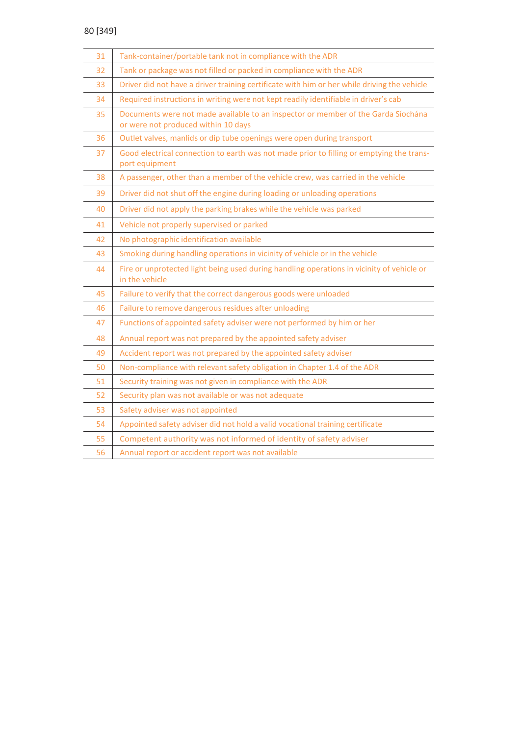| 31 | Tank-container/portable tank not in compliance with the ADR                                                              |
|----|--------------------------------------------------------------------------------------------------------------------------|
| 32 | Tank or package was not filled or packed in compliance with the ADR                                                      |
| 33 | Driver did not have a driver training certificate with him or her while driving the vehicle                              |
| 34 | Required instructions in writing were not kept readily identifiable in driver's cab                                      |
| 35 | Documents were not made available to an inspector or member of the Garda Síochána<br>or were not produced within 10 days |
| 36 | Outlet valves, manlids or dip tube openings were open during transport                                                   |
| 37 | Good electrical connection to earth was not made prior to filling or emptying the trans-<br>port equipment               |
| 38 | A passenger, other than a member of the vehicle crew, was carried in the vehicle                                         |
| 39 | Driver did not shut off the engine during loading or unloading operations                                                |
| 40 | Driver did not apply the parking brakes while the vehicle was parked                                                     |
| 41 | Vehicle not properly supervised or parked                                                                                |
| 42 | No photographic identification available                                                                                 |
| 43 | Smoking during handling operations in vicinity of vehicle or in the vehicle                                              |
| 44 | Fire or unprotected light being used during handling operations in vicinity of vehicle or<br>in the vehicle              |
| 45 | Failure to verify that the correct dangerous goods were unloaded                                                         |
| 46 | Failure to remove dangerous residues after unloading                                                                     |
| 47 | Functions of appointed safety adviser were not performed by him or her                                                   |
| 48 | Annual report was not prepared by the appointed safety adviser                                                           |
| 49 | Accident report was not prepared by the appointed safety adviser                                                         |
| 50 | Non-compliance with relevant safety obligation in Chapter 1.4 of the ADR                                                 |
| 51 | Security training was not given in compliance with the ADR                                                               |
| 52 | Security plan was not available or was not adequate                                                                      |
| 53 | Safety adviser was not appointed                                                                                         |
| 54 | Appointed safety adviser did not hold a valid vocational training certificate                                            |
| 55 | Competent authority was not informed of identity of safety adviser                                                       |
| 56 | Annual report or accident report was not available                                                                       |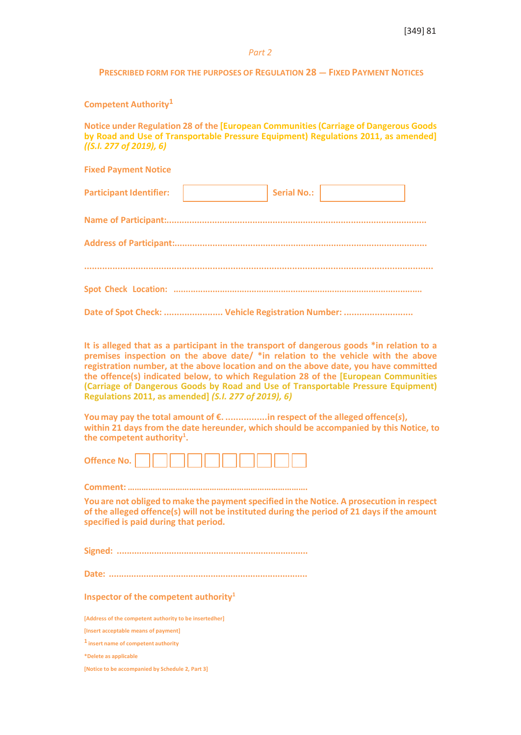*Part 2*

**PRESCRIBED FORM FOR THE PURPOSES OF REGULATION 28 — FIXED PAYMENT NOTICES**

**Competent Authority<sup>1</sup>**

**Notice under Regulation 28 of the [European Communities(Carriage of Dangerous Goods by Road and Use of Transportable Pressure Equipment) Regulations 2011, as amended]** *((S.I. 277 of 2019), 6)*

**Fixed Payment Notice Participant Identifier:**  $\begin{vmatrix} 1 & 1 \\ 1 & 1 \end{vmatrix}$  Serial No.: **Name of Participant:....................................................................................................... Address of Participant:.................................................................................................... ........................................................................................................................................ Spot Check Location: ......................................................................................................**

**It is alleged that as a participant in the transport of dangerous goods \*in relation to a premises inspection on the above date/ \*in relation to the vehicle with the above registration number, at the above location and on the above date, you have committed the offence(s) indicated below, to which Regulation 28 of the [European Communities (Carriage of Dangerous Goods by Road and Use of Transportable Pressure Equipment)**

**Date of Spot Check: ....................... Vehicle Registration Number: ...........................**

**You may pay the total amount of €. ................in respect of the alleged offence(***s***), within 21 days from the date hereunder, which should be accompanied by this Notice, to the competent authority1 .**

| Ottence No. |  |  |  |  |  |  |  |  |  |  |
|-------------|--|--|--|--|--|--|--|--|--|--|
|-------------|--|--|--|--|--|--|--|--|--|--|

**Regulations 2011, as amended]** *(S.I. 277 of 2019), 6)*

**Comment: …………………………………………………………………….**

**You are not obliged to make the paymentspecified in the Notice. A prosecution in respect of the alleged offence(s) will not be instituted during the period of 21 days if the amount specified is paid during that period.**

**Signed: .............................................................................**

**Date: ................................................................................**

**Inspector of the competent authority<sup>1</sup>** 

**[Address of the competent authority to be insertedher] [Insert acceptable means of payment] <sup>1</sup> insert name of competent authority \*Delete as applicable [Notice to be accompanied by Schedule 2, Part 3]**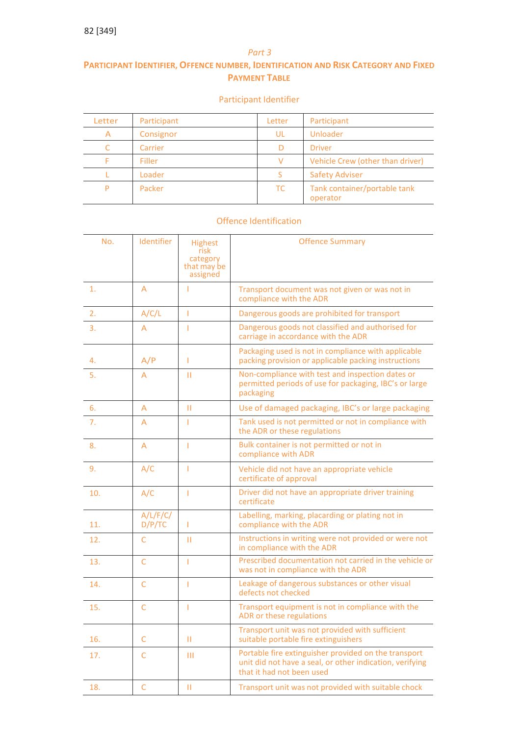## *Part 3*

# **PARTICIPANT IDENTIFIER, OFFENCE NUMBER, IDENTIFICATION AND RISK CATEGORY AND FIXED PAYMENT TABLE**

# Participant Identifier

| Letter | Participant | Letter    | Participant                              |
|--------|-------------|-----------|------------------------------------------|
| Α      | Consignor   | UL        | Unloader                                 |
|        | Carrier     |           | <b>Driver</b>                            |
|        | Filler      |           | Vehicle Crew (other than driver)         |
|        | Loader      |           | <b>Safety Adviser</b>                    |
|        | Packer      | <b>TC</b> | Tank container/portable tank<br>operator |

# Offence Identification

| No. | Identifier         | <b>Highest</b><br>risk<br>category<br>that may be<br>assigned | <b>Offence Summary</b>                                                                                                                        |  |
|-----|--------------------|---------------------------------------------------------------|-----------------------------------------------------------------------------------------------------------------------------------------------|--|
| 1.  | A                  | т                                                             | Transport document was not given or was not in<br>compliance with the ADR                                                                     |  |
| 2.  | A/C/L              | т                                                             | Dangerous goods are prohibited for transport                                                                                                  |  |
| 3.  | A                  | T                                                             | Dangerous goods not classified and authorised for<br>carriage in accordance with the ADR                                                      |  |
| 4.  | A/P                | T                                                             | Packaging used is not in compliance with applicable<br>packing provision or applicable packing instructions                                   |  |
| 5.  | A                  | п                                                             | Non-compliance with test and inspection dates or<br>permitted periods of use for packaging, IBC's or large<br>packaging                       |  |
| 6.  | A                  | п                                                             | Use of damaged packaging, IBC's or large packaging                                                                                            |  |
| 7.  | A                  | Т                                                             | Tank used is not permitted or not in compliance with<br>the ADR or these regulations                                                          |  |
| 8.  | A                  | T                                                             | Bulk container is not permitted or not in<br>compliance with ADR                                                                              |  |
| 9.  | A/C                | T                                                             | Vehicle did not have an appropriate vehicle<br>certificate of approval                                                                        |  |
| 10. | A/C                | T                                                             | Driver did not have an appropriate driver training<br>certificate                                                                             |  |
| 11. | A/L/F/C/<br>D/P/TC | T                                                             | Labelling, marking, placarding or plating not in<br>compliance with the ADR                                                                   |  |
| 12. | C                  | п                                                             | Instructions in writing were not provided or were not<br>in compliance with the ADR                                                           |  |
| 13. | $\mathsf{C}$       | T                                                             | Prescribed documentation not carried in the vehicle or<br>was not in compliance with the ADR                                                  |  |
| 14. | C                  | T                                                             | Leakage of dangerous substances or other visual<br>defects not checked                                                                        |  |
| 15. | $\mathsf{C}$       | Ï                                                             | Transport equipment is not in compliance with the<br>ADR or these regulations                                                                 |  |
| 16. | C                  | П                                                             | Transport unit was not provided with sufficient<br>suitable portable fire extinguishers                                                       |  |
| 17. | C                  | Ш                                                             | Portable fire extinguisher provided on the transport<br>unit did not have a seal, or other indication, verifying<br>that it had not been used |  |
| 18. | Ċ                  | п                                                             | Transport unit was not provided with suitable chock                                                                                           |  |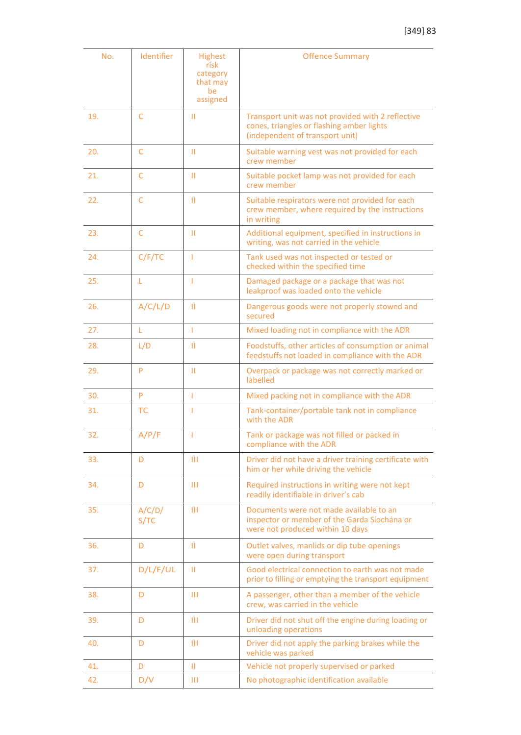| No. | Identifier     | <b>Highest</b><br>risk<br>category<br>that may<br>be<br>assigned | <b>Offence Summary</b>                                                                                                            |  |
|-----|----------------|------------------------------------------------------------------|-----------------------------------------------------------------------------------------------------------------------------------|--|
| 19. | $\mathsf{C}$   | п                                                                | Transport unit was not provided with 2 reflective<br>cones, triangles or flashing amber lights<br>(independent of transport unit) |  |
| 20. | $\mathsf{C}$   | п                                                                | Suitable warning vest was not provided for each<br>crew member                                                                    |  |
| 21. | C              | П                                                                | Suitable pocket lamp was not provided for each<br>crew member                                                                     |  |
| 22. | $\mathsf{C}$   | Ш                                                                | Suitable respirators were not provided for each<br>crew member, where required by the instructions<br>in writing                  |  |
| 23. | C              | п                                                                | Additional equipment, specified in instructions in<br>writing, was not carried in the vehicle                                     |  |
| 24. | C/F/TC         | T                                                                | Tank used was not inspected or tested or<br>checked within the specified time                                                     |  |
| 25. | L              | T                                                                | Damaged package or a package that was not<br>leakproof was loaded onto the vehicle                                                |  |
| 26. | A/C/L/D        | $\mathbf{H}$                                                     | Dangerous goods were not properly stowed and<br>secured                                                                           |  |
| 27. | L              | T                                                                | Mixed loading not in compliance with the ADR                                                                                      |  |
| 28. | L/D            | Ш                                                                | Foodstuffs, other articles of consumption or animal<br>feedstuffs not loaded in compliance with the ADR                           |  |
| 29. | P              | Ш                                                                | Overpack or package was not correctly marked or<br>labelled                                                                       |  |
| 30. | P              | T                                                                | Mixed packing not in compliance with the ADR                                                                                      |  |
| 31. | <b>TC</b>      | T                                                                | Tank-container/portable tank not in compliance<br>with the ADR                                                                    |  |
| 32. | A/P/F          | T                                                                | Tank or package was not filled or packed in<br>compliance with the ADR                                                            |  |
| 33. | D              | Ш                                                                | Driver did not have a driver training certificate with<br>him or her while driving the vehicle                                    |  |
| 34. | D              | Ш                                                                | Required instructions in writing were not kept<br>readily identifiable in driver's cab                                            |  |
| 35. | A/C/D/<br>S/TC | Ш                                                                | Documents were not made available to an<br>inspector or member of the Garda Síochána or<br>were not produced within 10 days       |  |
| 36. | D              | Ш                                                                | Outlet valves, manlids or dip tube openings<br>were open during transport                                                         |  |
| 37. | D/L/F/UL       | Ш                                                                | Good electrical connection to earth was not made<br>prior to filling or emptying the transport equipment                          |  |
| 38. | D              | Ш                                                                | A passenger, other than a member of the vehicle<br>crew, was carried in the vehicle                                               |  |
| 39. | D              | Ш                                                                | Driver did not shut off the engine during loading or<br>unloading operations                                                      |  |
| 40. | D              | Ш                                                                | Driver did not apply the parking brakes while the<br>vehicle was parked                                                           |  |
| 41. | D              | Ш                                                                | Vehicle not properly supervised or parked                                                                                         |  |
| 42. | D/V            | Ш                                                                | No photographic identification available                                                                                          |  |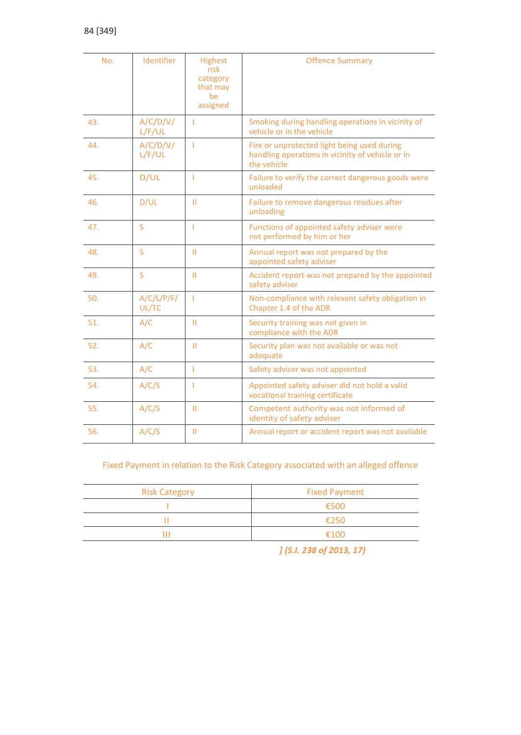| No. | Identifier          | <b>Highest</b><br>risk<br>category<br>that may<br>be<br>assigned | <b>Offence Summary</b>                                                                                         |
|-----|---------------------|------------------------------------------------------------------|----------------------------------------------------------------------------------------------------------------|
| 43. | A/C/D/V/<br>L/F/UL  | ı                                                                | Smoking during handling operations in vicinity of<br>vehicle or in the vehicle                                 |
| 44. | A/C/D/V/<br>L/F/UL  | 1                                                                | Fire or unprotected light being used during<br>handling operations in vicinity of vehicle or in<br>the vehicle |
| 45. | D/UL                | T                                                                | Failure to verify the correct dangerous goods were<br>unloaded                                                 |
| 46. | D/UL                | $\mathbf{H}$                                                     | Failure to remove dangerous residues after<br>unloading                                                        |
| 47. | S                   | T                                                                | Functions of appointed safety adviser were<br>not performed by him or her                                      |
| 48. | S                   | $\mathbf{H}$                                                     | Annual report was not prepared by the<br>appointed safety adviser                                              |
| 49. | S                   | п                                                                | Accident report was not prepared by the appointed<br>safety adviser                                            |
| 50. | A/C/L/P/F/<br>UL/TC | T                                                                | Non-compliance with relevant safety obligation in<br>Chapter 1.4 of the ADR                                    |
| 51. | A/C                 | п                                                                | Security training was not given in<br>compliance with the ADR                                                  |
| 52. | A/C                 | п                                                                | Security plan was not available or was not<br>adequate                                                         |
| 53. | A/C                 | T                                                                | Safety adviser was not appointed                                                                               |
| 54. | A/C/S               | т                                                                | Appointed safety adviser did not hold a valid<br>vocational training certificate                               |
| 55. | A/C/S               | $\mathbf{H}$                                                     | Competent authority was not informed of<br>identity of safety adviser                                          |
| 56. | A/C/S               | П                                                                | Annual report or accident report was not available                                                             |

# Fixed Payment in relation to the Risk Category associated with an alleged offence

| <b>Risk Category</b> | <b>Fixed Payment</b> |
|----------------------|----------------------|
|                      | €500                 |
|                      | £250                 |
| Ш                    | €100                 |

*] (S.I. 238 of 2013, 17)*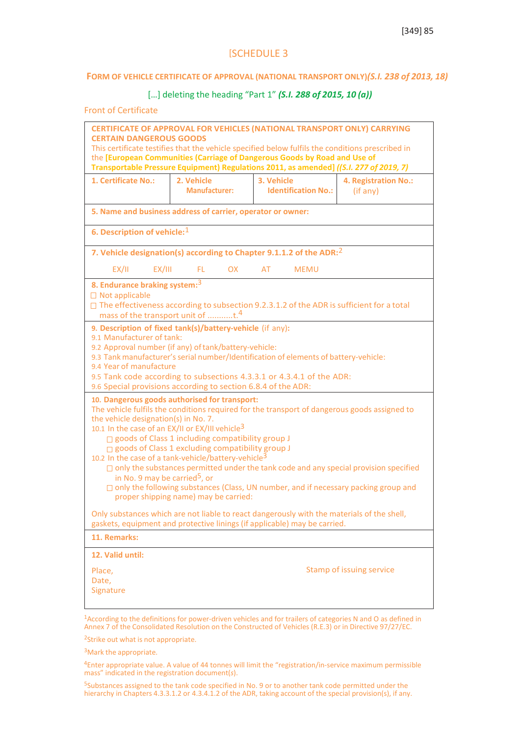# [SCHEDULE 3

## **FORM OF VEHICLE CERTIFICATE OF APPROVAL (NATIONAL TRANSPORT ONLY)***(S.I. 238 of 2013, 18)*

## […] deleting the heading "Part 1" *(S.I. 288 of 2015, 10 (a))*

### Front of Certificate

| <b>CERTAIN DANGEROUS GOODS</b>                                                                                                                                                                                                                                                                                                                                                                                                                                                                                                                                                                                                                                                                                               | <b>CERTIFICATE OF APPROVAL FOR VEHICLES (NATIONAL TRANSPORT ONLY) CARRYING</b><br>This certificate testifies that the vehicle specified below fulfils the conditions prescribed in<br>the [European Communities (Carriage of Dangerous Goods by Road and Use of<br>Transportable Pressure Equipment) Regulations 2011, as amended] ((S.I. 277 of 2019, 7)                                                    |            |                            |                                  |  |  |
|------------------------------------------------------------------------------------------------------------------------------------------------------------------------------------------------------------------------------------------------------------------------------------------------------------------------------------------------------------------------------------------------------------------------------------------------------------------------------------------------------------------------------------------------------------------------------------------------------------------------------------------------------------------------------------------------------------------------------|--------------------------------------------------------------------------------------------------------------------------------------------------------------------------------------------------------------------------------------------------------------------------------------------------------------------------------------------------------------------------------------------------------------|------------|----------------------------|----------------------------------|--|--|
| 1. Certificate No.:                                                                                                                                                                                                                                                                                                                                                                                                                                                                                                                                                                                                                                                                                                          | 2. Vehicle<br>Manufacturer:                                                                                                                                                                                                                                                                                                                                                                                  | 3. Vehicle | <b>Identification No.:</b> | 4. Registration No.:<br>(if any) |  |  |
|                                                                                                                                                                                                                                                                                                                                                                                                                                                                                                                                                                                                                                                                                                                              | 5. Name and business address of carrier, operator or owner:                                                                                                                                                                                                                                                                                                                                                  |            |                            |                                  |  |  |
| 6. Description of vehicle: <sup>1</sup>                                                                                                                                                                                                                                                                                                                                                                                                                                                                                                                                                                                                                                                                                      |                                                                                                                                                                                                                                                                                                                                                                                                              |            |                            |                                  |  |  |
|                                                                                                                                                                                                                                                                                                                                                                                                                                                                                                                                                                                                                                                                                                                              | 7. Vehicle designation(s) according to Chapter 9.1.1.2 of the ADR: <sup>2</sup>                                                                                                                                                                                                                                                                                                                              |            |                            |                                  |  |  |
| EX/II<br>EX/III                                                                                                                                                                                                                                                                                                                                                                                                                                                                                                                                                                                                                                                                                                              | - FL -<br><b>OX</b>                                                                                                                                                                                                                                                                                                                                                                                          | AT         | <b>MEMU</b>                |                                  |  |  |
| 8. Endurance braking system: <sup>3</sup><br>$\Box$ Not applicable                                                                                                                                                                                                                                                                                                                                                                                                                                                                                                                                                                                                                                                           | $\Box$ The effectiveness according to subsection 9.2.3.1.2 of the ADR is sufficient for a total<br>mass of the transport unit of t. <sup>4</sup>                                                                                                                                                                                                                                                             |            |                            |                                  |  |  |
|                                                                                                                                                                                                                                                                                                                                                                                                                                                                                                                                                                                                                                                                                                                              | 9. Description of fixed tank(s)/battery-vehicle (if any):<br>9.1 Manufacturer of tank:<br>9.2 Approval number (if any) of tank/battery-vehicle:<br>9.3 Tank manufacturer's serial number/Identification of elements of battery-vehicle:<br>9.4 Year of manufacture<br>9.5 Tank code according to subsections 4.3.3.1 or 4.3.4.1 of the ADR:<br>9.6 Special provisions according to section 6.8.4 of the ADR: |            |                            |                                  |  |  |
| 10. Dangerous goods authorised for transport:<br>The vehicle fulfils the conditions required for the transport of dangerous goods assigned to<br>the vehicle designation(s) in No. 7.<br>10.1 In the case of an EX/II or EX/III vehicle <sup>3</sup><br>$\Box$ goods of Class 1 including compatibility group J<br>□ goods of Class 1 excluding compatibility group J<br>10.2 In the case of a tank-vehicle/battery-vehicle <sup>3</sup><br>$\Box$ only the substances permitted under the tank code and any special provision specified<br>in No. 9 may be carried <sup>5</sup> , or<br>$\Box$ only the following substances (Class, UN number, and if necessary packing group and<br>proper shipping name) may be carried: |                                                                                                                                                                                                                                                                                                                                                                                                              |            |                            |                                  |  |  |
| Only substances which are not liable to react dangerously with the materials of the shell,<br>gaskets, equipment and protective linings (if applicable) may be carried.                                                                                                                                                                                                                                                                                                                                                                                                                                                                                                                                                      |                                                                                                                                                                                                                                                                                                                                                                                                              |            |                            |                                  |  |  |
| 11. Remarks:                                                                                                                                                                                                                                                                                                                                                                                                                                                                                                                                                                                                                                                                                                                 |                                                                                                                                                                                                                                                                                                                                                                                                              |            |                            |                                  |  |  |
| 12. Valid until:<br>Place,<br>Date,<br>Signature                                                                                                                                                                                                                                                                                                                                                                                                                                                                                                                                                                                                                                                                             |                                                                                                                                                                                                                                                                                                                                                                                                              |            |                            | <b>Stamp of issuing service</b>  |  |  |

<sup>1</sup>According to the definitions for power-driven vehicles and for trailers of categories N and O as defined in Annex 7 of the Consolidated Resolution on the Constructed of Vehicles (R.E.3) or in Directive 97/27/EC.

<sup>2</sup>Strike out what is not appropriate.

3Mark the appropriate.

4Enter appropriate value. A value of 44 tonnes will limit the "registration/in-service maximum permissible mass" indicated in the registration document(*s*).

5Substances assigned to the tank code specified in No. 9 or to another tank code permitted under the hierarchy in Chapters 4.3.3.1.2 or 4.3.4.1.2 of the ADR, taking account of the special provision(s), if any.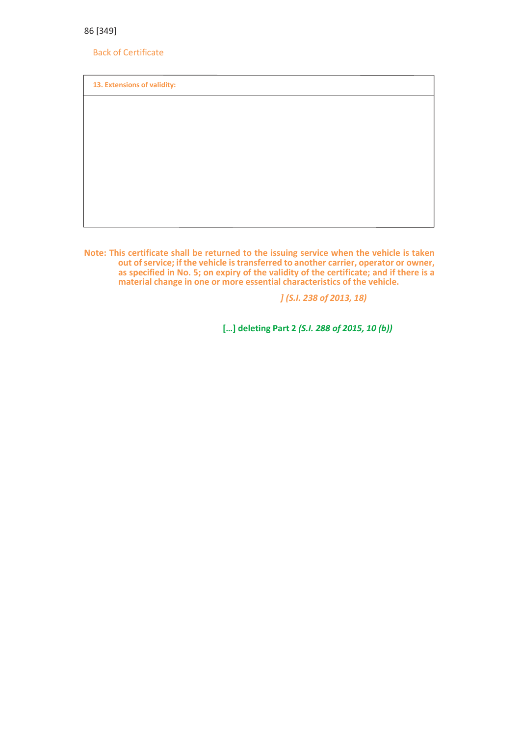Back of Certificate

**13. Extensions of validity:**

**Note: This certificate shall be returned to the issuing service when the vehicle is taken out ofservice; if the vehicle istransferred to another carrier, operator or owner, as specified in No. 5; on expiry of the validity of the certificate; and if there is a material change in one or more essential characteristics of the vehicle.**

*] (S.I. 238 of 2013, 18)*

**[…] deleting Part 2** *(S.I. 288 of 2015, 10 (b))*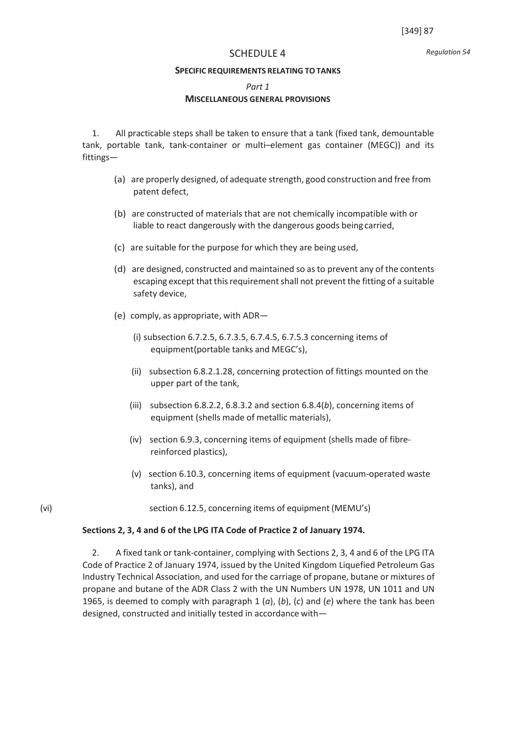*Regulation 54*

### SCHEDULE 4

#### **SPECIFIC REQUIREMENTS RELATING TOTANKS**

*Part 1*

### **MISCELLANEOUS GENERAL PROVISIONS**

1. All practicable steps shall be taken to ensure that a tank (fixed tank, demountable tank, portable tank, tank-container or multi–element gas container (MEGC)) and its fittings—

- (a) are properly designed, of adequate strength, good construction and free from patent defect,
- (b) are constructed of materials that are not chemically incompatible with or liable to react dangerously with the dangerous goods being carried,
- (c) are suitable for the purpose for which they are being used,
- (d) are designed, constructed and maintained so asto prevent any of the contents escaping except that this requirement shall not prevent the fitting of a suitable safety device,
- (e) comply, as appropriate, with ADR—
	- (i) subsection 6.7.2.5, 6.7.3.5, 6.7.4.5, 6.7.5.3 concerning items of equipment(portable tanks and MEGC's),
	- (ii) subsection 6.8.2.1.28, concerning protection of fittings mounted on the upper part of the tank,
	- (iii) subsection 6.8.2.2, 6.8.3.2 and section 6.8.4(*b*), concerning items of equipment (shells made of metallic materials),
	- (iv) section 6.9.3, concerning items of equipment (shells made of fibrereinforced plastics),
	- (v) section 6.10.3, concerning items of equipment (vacuum-operated waste tanks), and
- (vi) section 6.12.5, concerning items of equipment (MEMU's)

#### **Sections 2, 3, 4 and 6 of the LPG ITA Code of Practice 2 of January 1974.**

2. A fixed tank or tank-container, complying with Sections 2, 3, 4 and 6 of the LPG ITA Code of Practice 2 of January 1974, issued by the United Kingdom Liquefied Petroleum Gas Industry Technical Association, and used for the carriage of propane, butane or mixtures of propane and butane of the ADR Class 2 with the UN Numbers UN 1978, UN 1011 and UN 1965, is deemed to comply with paragraph 1 (*a*), (*b*), (*c*) and (*e*) where the tank has been designed, constructed and initially tested in accordance with—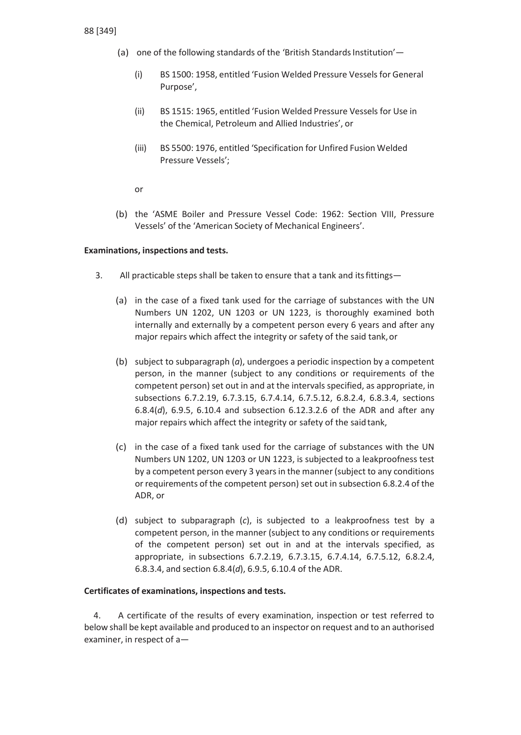- (a) one of the following standards of the 'British Standards Institution'—
	- (i) BS 1500: 1958, entitled 'Fusion Welded Pressure Vessels for General Purpose',
	- (ii) BS 1515: 1965, entitled 'Fusion Welded Pressure Vessels for Use in the Chemical, Petroleum and Allied Industries', or
	- (iii) BS 5500: 1976, entitled 'Specification for Unfired Fusion Welded Pressure Vessels';

or

(b) the 'ASME Boiler and Pressure Vessel Code: 1962: Section VIII, Pressure Vessels' of the 'American Society of Mechanical Engineers'.

# **Examinations, inspections and tests.**

- 3. All practicable steps shall be taken to ensure that a tank and itsfittings—
	- (a) in the case of a fixed tank used for the carriage of substances with the UN Numbers UN 1202, UN 1203 or UN 1223, is thoroughly examined both internally and externally by a competent person every 6 years and after any major repairs which affect the integrity or safety of the said tank,or
	- (b) subject to subparagraph (*a*), undergoes a periodic inspection by a competent person, in the manner (subject to any conditions or requirements of the competent person) set out in and at the intervals specified, as appropriate, in subsections 6.7.2.19, 6.7.3.15, 6.7.4.14, 6.7.5.12, 6.8.2.4, 6.8.3.4, sections 6.8.4(*d*), 6.9.5, 6.10.4 and subsection 6.12.3.2.6 of the ADR and after any major repairs which affect the integrity or safety of the said tank,
	- (c) in the case of a fixed tank used for the carriage of substances with the UN Numbers UN 1202, UN 1203 or UN 1223, is subjected to a leakproofness test by a competent person every 3 yearsin the manner (subject to any conditions or requirements of the competent person) set out in subsection 6.8.2.4 of the ADR, or
	- (d) subject to subparagraph (*c*), is subjected to a leakproofness test by a competent person, in the manner (subject to any conditions or requirements of the competent person) set out in and at the intervals specified, as appropriate, in subsections 6.7.2.19, 6.7.3.15, 6.7.4.14, 6.7.5.12, 6.8.2.4, 6.8.3.4, and section 6.8.4(*d*), 6.9.5, 6.10.4 of the ADR.

# **Certificates of examinations, inspections and tests.**

4. A certificate of the results of every examination, inspection or test referred to below shall be kept available and produced to an inspector on request and to an authorised examiner, in respect of a—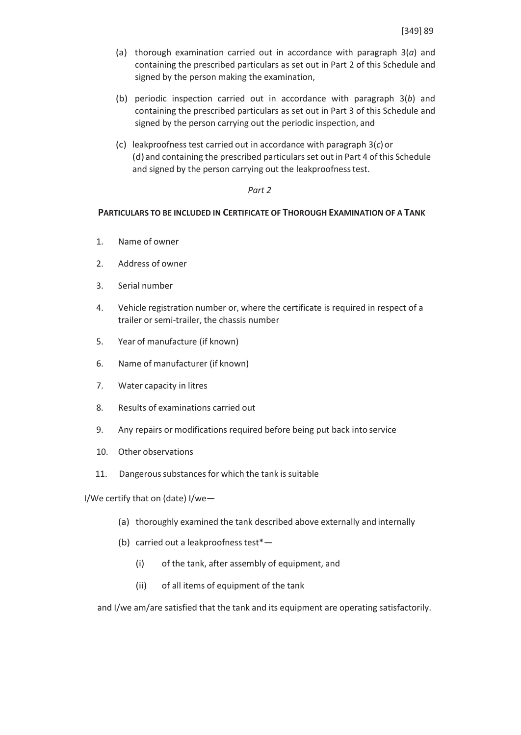- (a) thorough examination carried out in accordance with paragraph 3(*a*) and containing the prescribed particulars as set out in Part 2 of this Schedule and signed by the person making the examination,
- (b) periodic inspection carried out in accordance with paragraph 3(*b*) and containing the prescribed particulars as set out in Part 3 of this Schedule and signed by the person carrying out the periodic inspection, and
- (c) leakproofness test carried out in accordance with paragraph 3(*c*)or (d) and containing the prescribed particulars set out in Part 4 of this Schedule and signed by the person carrying out the leakproofness test.

## *Part 2*

# **PARTICULARS TO BE INCLUDED IN CERTIFICATE OF THOROUGH EXAMINATION OF A TANK**

- 1. Name of owner
- 2. Address of owner
- 3. Serial number
- 4. Vehicle registration number or, where the certificate is required in respect of a trailer or semi-trailer, the chassis number
- 5. Year of manufacture (if known)
- 6. Name of manufacturer (if known)
- 7. Water capacity in litres
- 8. Results of examinations carried out
- 9. Any repairs or modifications required before being put back into service
- 10. Other observations
- 11. Dangerous substances for which the tank is suitable

I/We certify that on (date) I/we—

- (a) thoroughly examined the tank described above externally and internally
- (b) carried out a leakproofness test\*-
	- (i) of the tank, after assembly of equipment, and
	- (ii) of all items of equipment of the tank

and I/we am/are satisfied that the tank and its equipment are operating satisfactorily.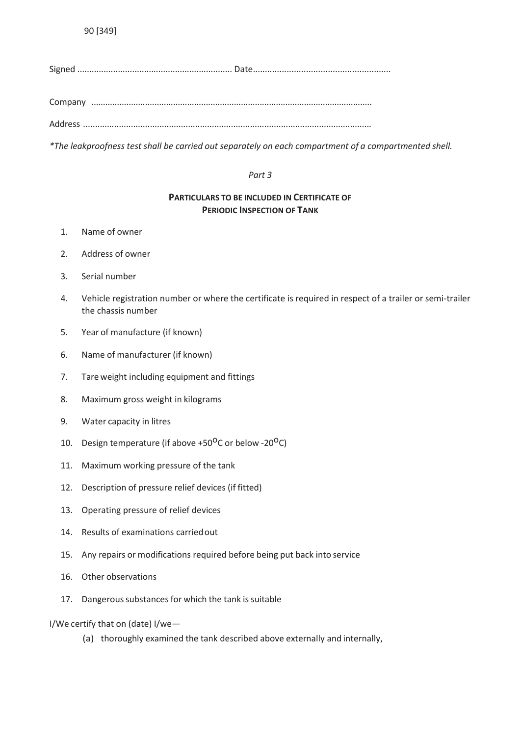Company ........................................................................................................................

Address .........................................................................................................................

*\*The leakproofness test shall be carried out separately on each compartment of a compartmented shell.*

# *Part 3*

# **PARTICULARS TO BE INCLUDED IN CERTIFICATE OF PERIODIC INSPECTION OF TANK**

- 1. Name of owner
- 2. Address of owner
- 3. Serial number
- 4. Vehicle registration number or where the certificate is required in respect of a trailer or semi-trailer the chassis number
- 5. Year of manufacture (if known)
- 6. Name of manufacturer (if known)
- 7. Tare weight including equipment and fittings
- 8. Maximum gross weight in kilograms
- 9. Water capacity in litres
- 10. Design temperature (if above  $+50^{\circ}$ C or below -20 $^{\circ}$ C)
- 11. Maximum working pressure of the tank
- 12. Description of pressure relief devices (if fitted)
- 13. Operating pressure of relief devices
- 14. Results of examinations carriedout
- 15. Any repairs or modifications required before being put back into service
- 16. Other observations
- 17. Dangerous substances for which the tank is suitable
- I/We certify that on (date) I/we—
	- (a) thoroughly examined the tank described above externally and internally,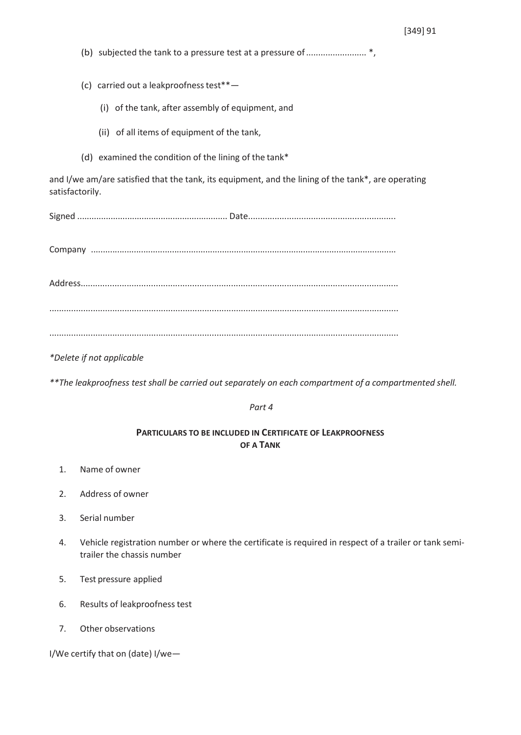|                                                                                                                       | (c) carried out a leakproofness test**-               |
|-----------------------------------------------------------------------------------------------------------------------|-------------------------------------------------------|
|                                                                                                                       | (i) of the tank, after assembly of equipment, and     |
|                                                                                                                       | (ii) of all items of equipment of the tank,           |
|                                                                                                                       | (d) examined the condition of the lining of the tank* |
| and I/we am/are satisfied that the tank, its equipment, and the lining of the tank*, are operating<br>satisfactorily. |                                                       |
|                                                                                                                       |                                                       |
|                                                                                                                       |                                                       |
|                                                                                                                       |                                                       |
|                                                                                                                       |                                                       |
|                                                                                                                       |                                                       |

*\*Delete if not applicable*

*\*\*The leakproofness test shall be carried out separately on each compartment of a compartmented shell.*

### *Part 4*

# **PARTICULARS TO BE INCLUDED IN CERTIFICATE OF LEAKPROOFNESS OF A TANK**

- 1. Name of owner
- 2. Address of owner
- 3. Serial number
- 4. Vehicle registration number or where the certificate is required in respect of a trailer or tank semitrailer the chassis number
- 5. Test pressure applied
- 6. Results of leakproofness test
- 7. Other observations

I/We certify that on (date) I/we—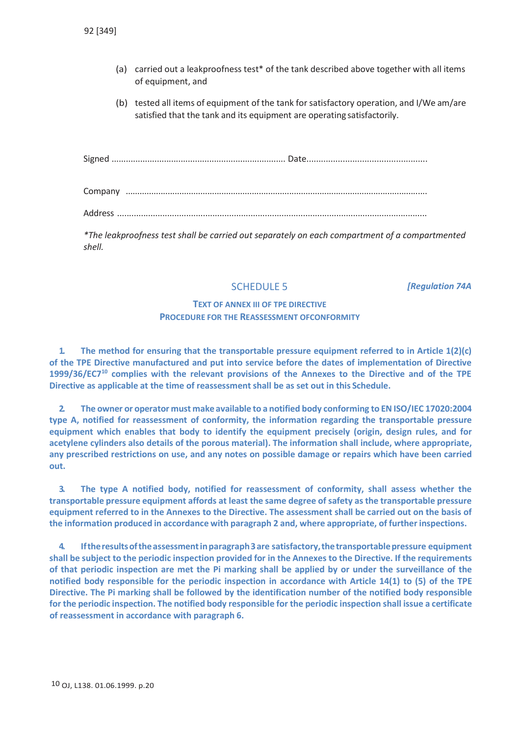- (a) carried out a leakproofness test\* of the tank described above together with all items of equipment, and
- (b) tested all items of equipment of the tank for satisfactory operation, and I/We am/are satisfied that the tank and its equipment are operating satisfactorily.

Signed ......................................................................... Date..................................................

Company .................................................................................................................................

Address ..................................................................................................................................

*\*The leakproofness test shall be carried out separately on each compartment of a compartmented shell.*

# SCHEDULE 5

*[Regulation 74A*

# **TEXT OF ANNEX III OF TPE DIRECTIVE PROCEDURE FOR THE REASSESSMENT OFCONFORMITY**

**1. The method for ensuring that the transportable pressure equipment referred to in Article 1(2)(c) of the TPE Directive manufactured and put into service before the dates of implementation of Directive 1999/36/EC710 complies with the relevant provisions of the Annexes to the Directive and of the TPE Directive as applicable at the time of reassessment shall be as set out in this Schedule.**

**2. The owner or operator must make available to a notified body conforming to EN ISO/IEC 17020:2004 type A, notified for reassessment of conformity, the information regarding the transportable pressure equipment which enables that body to identify the equipment precisely (origin, design rules, and for acetylene cylinders also details of the porous material). The information shall include, where appropriate, any prescribed restrictions on use, and any notes on possible damage or repairs which have been carried out.**

**3. The type A notified body, notified for reassessment of conformity, shall assess whether the transportable pressure equipment affords at least the same degree of safety asthe transportable pressure equipment referred to in the Annexes to the Directive. The assessment shall be carried out on the basis of the information produced in accordance with paragraph 2 and, where appropriate, of further inspections.**

**4. Iftheresultsoftheassessmentinparagraph3are satisfactory,thetransportablepressure equipment** shall be subject to the periodic inspection provided for in the Annexes to the Directive. If the requirements **of that periodic inspection are met the Pi marking shall be applied by or under the surveillance of the notified body responsible for the periodic inspection in accordance with Article 14(1) to (5) of the TPE Directive. The Pi marking shall be followed by the identification number of the notified body responsible for the periodic inspection. The notified body responsible for the periodic inspection shall issue a certificate of reassessment in accordance with paragraph 6.**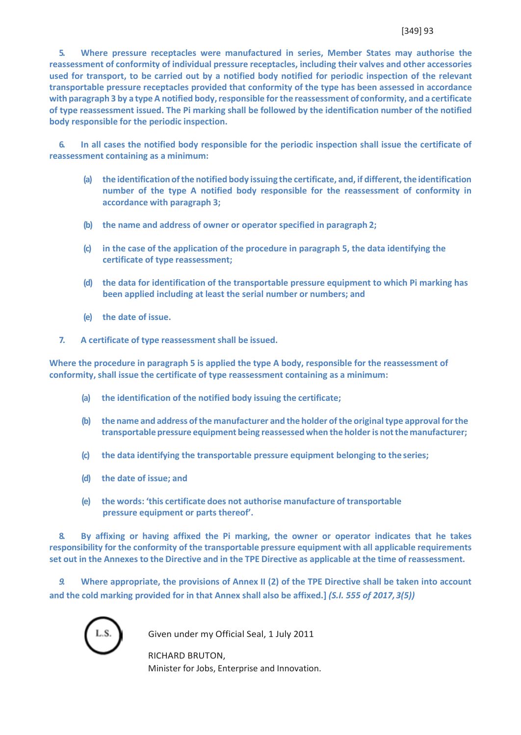**5. Where pressure receptacles were manufactured in series, Member States may authorise the reassessment of conformity of individual pressure receptacles, including their valves and other accessories used for transport, to be carried out by a notified body notified for periodic inspection of the relevant transportable pressure receptacles provided that conformity of the type has been assessed in accordance** with paragraph 3 by a type A notified body, responsible for the reassessment of conformity, and a certificate **of type reassessment issued. The Pi marking shall be followed by the identification number of the notified body responsible for the periodic inspection.**

**6. In all cases the notified body responsible for the periodic inspection shall issue the certificate of reassessment containing as a minimum:**

- **(a) the identification ofthe notified body issuing the certificate, and, if different,the identification number of the type A notified body responsible for the reassessment of conformity in accordance with paragraph 3;**
- **(b) the name and address of owner or operator specified in paragraph 2;**
- **(c) in the case of the application of the procedure in paragraph 5, the data identifying the certificate of type reassessment;**
- **(d) the data for identification of the transportable pressure equipment to which Pi marking has been applied including at least the serial number or numbers; and**
- **(e) the date of issue.**
- **7. A certificate of type reassessment shall be issued.**

**Where the procedure in paragraph 5 is applied the type A body, responsible for the reassessment of conformity, shall issue the certificate of type reassessment containing as a minimum:**

- **(a) the identification of the notified body issuing the certificate;**
- **(b) the name and address ofthe manufacturer and the holder ofthe originaltype approval forthe transportable pressure equipment being reassessedwhen the holderis notthe manufacturer;**
- **(c) the data identifying the transportable pressure equipment belonging to the series;**
- **(d) the date of issue; and**
- **(e) the words: 'this certificate does not authorise manufacture of transportable pressure equipment or parts thereof'.**

**8. By affixing or having affixed the Pi marking, the owner or operator indicates that he takes responsibility for the conformity of the transportable pressure equipment with all applicable requirements** set out in the Annexes to the Directive and in the TPE Directive as applicable at the time of reassessment.

*9.* **Where appropriate, the provisions of Annex II (2) of the TPE Directive shall be taken into account and the cold marking provided for in that Annex shall also be affixed.]** *(S.I. 555 of 2017,3(5))*

Given under my Official Seal, 1 July 2011

RICHARD BRUTON, Minister for Jobs, Enterprise and Innovation.